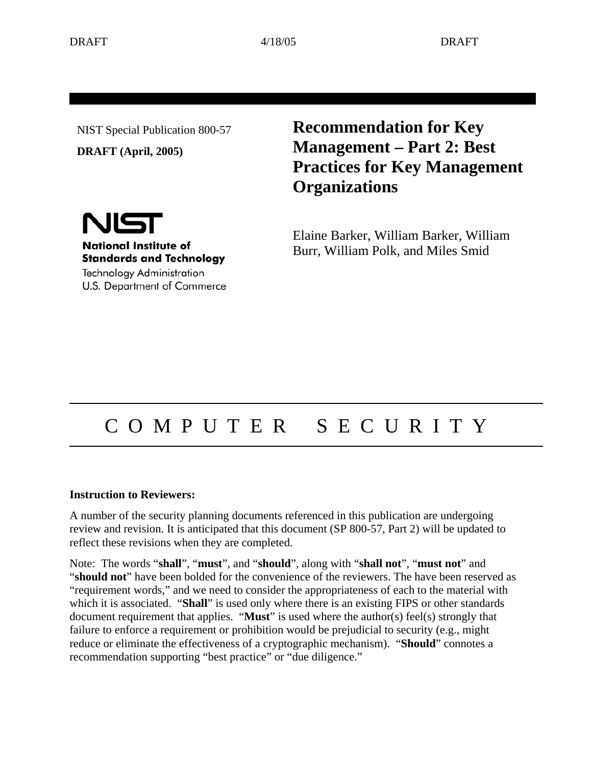NIST Special Publication 800-57

**DRAFT (April, 2005)** 

**Recommendation for Key Management – Part 2: Best Practices for Key Management Organizations**

Elaine Barker, William Barker, William Burr, William Polk, and Miles Smid

# NIST

**National Institute of Standards and Technology** 

**Technology Administration** U.S. Department of Commerce

# C O M P U T E R S E C U R I T Y

#### **Instruction to Reviewers:**

A number of the security planning documents referenced in this publication are undergoing review and revision. It is anticipated that this document (SP 800-57, Part 2) will be updated to reflect these revisions when they are completed.

Note: The words "**shall**", "**must**", and "**should**", along with "**shall not**", "**must not**" and "**should not**" have been bolded for the convenience of the reviewers. The have been reserved as "requirement words," and we need to consider the appropriateness of each to the material with which it is associated. "**Shall**" is used only where there is an existing FIPS or other standards document requirement that applies. "**Must**" is used where the author(s) feel(s) strongly that failure to enforce a requirement or prohibition would be prejudicial to security (e.g., might reduce or eliminate the effectiveness of a cryptographic mechanism). "**Should**" connotes a recommendation supporting "best practice" or "due diligence."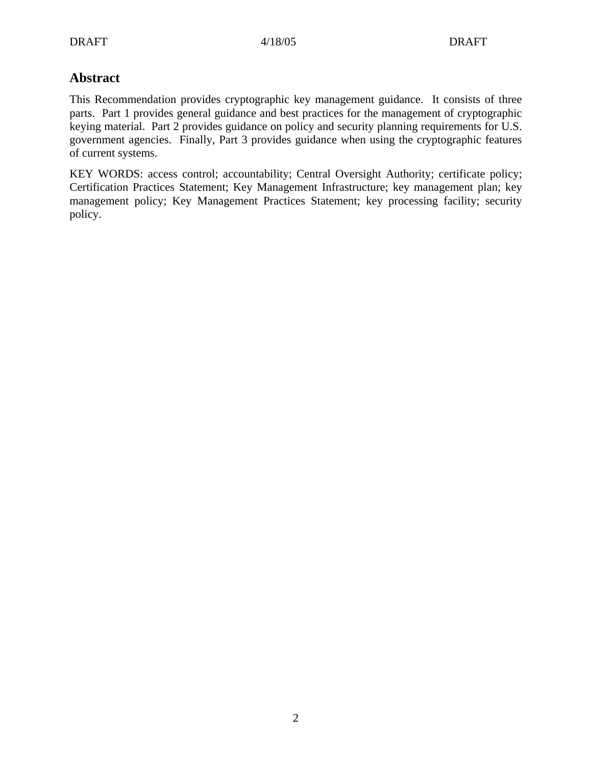# **Abstract**

This Recommendation provides cryptographic key management guidance. It consists of three parts. Part 1 provides general guidance and best practices for the management of cryptographic keying material. Part 2 provides guidance on policy and security planning requirements for U.S. government agencies. Finally, Part 3 provides guidance when using the cryptographic features of current systems.

KEY WORDS: access control; accountability; Central Oversight Authority; certificate policy; Certification Practices Statement; Key Management Infrastructure; key management plan; key management policy; Key Management Practices Statement; key processing facility; security policy.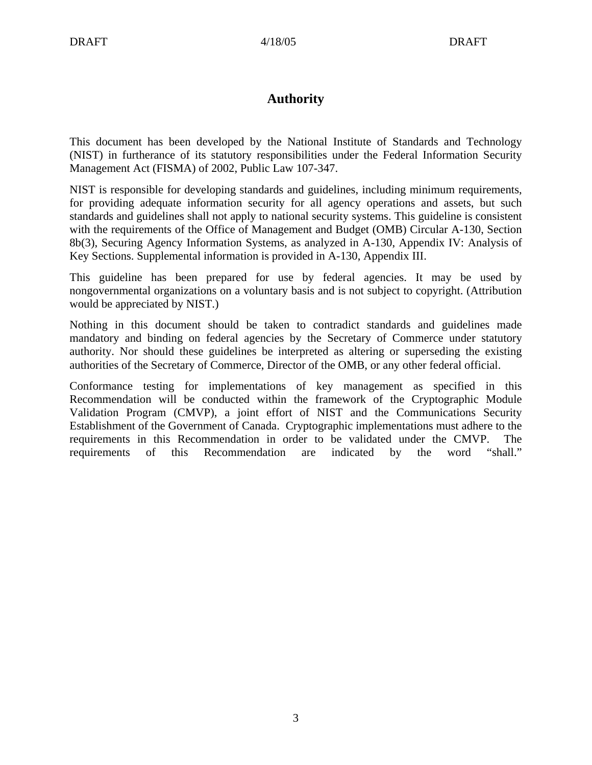# **Authority**

This document has been developed by the National Institute of Standards and Technology (NIST) in furtherance of its statutory responsibilities under the Federal Information Security Management Act (FISMA) of 2002, Public Law 107-347.

NIST is responsible for developing standards and guidelines, including minimum requirements, for providing adequate information security for all agency operations and assets, but such standards and guidelines shall not apply to national security systems. This guideline is consistent with the requirements of the Office of Management and Budget (OMB) Circular A-130, Section 8b(3), Securing Agency Information Systems, as analyzed in A-130, Appendix IV: Analysis of Key Sections. Supplemental information is provided in A-130, Appendix III.

This guideline has been prepared for use by federal agencies. It may be used by nongovernmental organizations on a voluntary basis and is not subject to copyright. (Attribution would be appreciated by NIST.)

Nothing in this document should be taken to contradict standards and guidelines made mandatory and binding on federal agencies by the Secretary of Commerce under statutory authority. Nor should these guidelines be interpreted as altering or superseding the existing authorities of the Secretary of Commerce, Director of the OMB, or any other federal official.

Conformance testing for implementations of key management as specified in this Recommendation will be conducted within the framework of the Cryptographic Module Validation Program (CMVP), a joint effort of NIST and the Communications Security Establishment of the Government of Canada. Cryptographic implementations must adhere to the requirements in this Recommendation in order to be validated under the CMVP. The requirements of this Recommendation are indicated by the word "shall."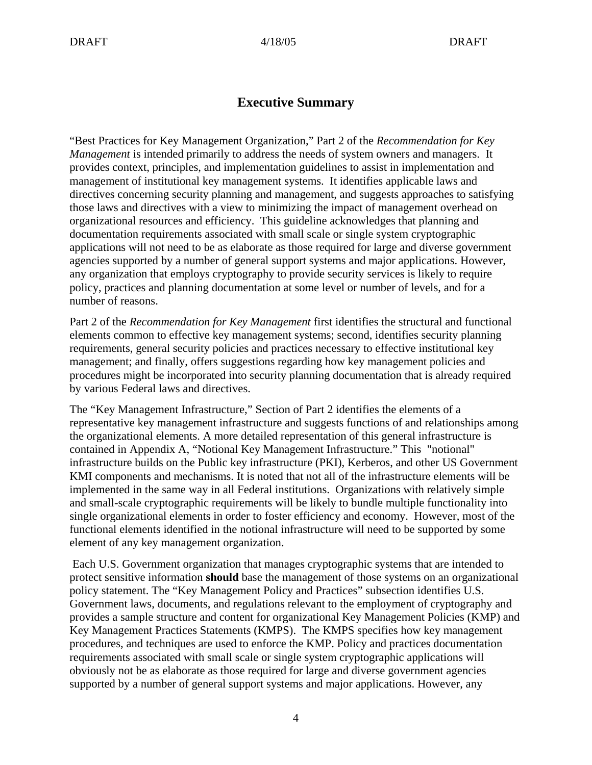# **Executive Summary**

"Best Practices for Key Management Organization," Part 2 of the *Recommendation for Key Management* is intended primarily to address the needs of system owners and managers. It provides context, principles, and implementation guidelines to assist in implementation and management of institutional key management systems. It identifies applicable laws and directives concerning security planning and management, and suggests approaches to satisfying those laws and directives with a view to minimizing the impact of management overhead on organizational resources and efficiency. This guideline acknowledges that planning and documentation requirements associated with small scale or single system cryptographic applications will not need to be as elaborate as those required for large and diverse government agencies supported by a number of general support systems and major applications. However, any organization that employs cryptography to provide security services is likely to require policy, practices and planning documentation at some level or number of levels, and for a number of reasons.

Part 2 of the *Recommendation for Key Management* first identifies the structural and functional elements common to effective key management systems; second, identifies security planning requirements, general security policies and practices necessary to effective institutional key management; and finally, offers suggestions regarding how key management policies and procedures might be incorporated into security planning documentation that is already required by various Federal laws and directives.

The "Key Management Infrastructure," Section of Part 2 identifies the elements of a representative key management infrastructure and suggests functions of and relationships among the organizational elements. A more detailed representation of this general infrastructure is contained in Appendix A, "Notional Key Management Infrastructure." This "notional" infrastructure builds on the Public key infrastructure (PKI), Kerberos, and other US Government KMI components and mechanisms. It is noted that not all of the infrastructure elements will be implemented in the same way in all Federal institutions. Organizations with relatively simple and small-scale cryptographic requirements will be likely to bundle multiple functionality into single organizational elements in order to foster efficiency and economy. However, most of the functional elements identified in the notional infrastructure will need to be supported by some element of any key management organization.

 Each U.S. Government organization that manages cryptographic systems that are intended to protect sensitive information **should** base the management of those systems on an organizational policy statement. The "Key Management Policy and Practices" subsection identifies U.S. Government laws, documents, and regulations relevant to the employment of cryptography and provides a sample structure and content for organizational Key Management Policies (KMP) and Key Management Practices Statements (KMPS). The KMPS specifies how key management procedures, and techniques are used to enforce the KMP. Policy and practices documentation requirements associated with small scale or single system cryptographic applications will obviously not be as elaborate as those required for large and diverse government agencies supported by a number of general support systems and major applications. However, any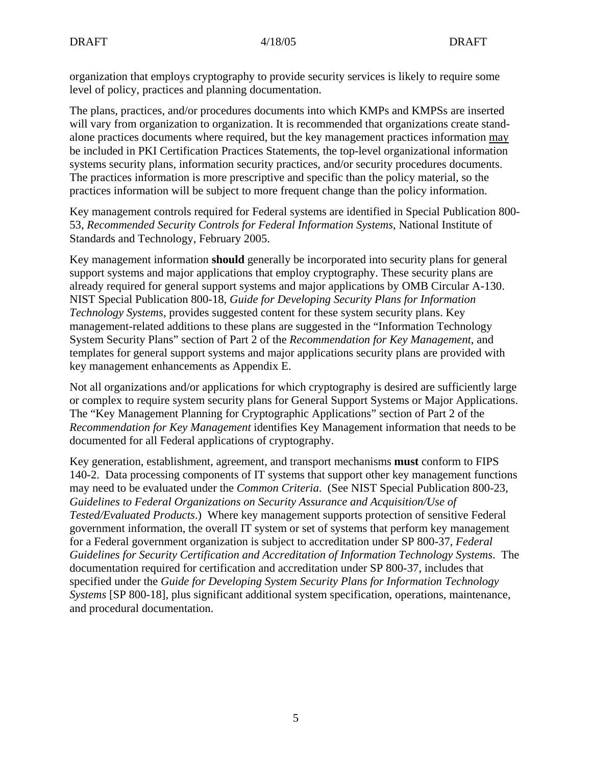organization that employs cryptography to provide security services is likely to require some level of policy, practices and planning documentation.

The plans, practices, and/or procedures documents into which KMPs and KMPSs are inserted will vary from organization to organization. It is recommended that organizations create standalone practices documents where required, but the key management practices information may be included in PKI Certification Practices Statements, the top-level organizational information systems security plans, information security practices, and/or security procedures documents. The practices information is more prescriptive and specific than the policy material, so the practices information will be subject to more frequent change than the policy information.

Key management controls required for Federal systems are identified in Special Publication 800- 53, *Recommended Security Controls for Federal Information Systems*, National Institute of Standards and Technology, February 2005.

Key management information **should** generally be incorporated into security plans for general support systems and major applications that employ cryptography. These security plans are already required for general support systems and major applications by OMB Circular A-130. NIST Special Publication 800-18, *Guide for Developing Security Plans for Information Technology Systems*, provides suggested content for these system security plans. Key management-related additions to these plans are suggested in the "Information Technology System Security Plans" section of Part 2 of the *Recommendation for Key Management*, and templates for general support systems and major applications security plans are provided with key management enhancements as Appendix E.

Not all organizations and/or applications for which cryptography is desired are sufficiently large or complex to require system security plans for General Support Systems or Major Applications. The "Key Management Planning for Cryptographic Applications" section of Part 2 of the *Recommendation for Key Management* identifies Key Management information that needs to be documented for all Federal applications of cryptography.

Key generation, establishment, agreement, and transport mechanisms **must** conform to FIPS 140-2. Data processing components of IT systems that support other key management functions may need to be evaluated under the *Common Criteria*. (See NIST Special Publication 800-23, *Guidelines to Federal Organizations on Security Assurance and Acquisition/Use of Tested/Evaluated Products*.) Where key management supports protection of sensitive Federal government information, the overall IT system or set of systems that perform key management for a Federal government organization is subject to accreditation under SP 800-37, *Federal Guidelines for Security Certification and Accreditation of Information Technology Systems*. The documentation required for certification and accreditation under SP 800-37, includes that specified under the *Guide for Developing System Security Plans for Information Technology Systems* [SP 800-18], plus significant additional system specification, operations, maintenance, and procedural documentation.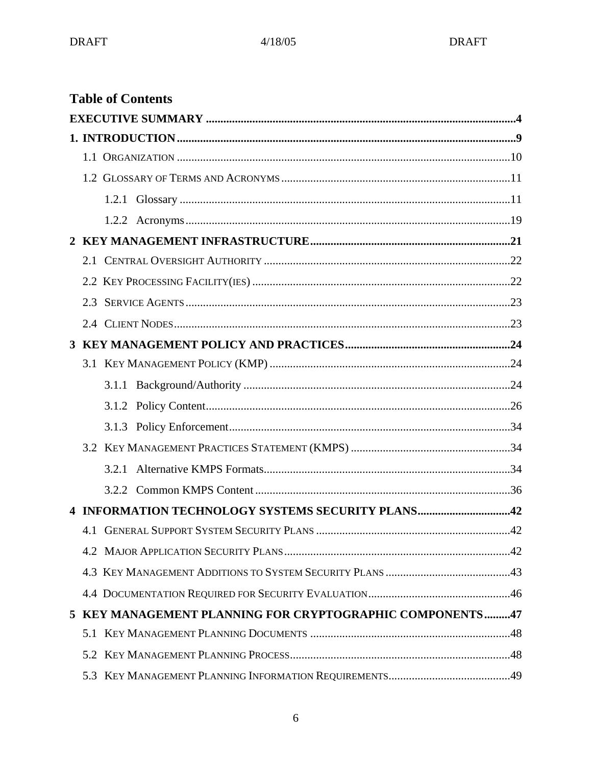|     |       | <b>Table of Contents</b>                                 |  |
|-----|-------|----------------------------------------------------------|--|
|     |       |                                                          |  |
|     |       |                                                          |  |
|     |       |                                                          |  |
|     |       |                                                          |  |
|     |       |                                                          |  |
|     |       |                                                          |  |
|     |       |                                                          |  |
| 2.1 |       |                                                          |  |
|     |       |                                                          |  |
| 2.3 |       |                                                          |  |
|     |       |                                                          |  |
|     |       |                                                          |  |
|     |       |                                                          |  |
|     |       |                                                          |  |
|     |       |                                                          |  |
|     |       |                                                          |  |
|     |       |                                                          |  |
|     | 3.2.1 |                                                          |  |
|     |       |                                                          |  |
|     |       | 4 INFORMATION TECHNOLOGY SYSTEMS SECURITY PLANS42        |  |
| 4.1 |       |                                                          |  |
|     |       |                                                          |  |
|     |       |                                                          |  |
|     |       |                                                          |  |
|     |       | 5 KEY MANAGEMENT PLANNING FOR CRYPTOGRAPHIC COMPONENTS47 |  |
|     |       |                                                          |  |
|     |       |                                                          |  |
|     |       |                                                          |  |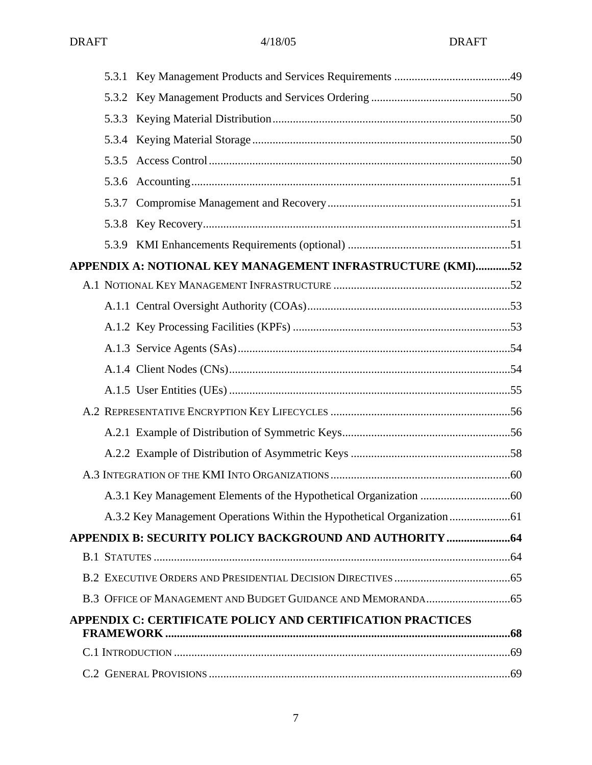| APPENDIX A: NOTIONAL KEY MANAGEMENT INFRASTRUCTURE (KMI)52        |  |
|-------------------------------------------------------------------|--|
|                                                                   |  |
|                                                                   |  |
|                                                                   |  |
|                                                                   |  |
|                                                                   |  |
|                                                                   |  |
|                                                                   |  |
|                                                                   |  |
|                                                                   |  |
|                                                                   |  |
|                                                                   |  |
|                                                                   |  |
|                                                                   |  |
|                                                                   |  |
|                                                                   |  |
|                                                                   |  |
| <b>APPENDIX C: CERTIFICATE POLICY AND CERTIFICATION PRACTICES</b> |  |
|                                                                   |  |
|                                                                   |  |
|                                                                   |  |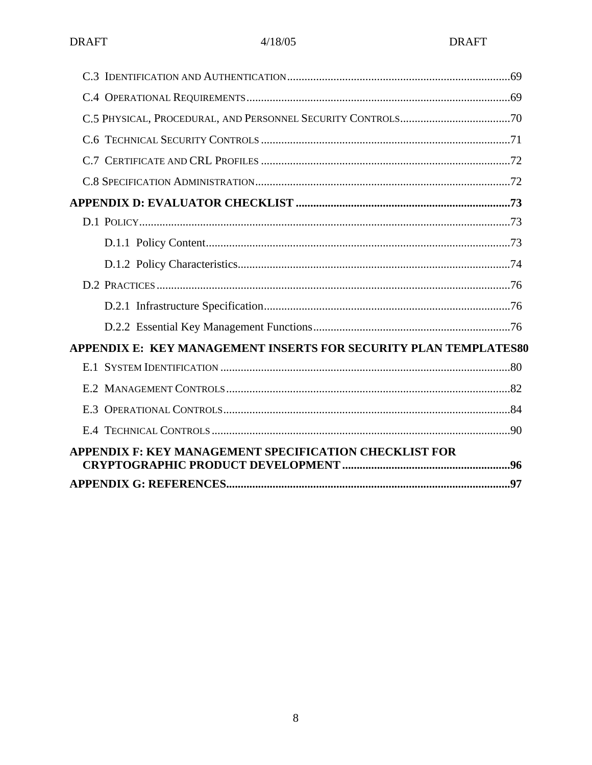| APPENDIX E: KEY MANAGEMENT INSERTS FOR SECURITY PLAN TEMPLATES80 |  |
|------------------------------------------------------------------|--|
|                                                                  |  |
|                                                                  |  |
|                                                                  |  |
|                                                                  |  |
| <b>APPENDIX F: KEY MANAGEMENT SPECIFICATION CHECKLIST FOR</b>    |  |
|                                                                  |  |
|                                                                  |  |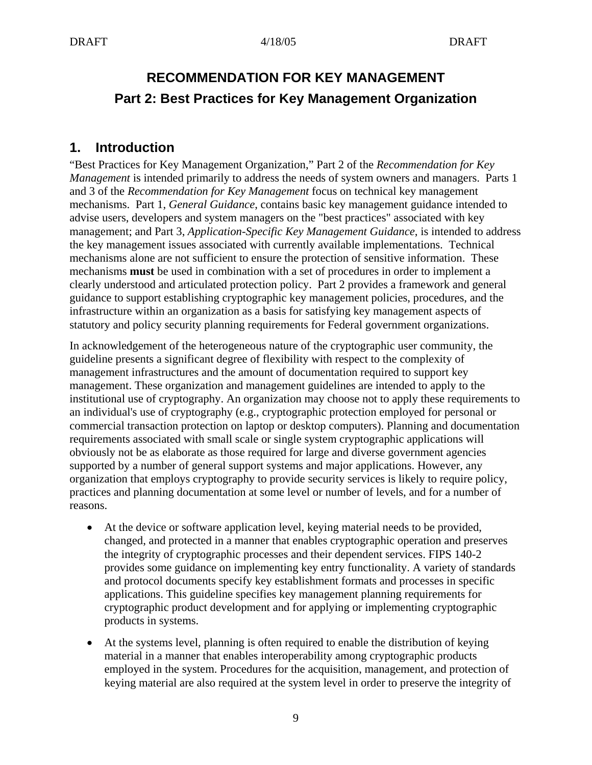# **RECOMMENDATION FOR KEY MANAGEMENT Part 2: Best Practices for Key Management Organization**

# **1. Introduction**

"Best Practices for Key Management Organization," Part 2 of the *Recommendation for Key Management* is intended primarily to address the needs of system owners and managers. Parts 1 and 3 of the *Recommendation for Key Management* focus on technical key management mechanisms. Part 1, *General Guidance*, contains basic key management guidance intended to advise users, developers and system managers on the "best practices" associated with key management; and Part 3, *Application-Specific Key Management Guidance*, is intended to address the key management issues associated with currently available implementations. Technical mechanisms alone are not sufficient to ensure the protection of sensitive information. These mechanisms **must** be used in combination with a set of procedures in order to implement a clearly understood and articulated protection policy. Part 2 provides a framework and general guidance to support establishing cryptographic key management policies, procedures, and the infrastructure within an organization as a basis for satisfying key management aspects of statutory and policy security planning requirements for Federal government organizations.

In acknowledgement of the heterogeneous nature of the cryptographic user community, the guideline presents a significant degree of flexibility with respect to the complexity of management infrastructures and the amount of documentation required to support key management. These organization and management guidelines are intended to apply to the institutional use of cryptography. An organization may choose not to apply these requirements to an individual's use of cryptography (e.g., cryptographic protection employed for personal or commercial transaction protection on laptop or desktop computers). Planning and documentation requirements associated with small scale or single system cryptographic applications will obviously not be as elaborate as those required for large and diverse government agencies supported by a number of general support systems and major applications. However, any organization that employs cryptography to provide security services is likely to require policy, practices and planning documentation at some level or number of levels, and for a number of reasons.

- At the device or software application level, keying material needs to be provided, changed, and protected in a manner that enables cryptographic operation and preserves the integrity of cryptographic processes and their dependent services. FIPS 140-2 provides some guidance on implementing key entry functionality. A variety of standards and protocol documents specify key establishment formats and processes in specific applications. This guideline specifies key management planning requirements for cryptographic product development and for applying or implementing cryptographic products in systems.
- At the systems level, planning is often required to enable the distribution of keying material in a manner that enables interoperability among cryptographic products employed in the system. Procedures for the acquisition, management, and protection of keying material are also required at the system level in order to preserve the integrity of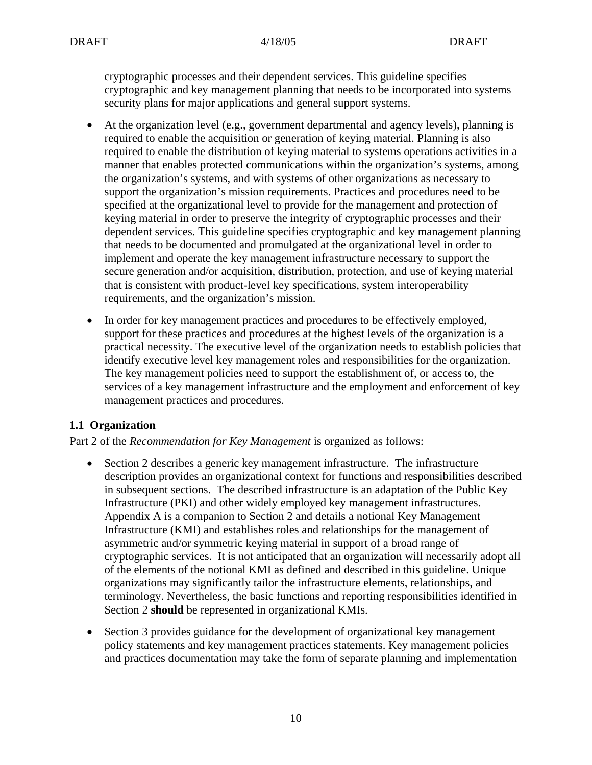cryptographic processes and their dependent services. This guideline specifies cryptographic and key management planning that needs to be incorporated into systems security plans for major applications and general support systems.

- At the organization level (e.g., government departmental and agency levels), planning is required to enable the acquisition or generation of keying material. Planning is also required to enable the distribution of keying material to systems operations activities in a manner that enables protected communications within the organization's systems, among the organization's systems, and with systems of other organizations as necessary to support the organization's mission requirements. Practices and procedures need to be specified at the organizational level to provide for the management and protection of keying material in order to preserve the integrity of cryptographic processes and their dependent services. This guideline specifies cryptographic and key management planning that needs to be documented and promulgated at the organizational level in order to implement and operate the key management infrastructure necessary to support the secure generation and/or acquisition, distribution, protection, and use of keying material that is consistent with product-level key specifications, system interoperability requirements, and the organization's mission.
- In order for key management practices and procedures to be effectively employed, support for these practices and procedures at the highest levels of the organization is a practical necessity. The executive level of the organization needs to establish policies that identify executive level key management roles and responsibilities for the organization. The key management policies need to support the establishment of, or access to, the services of a key management infrastructure and the employment and enforcement of key management practices and procedures.

## **1.1 Organization**

Part 2 of the *Recommendation for Key Management* is organized as follows:

- Section 2 describes a generic key management infrastructure. The infrastructure description provides an organizational context for functions and responsibilities described in subsequent sections. The described infrastructure is an adaptation of the Public Key Infrastructure (PKI) and other widely employed key management infrastructures. Appendix A is a companion to Section 2 and details a notional Key Management Infrastructure (KMI) and establishes roles and relationships for the management of asymmetric and/or symmetric keying material in support of a broad range of cryptographic services. It is not anticipated that an organization will necessarily adopt all of the elements of the notional KMI as defined and described in this guideline. Unique organizations may significantly tailor the infrastructure elements, relationships, and terminology. Nevertheless, the basic functions and reporting responsibilities identified in Section 2 **should** be represented in organizational KMIs.
- Section 3 provides guidance for the development of organizational key management policy statements and key management practices statements. Key management policies and practices documentation may take the form of separate planning and implementation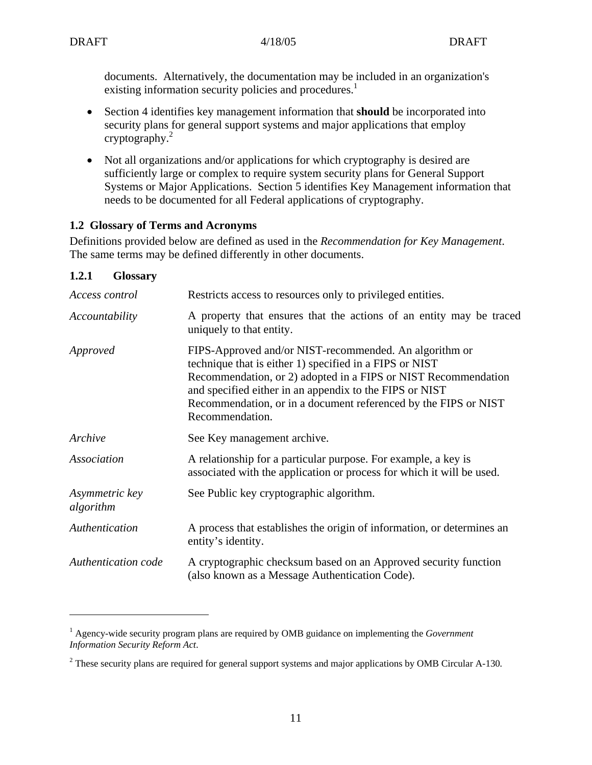documents. Alternatively, the documentation may be included in an organization's existing information security policies and procedures.<sup>1</sup>

- Section 4 identifies key management information that **should** be incorporated into security plans for general support systems and major applications that employ cryptography.2
- Not all organizations and/or applications for which cryptography is desired are sufficiently large or complex to require system security plans for General Support Systems or Major Applications. Section 5 identifies Key Management information that needs to be documented for all Federal applications of cryptography.

## **1.2 Glossary of Terms and Acronyms**

Definitions provided below are defined as used in the *Recommendation for Key Management*. The same terms may be defined differently in other documents.

## **1.2.1 Glossary**

 $\overline{a}$ 

| Access control              | Restricts access to resources only to privileged entities.                                                                                                                                                                                                                                                                           |  |
|-----------------------------|--------------------------------------------------------------------------------------------------------------------------------------------------------------------------------------------------------------------------------------------------------------------------------------------------------------------------------------|--|
| Accountability              | A property that ensures that the actions of an entity may be traced<br>uniquely to that entity.                                                                                                                                                                                                                                      |  |
| Approved                    | FIPS-Approved and/or NIST-recommended. An algorithm or<br>technique that is either 1) specified in a FIPS or NIST<br>Recommendation, or 2) adopted in a FIPS or NIST Recommendation<br>and specified either in an appendix to the FIPS or NIST<br>Recommendation, or in a document referenced by the FIPS or NIST<br>Recommendation. |  |
| Archive                     | See Key management archive.                                                                                                                                                                                                                                                                                                          |  |
| Association                 | A relationship for a particular purpose. For example, a key is<br>associated with the application or process for which it will be used.                                                                                                                                                                                              |  |
| Asymmetric key<br>algorithm | See Public key cryptographic algorithm.                                                                                                                                                                                                                                                                                              |  |
| Authentication              | A process that establishes the origin of information, or determines an<br>entity's identity.                                                                                                                                                                                                                                         |  |
| Authentication code         | A cryptographic checksum based on an Approved security function<br>(also known as a Message Authentication Code).                                                                                                                                                                                                                    |  |

<sup>&</sup>lt;sup>1</sup> Agency-wide security program plans are required by OMB guidance on implementing the *Government Information Security Reform Act*.

<sup>2</sup> These security plans are required for general support systems and major applications by OMB Circular A-130*.*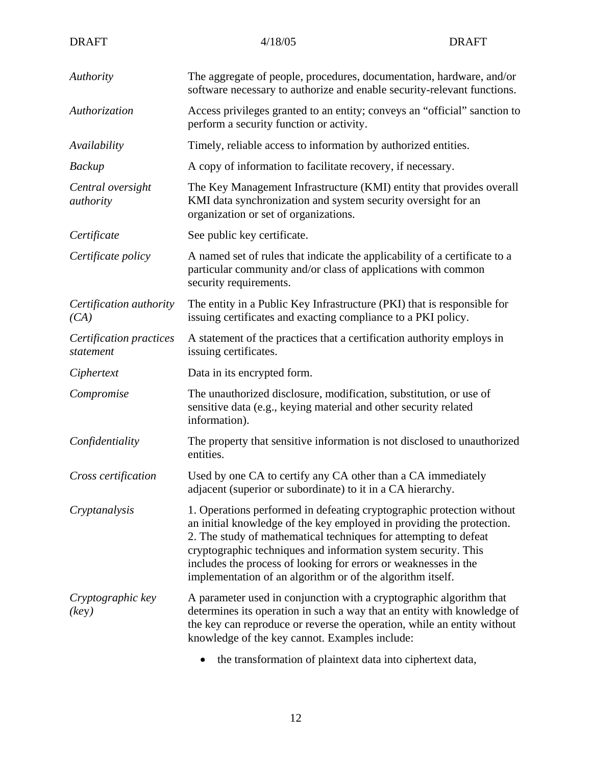| <b>DRAFT</b>                          | 4/18/05                                                                                                                                                                                                                                                                                                                                                                                                               | <b>DRAFT</b> |  |
|---------------------------------------|-----------------------------------------------------------------------------------------------------------------------------------------------------------------------------------------------------------------------------------------------------------------------------------------------------------------------------------------------------------------------------------------------------------------------|--------------|--|
| Authority                             | The aggregate of people, procedures, documentation, hardware, and/or<br>software necessary to authorize and enable security-relevant functions.                                                                                                                                                                                                                                                                       |              |  |
| Authorization                         | Access privileges granted to an entity; conveys an "official" sanction to<br>perform a security function or activity.                                                                                                                                                                                                                                                                                                 |              |  |
| Availability                          | Timely, reliable access to information by authorized entities.                                                                                                                                                                                                                                                                                                                                                        |              |  |
| Backup                                | A copy of information to facilitate recovery, if necessary.                                                                                                                                                                                                                                                                                                                                                           |              |  |
| Central oversight<br><i>authority</i> | The Key Management Infrastructure (KMI) entity that provides overall<br>KMI data synchronization and system security oversight for an<br>organization or set of organizations.                                                                                                                                                                                                                                        |              |  |
| Certificate                           | See public key certificate.                                                                                                                                                                                                                                                                                                                                                                                           |              |  |
| Certificate policy                    | A named set of rules that indicate the applicability of a certificate to a<br>particular community and/or class of applications with common<br>security requirements.                                                                                                                                                                                                                                                 |              |  |
| Certification authority<br>(CA)       | The entity in a Public Key Infrastructure (PKI) that is responsible for<br>issuing certificates and exacting compliance to a PKI policy.                                                                                                                                                                                                                                                                              |              |  |
| Certification practices<br>statement  | A statement of the practices that a certification authority employs in<br>issuing certificates.                                                                                                                                                                                                                                                                                                                       |              |  |
| Ciphertext                            | Data in its encrypted form.                                                                                                                                                                                                                                                                                                                                                                                           |              |  |
| Compromise                            | The unauthorized disclosure, modification, substitution, or use of<br>sensitive data (e.g., keying material and other security related<br>information).                                                                                                                                                                                                                                                               |              |  |
| Confidentiality                       | The property that sensitive information is not disclosed to unauthorized<br>entities.                                                                                                                                                                                                                                                                                                                                 |              |  |
| Cross certification                   | Used by one CA to certify any CA other than a CA immediately<br>adjacent (superior or subordinate) to it in a CA hierarchy.                                                                                                                                                                                                                                                                                           |              |  |
| Cryptanalysis                         | 1. Operations performed in defeating cryptographic protection without<br>an initial knowledge of the key employed in providing the protection.<br>2. The study of mathematical techniques for attempting to defeat<br>cryptographic techniques and information system security. This<br>includes the process of looking for errors or weaknesses in the<br>implementation of an algorithm or of the algorithm itself. |              |  |
| Cryptographic key<br>(key)            | A parameter used in conjunction with a cryptographic algorithm that<br>determines its operation in such a way that an entity with knowledge of<br>the key can reproduce or reverse the operation, while an entity without<br>knowledge of the key cannot. Examples include:                                                                                                                                           |              |  |
|                                       | the transformation of plaintext data into ciphertext data,                                                                                                                                                                                                                                                                                                                                                            |              |  |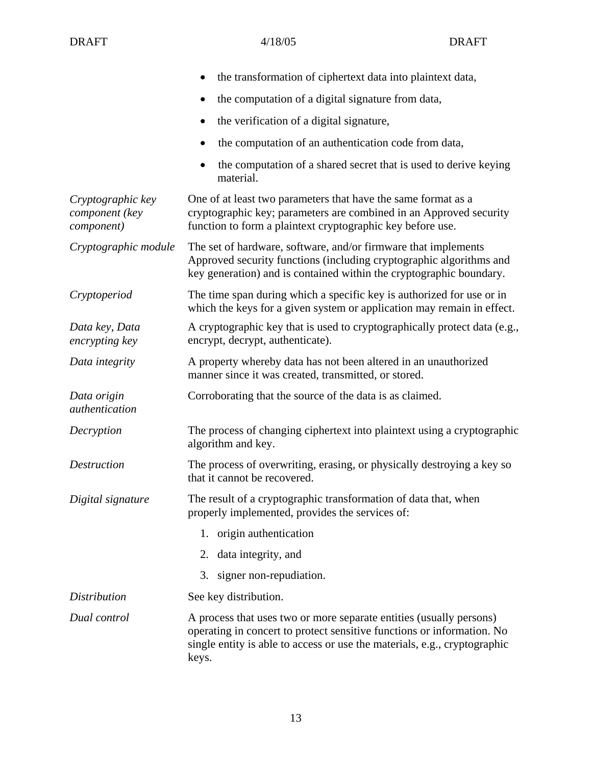|                                                   | the transformation of ciphertext data into plaintext data,                                                                                                                                                                          |  |  |
|---------------------------------------------------|-------------------------------------------------------------------------------------------------------------------------------------------------------------------------------------------------------------------------------------|--|--|
|                                                   | the computation of a digital signature from data,<br>٠                                                                                                                                                                              |  |  |
|                                                   | the verification of a digital signature,<br>$\bullet$                                                                                                                                                                               |  |  |
|                                                   | the computation of an authentication code from data,<br>٠                                                                                                                                                                           |  |  |
|                                                   | the computation of a shared secret that is used to derive keying<br>material.                                                                                                                                                       |  |  |
| Cryptographic key<br>component (key<br>component) | One of at least two parameters that have the same format as a<br>cryptographic key; parameters are combined in an Approved security<br>function to form a plaintext cryptographic key before use.                                   |  |  |
| Cryptographic module                              | The set of hardware, software, and/or firmware that implements<br>Approved security functions (including cryptographic algorithms and<br>key generation) and is contained within the cryptographic boundary.                        |  |  |
| Cryptoperiod                                      | The time span during which a specific key is authorized for use or in<br>which the keys for a given system or application may remain in effect.                                                                                     |  |  |
| Data key, Data<br>encrypting key                  | A cryptographic key that is used to cryptographically protect data (e.g.,<br>encrypt, decrypt, authenticate).                                                                                                                       |  |  |
| Data integrity                                    | A property whereby data has not been altered in an unauthorized<br>manner since it was created, transmitted, or stored.                                                                                                             |  |  |
| Data origin<br>authentication                     | Corroborating that the source of the data is as claimed.                                                                                                                                                                            |  |  |
| Decryption                                        | The process of changing ciphertext into plaintext using a cryptographic<br>algorithm and key.                                                                                                                                       |  |  |
| <b>Destruction</b>                                | The process of overwriting, erasing, or physically destroying a key so<br>that it cannot be recovered.                                                                                                                              |  |  |
| Digital signature                                 | The result of a cryptographic transformation of data that, when<br>properly implemented, provides the services of:                                                                                                                  |  |  |
|                                                   | origin authentication<br>1.                                                                                                                                                                                                         |  |  |
|                                                   | data integrity, and<br>2.                                                                                                                                                                                                           |  |  |
|                                                   | signer non-repudiation.<br>3.                                                                                                                                                                                                       |  |  |
| <i>Distribution</i>                               | See key distribution.                                                                                                                                                                                                               |  |  |
| Dual control                                      | A process that uses two or more separate entities (usually persons)<br>operating in concert to protect sensitive functions or information. No<br>single entity is able to access or use the materials, e.g., cryptographic<br>keys. |  |  |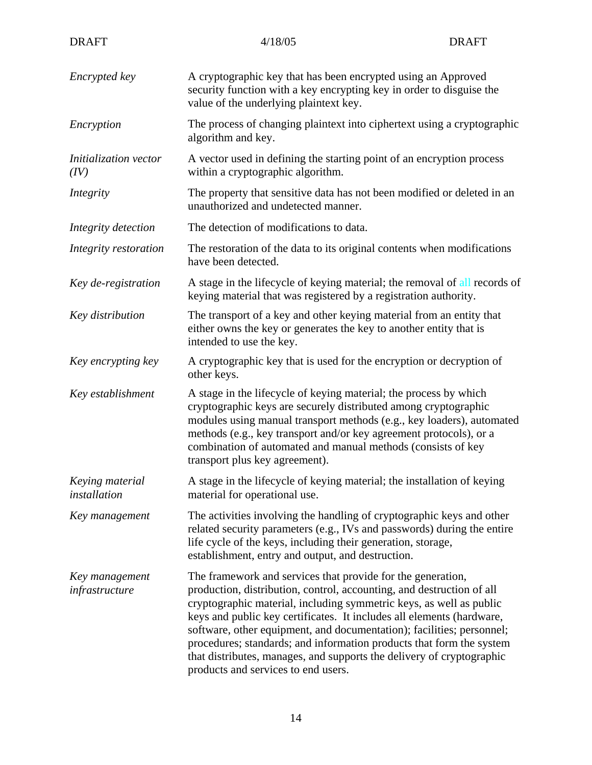| <b>DRAFT</b>                                                                                                                                                                                                                                                                            | 4/18/05                                                                                                                                                                                                                                                                                                                                                                                                                                                                                                                                               | <b>DRAFT</b>                                                            |  |
|-----------------------------------------------------------------------------------------------------------------------------------------------------------------------------------------------------------------------------------------------------------------------------------------|-------------------------------------------------------------------------------------------------------------------------------------------------------------------------------------------------------------------------------------------------------------------------------------------------------------------------------------------------------------------------------------------------------------------------------------------------------------------------------------------------------------------------------------------------------|-------------------------------------------------------------------------|--|
| Encrypted key                                                                                                                                                                                                                                                                           | A cryptographic key that has been encrypted using an Approved<br>security function with a key encrypting key in order to disguise the<br>value of the underlying plaintext key.                                                                                                                                                                                                                                                                                                                                                                       |                                                                         |  |
| Encryption                                                                                                                                                                                                                                                                              | algorithm and key.                                                                                                                                                                                                                                                                                                                                                                                                                                                                                                                                    | The process of changing plaintext into ciphertext using a cryptographic |  |
| Initialization vector<br>(IV)                                                                                                                                                                                                                                                           | A vector used in defining the starting point of an encryption process<br>within a cryptographic algorithm.                                                                                                                                                                                                                                                                                                                                                                                                                                            |                                                                         |  |
| Integrity                                                                                                                                                                                                                                                                               | The property that sensitive data has not been modified or deleted in an<br>unauthorized and undetected manner.                                                                                                                                                                                                                                                                                                                                                                                                                                        |                                                                         |  |
| Integrity detection                                                                                                                                                                                                                                                                     | The detection of modifications to data.                                                                                                                                                                                                                                                                                                                                                                                                                                                                                                               |                                                                         |  |
| Integrity restoration                                                                                                                                                                                                                                                                   | have been detected.                                                                                                                                                                                                                                                                                                                                                                                                                                                                                                                                   | The restoration of the data to its original contents when modifications |  |
| Key de-registration                                                                                                                                                                                                                                                                     | A stage in the lifecycle of keying material; the removal of all records of<br>keying material that was registered by a registration authority.                                                                                                                                                                                                                                                                                                                                                                                                        |                                                                         |  |
| Key distribution                                                                                                                                                                                                                                                                        | The transport of a key and other keying material from an entity that<br>either owns the key or generates the key to another entity that is<br>intended to use the key.                                                                                                                                                                                                                                                                                                                                                                                |                                                                         |  |
| A cryptographic key that is used for the encryption or decryption of<br>Key encrypting key<br>other keys.                                                                                                                                                                               |                                                                                                                                                                                                                                                                                                                                                                                                                                                                                                                                                       |                                                                         |  |
| Key establishment                                                                                                                                                                                                                                                                       | A stage in the lifecycle of keying material; the process by which<br>cryptographic keys are securely distributed among cryptographic<br>modules using manual transport methods (e.g., key loaders), automated<br>methods (e.g., key transport and/or key agreement protocols), or a<br>combination of automated and manual methods (consists of key<br>transport plus key agreement).                                                                                                                                                                 |                                                                         |  |
| Keying material<br>installation                                                                                                                                                                                                                                                         | A stage in the lifecycle of keying material; the installation of keying<br>material for operational use.                                                                                                                                                                                                                                                                                                                                                                                                                                              |                                                                         |  |
| The activities involving the handling of cryptographic keys and other<br>Key management<br>related security parameters (e.g., IVs and passwords) during the entire<br>life cycle of the keys, including their generation, storage,<br>establishment, entry and output, and destruction. |                                                                                                                                                                                                                                                                                                                                                                                                                                                                                                                                                       |                                                                         |  |
| Key management<br>infrastructure                                                                                                                                                                                                                                                        | The framework and services that provide for the generation,<br>production, distribution, control, accounting, and destruction of all<br>cryptographic material, including symmetric keys, as well as public<br>keys and public key certificates. It includes all elements (hardware,<br>software, other equipment, and documentation); facilities; personnel;<br>procedures; standards; and information products that form the system<br>that distributes, manages, and supports the delivery of cryptographic<br>products and services to end users. |                                                                         |  |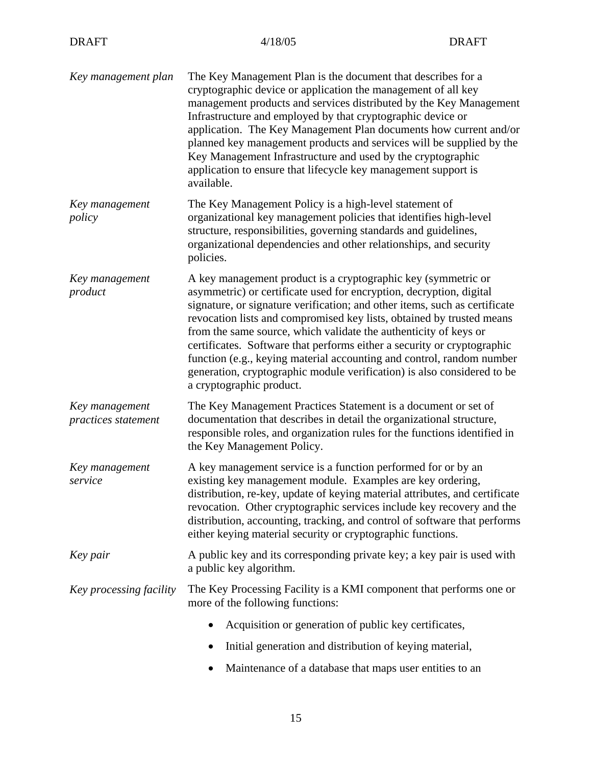| Key management plan                   | The Key Management Plan is the document that describes for a<br>cryptographic device or application the management of all key<br>management products and services distributed by the Key Management<br>Infrastructure and employed by that cryptographic device or<br>application. The Key Management Plan documents how current and/or<br>planned key management products and services will be supplied by the<br>Key Management Infrastructure and used by the cryptographic<br>application to ensure that lifecycle key management support is<br>available.                                                             |
|---------------------------------------|----------------------------------------------------------------------------------------------------------------------------------------------------------------------------------------------------------------------------------------------------------------------------------------------------------------------------------------------------------------------------------------------------------------------------------------------------------------------------------------------------------------------------------------------------------------------------------------------------------------------------|
| Key management<br>policy              | The Key Management Policy is a high-level statement of<br>organizational key management policies that identifies high-level<br>structure, responsibilities, governing standards and guidelines,<br>organizational dependencies and other relationships, and security<br>policies.                                                                                                                                                                                                                                                                                                                                          |
| Key management<br>product             | A key management product is a cryptographic key (symmetric or<br>asymmetric) or certificate used for encryption, decryption, digital<br>signature, or signature verification; and other items, such as certificate<br>revocation lists and compromised key lists, obtained by trusted means<br>from the same source, which validate the authenticity of keys or<br>certificates. Software that performs either a security or cryptographic<br>function (e.g., keying material accounting and control, random number<br>generation, cryptographic module verification) is also considered to be<br>a cryptographic product. |
| Key management<br>practices statement | The Key Management Practices Statement is a document or set of<br>documentation that describes in detail the organizational structure,<br>responsible roles, and organization rules for the functions identified in<br>the Key Management Policy.                                                                                                                                                                                                                                                                                                                                                                          |
| Key management<br>service             | A key management service is a function performed for or by an<br>existing key management module. Examples are key ordering,<br>distribution, re-key, update of keying material attributes, and certificate<br>revocation. Other cryptographic services include key recovery and the<br>distribution, accounting, tracking, and control of software that performs<br>either keying material security or cryptographic functions.                                                                                                                                                                                            |
| Key pair                              | A public key and its corresponding private key; a key pair is used with<br>a public key algorithm.                                                                                                                                                                                                                                                                                                                                                                                                                                                                                                                         |
| Key processing facility               | The Key Processing Facility is a KMI component that performs one or<br>more of the following functions:                                                                                                                                                                                                                                                                                                                                                                                                                                                                                                                    |
|                                       | Acquisition or generation of public key certificates,                                                                                                                                                                                                                                                                                                                                                                                                                                                                                                                                                                      |
|                                       | Initial generation and distribution of keying material,                                                                                                                                                                                                                                                                                                                                                                                                                                                                                                                                                                    |
|                                       | Maintenance of a database that maps user entities to an<br>$\bullet$                                                                                                                                                                                                                                                                                                                                                                                                                                                                                                                                                       |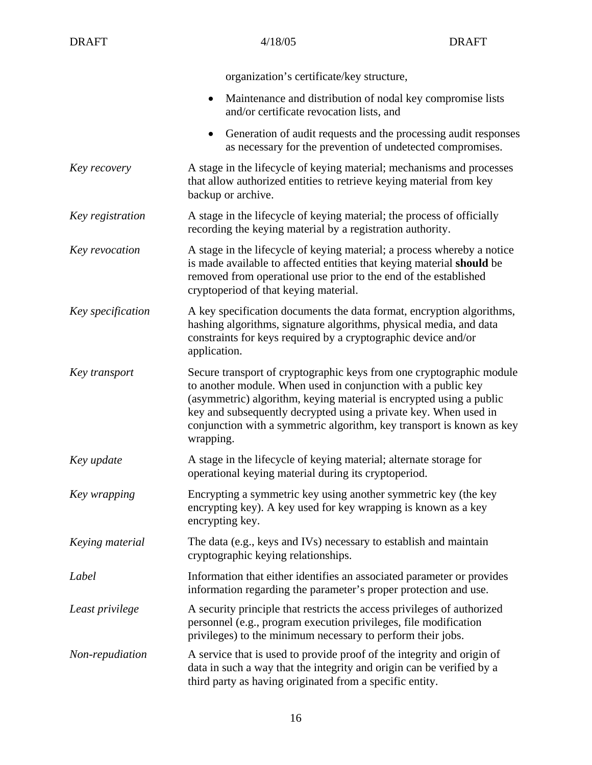| <b>DRAFT</b>      | 4/18/05                                                                                                                                                                                                                                                                                                                                                                | <b>DRAFT</b> |  |
|-------------------|------------------------------------------------------------------------------------------------------------------------------------------------------------------------------------------------------------------------------------------------------------------------------------------------------------------------------------------------------------------------|--------------|--|
|                   | organization's certificate/key structure,                                                                                                                                                                                                                                                                                                                              |              |  |
|                   | Maintenance and distribution of nodal key compromise lists<br>$\bullet$<br>and/or certificate revocation lists, and                                                                                                                                                                                                                                                    |              |  |
|                   | Generation of audit requests and the processing audit responses<br>as necessary for the prevention of undetected compromises.                                                                                                                                                                                                                                          |              |  |
| Key recovery      | A stage in the lifecycle of keying material; mechanisms and processes<br>that allow authorized entities to retrieve keying material from key<br>backup or archive.                                                                                                                                                                                                     |              |  |
| Key registration  | A stage in the lifecycle of keying material; the process of officially<br>recording the keying material by a registration authority.                                                                                                                                                                                                                                   |              |  |
| Key revocation    | A stage in the lifecycle of keying material; a process whereby a notice<br>is made available to affected entities that keying material should be<br>removed from operational use prior to the end of the established<br>cryptoperiod of that keying material.                                                                                                          |              |  |
| Key specification | A key specification documents the data format, encryption algorithms,<br>hashing algorithms, signature algorithms, physical media, and data<br>constraints for keys required by a cryptographic device and/or<br>application.                                                                                                                                          |              |  |
| Key transport     | Secure transport of cryptographic keys from one cryptographic module<br>to another module. When used in conjunction with a public key<br>(asymmetric) algorithm, keying material is encrypted using a public<br>key and subsequently decrypted using a private key. When used in<br>conjunction with a symmetric algorithm, key transport is known as key<br>wrapping. |              |  |
| Key update        | A stage in the lifecycle of keying material; alternate storage for<br>operational keying material during its cryptoperiod.                                                                                                                                                                                                                                             |              |  |
| Key wrapping      | Encrypting a symmetric key using another symmetric key (the key<br>encrypting key). A key used for key wrapping is known as a key<br>encrypting key.                                                                                                                                                                                                                   |              |  |
| Keying material   | The data (e.g., keys and IVs) necessary to establish and maintain<br>cryptographic keying relationships.                                                                                                                                                                                                                                                               |              |  |
| Label             | Information that either identifies an associated parameter or provides<br>information regarding the parameter's proper protection and use.                                                                                                                                                                                                                             |              |  |
| Least privilege   | A security principle that restricts the access privileges of authorized<br>personnel (e.g., program execution privileges, file modification<br>privileges) to the minimum necessary to perform their jobs.                                                                                                                                                             |              |  |
| Non-repudiation   | A service that is used to provide proof of the integrity and origin of<br>data in such a way that the integrity and origin can be verified by a<br>third party as having originated from a specific entity.                                                                                                                                                            |              |  |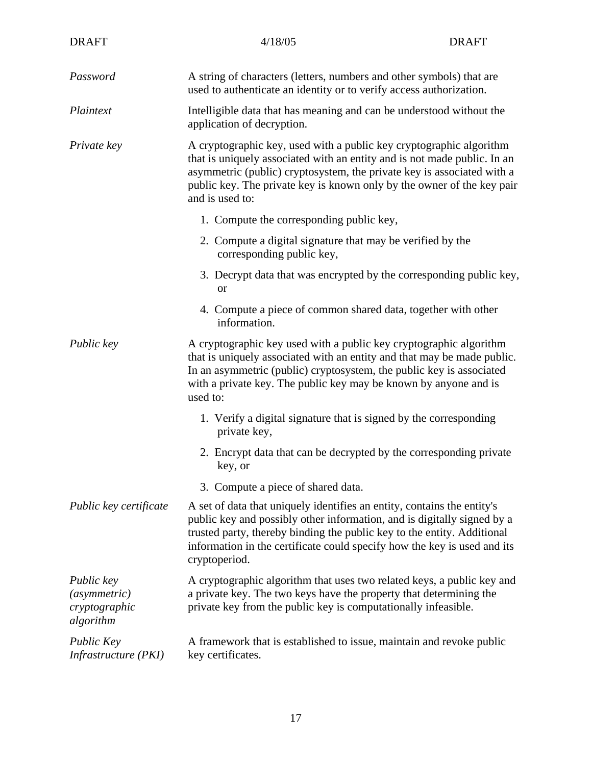| <b>DRAFT</b>                                             | 4/18/05                                                                                                                                                                                                                                                                                                                    | <b>DRAFT</b> |  |
|----------------------------------------------------------|----------------------------------------------------------------------------------------------------------------------------------------------------------------------------------------------------------------------------------------------------------------------------------------------------------------------------|--------------|--|
| Password                                                 | A string of characters (letters, numbers and other symbols) that are<br>used to authenticate an identity or to verify access authorization.                                                                                                                                                                                |              |  |
| Plaintext                                                | Intelligible data that has meaning and can be understood without the<br>application of decryption.                                                                                                                                                                                                                         |              |  |
| Private key                                              | A cryptographic key, used with a public key cryptographic algorithm<br>that is uniquely associated with an entity and is not made public. In an<br>asymmetric (public) cryptosystem, the private key is associated with a<br>public key. The private key is known only by the owner of the key pair<br>and is used to:     |              |  |
|                                                          | 1. Compute the corresponding public key,                                                                                                                                                                                                                                                                                   |              |  |
|                                                          | 2. Compute a digital signature that may be verified by the<br>corresponding public key,                                                                                                                                                                                                                                    |              |  |
|                                                          | 3. Decrypt data that was encrypted by the corresponding public key,<br><sub>or</sub>                                                                                                                                                                                                                                       |              |  |
|                                                          | 4. Compute a piece of common shared data, together with other<br>information.                                                                                                                                                                                                                                              |              |  |
| Public key                                               | A cryptographic key used with a public key cryptographic algorithm<br>that is uniquely associated with an entity and that may be made public.<br>In an asymmetric (public) cryptosystem, the public key is associated<br>with a private key. The public key may be known by anyone and is<br>used to:                      |              |  |
|                                                          | 1. Verify a digital signature that is signed by the corresponding<br>private key,                                                                                                                                                                                                                                          |              |  |
|                                                          | 2. Encrypt data that can be decrypted by the corresponding private<br>key, or                                                                                                                                                                                                                                              |              |  |
|                                                          | 3. Compute a piece of shared data.                                                                                                                                                                                                                                                                                         |              |  |
| Public key certificate                                   | A set of data that uniquely identifies an entity, contains the entity's<br>public key and possibly other information, and is digitally signed by a<br>trusted party, thereby binding the public key to the entity. Additional<br>information in the certificate could specify how the key is used and its<br>cryptoperiod. |              |  |
| Public key<br>(asymmetric)<br>cryptographic<br>algorithm | A cryptographic algorithm that uses two related keys, a public key and<br>a private key. The two keys have the property that determining the<br>private key from the public key is computationally infeasible.                                                                                                             |              |  |
| Public Key<br>Infrastructure (PKI)                       | A framework that is established to issue, maintain and revoke public<br>key certificates.                                                                                                                                                                                                                                  |              |  |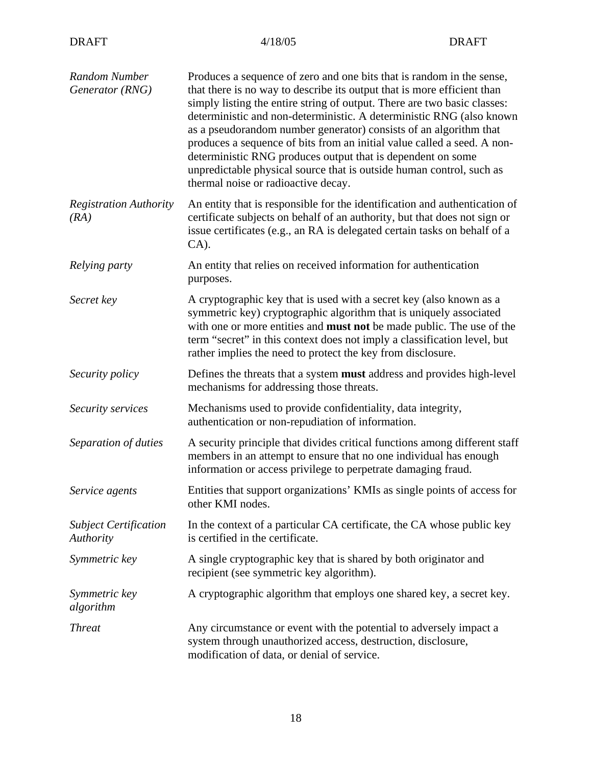| Random Number<br>Generator (RNG)          | Produces a sequence of zero and one bits that is random in the sense,<br>that there is no way to describe its output that is more efficient than<br>simply listing the entire string of output. There are two basic classes:<br>deterministic and non-deterministic. A deterministic RNG (also known<br>as a pseudorandom number generator) consists of an algorithm that<br>produces a sequence of bits from an initial value called a seed. A non-<br>deterministic RNG produces output that is dependent on some<br>unpredictable physical source that is outside human control, such as<br>thermal noise or radioactive decay. |
|-------------------------------------------|------------------------------------------------------------------------------------------------------------------------------------------------------------------------------------------------------------------------------------------------------------------------------------------------------------------------------------------------------------------------------------------------------------------------------------------------------------------------------------------------------------------------------------------------------------------------------------------------------------------------------------|
| <b>Registration Authority</b><br>(RA)     | An entity that is responsible for the identification and authentication of<br>certificate subjects on behalf of an authority, but that does not sign or<br>issue certificates (e.g., an RA is delegated certain tasks on behalf of a<br>$CA$ ).                                                                                                                                                                                                                                                                                                                                                                                    |
| Relying party                             | An entity that relies on received information for authentication<br>purposes.                                                                                                                                                                                                                                                                                                                                                                                                                                                                                                                                                      |
| Secret key                                | A cryptographic key that is used with a secret key (also known as a<br>symmetric key) cryptographic algorithm that is uniquely associated<br>with one or more entities and <b>must not</b> be made public. The use of the<br>term "secret" in this context does not imply a classification level, but<br>rather implies the need to protect the key from disclosure.                                                                                                                                                                                                                                                               |
| Security policy                           | Defines the threats that a system must address and provides high-level<br>mechanisms for addressing those threats.                                                                                                                                                                                                                                                                                                                                                                                                                                                                                                                 |
| Security services                         | Mechanisms used to provide confidentiality, data integrity,<br>authentication or non-repudiation of information.                                                                                                                                                                                                                                                                                                                                                                                                                                                                                                                   |
| Separation of duties                      | A security principle that divides critical functions among different staff<br>members in an attempt to ensure that no one individual has enough<br>information or access privilege to perpetrate damaging fraud.                                                                                                                                                                                                                                                                                                                                                                                                                   |
| Service agents                            | Entities that support organizations' KMIs as single points of access for<br>other KMI nodes.                                                                                                                                                                                                                                                                                                                                                                                                                                                                                                                                       |
| <b>Subject Certification</b><br>Authority | In the context of a particular CA certificate, the CA whose public key<br>is certified in the certificate.                                                                                                                                                                                                                                                                                                                                                                                                                                                                                                                         |
| Symmetric key                             | A single cryptographic key that is shared by both originator and<br>recipient (see symmetric key algorithm).                                                                                                                                                                                                                                                                                                                                                                                                                                                                                                                       |
| Symmetric key<br>algorithm                | A cryptographic algorithm that employs one shared key, a secret key.                                                                                                                                                                                                                                                                                                                                                                                                                                                                                                                                                               |
| <b>Threat</b>                             | Any circumstance or event with the potential to adversely impact a<br>system through unauthorized access, destruction, disclosure,<br>modification of data, or denial of service.                                                                                                                                                                                                                                                                                                                                                                                                                                                  |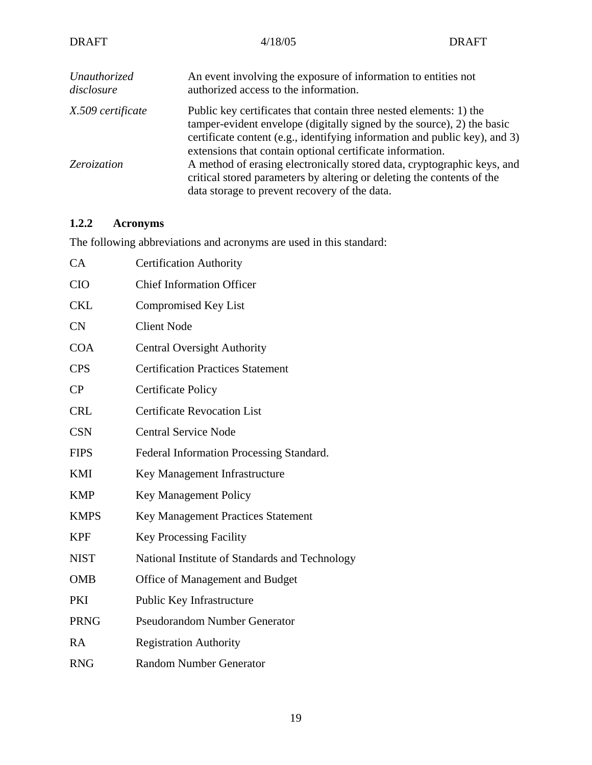| <b>DRAFT</b>                                                                                                                                                                                                      | 4/18/05                                                                                                                                                                                                                                                                                 | <b>DRAFT</b> |
|-------------------------------------------------------------------------------------------------------------------------------------------------------------------------------------------------------------------|-----------------------------------------------------------------------------------------------------------------------------------------------------------------------------------------------------------------------------------------------------------------------------------------|--------------|
| Unauthorized<br>disclosure                                                                                                                                                                                        | An event involving the exposure of information to entities not<br>authorized access to the information.                                                                                                                                                                                 |              |
| X.509 certificate                                                                                                                                                                                                 | Public key certificates that contain three nested elements: 1) the<br>tamper-evident envelope (digitally signed by the source), 2) the basic<br>certificate content (e.g., identifying information and public key), and 3)<br>extensions that contain optional certificate information. |              |
| A method of erasing electronically stored data, cryptographic keys, and<br>Zeroization<br>critical stored parameters by altering or deleting the contents of the<br>data storage to prevent recovery of the data. |                                                                                                                                                                                                                                                                                         |              |

# **1.2.2 Acronyms**

The following abbreviations and acronyms are used in this standard:

| CA          | <b>Certification Authority</b>                 |
|-------------|------------------------------------------------|
| <b>CIO</b>  | <b>Chief Information Officer</b>               |
| <b>CKL</b>  | <b>Compromised Key List</b>                    |
| <b>CN</b>   | <b>Client Node</b>                             |
| <b>COA</b>  | <b>Central Oversight Authority</b>             |
| <b>CPS</b>  | <b>Certification Practices Statement</b>       |
| CP          | <b>Certificate Policy</b>                      |
| <b>CRL</b>  | <b>Certificate Revocation List</b>             |
| <b>CSN</b>  | <b>Central Service Node</b>                    |
| <b>FIPS</b> | Federal Information Processing Standard.       |
| <b>KMI</b>  | Key Management Infrastructure                  |
| <b>KMP</b>  | <b>Key Management Policy</b>                   |
| <b>KMPS</b> | Key Management Practices Statement             |
| <b>KPF</b>  | <b>Key Processing Facility</b>                 |
| <b>NIST</b> | National Institute of Standards and Technology |
| <b>OMB</b>  | Office of Management and Budget                |
| PKI         | Public Key Infrastructure                      |
| <b>PRNG</b> | <b>Pseudorandom Number Generator</b>           |
| RA          | <b>Registration Authority</b>                  |
| <b>RNG</b>  | <b>Random Number Generator</b>                 |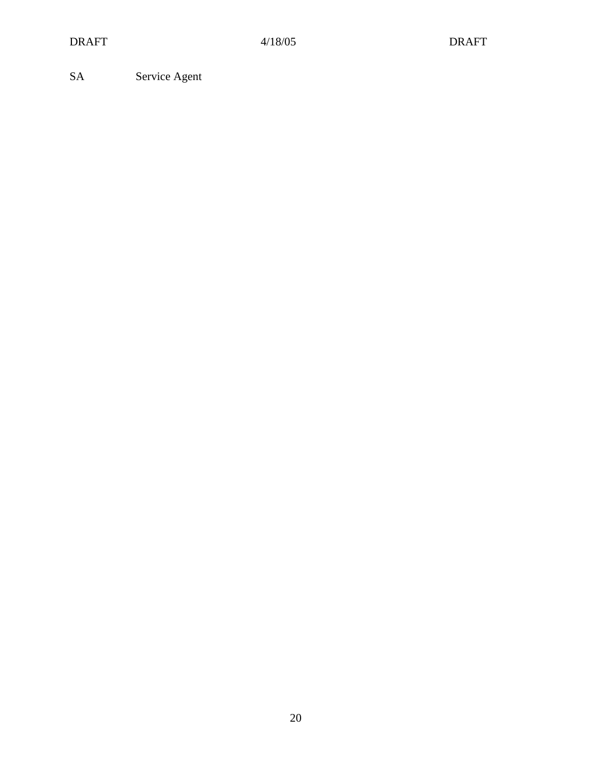SA Service Agent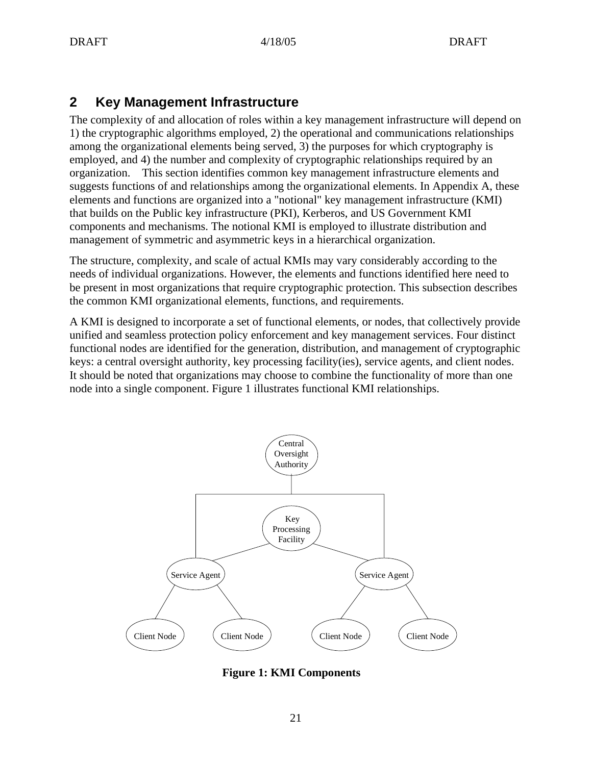# **2 Key Management Infrastructure**

The complexity of and allocation of roles within a key management infrastructure will depend on 1) the cryptographic algorithms employed, 2) the operational and communications relationships among the organizational elements being served, 3) the purposes for which cryptography is employed, and 4) the number and complexity of cryptographic relationships required by an organization. This section identifies common key management infrastructure elements and suggests functions of and relationships among the organizational elements. In Appendix A, these elements and functions are organized into a "notional" key management infrastructure (KMI) that builds on the Public key infrastructure (PKI), Kerberos, and US Government KMI components and mechanisms. The notional KMI is employed to illustrate distribution and management of symmetric and asymmetric keys in a hierarchical organization.

The structure, complexity, and scale of actual KMIs may vary considerably according to the needs of individual organizations. However, the elements and functions identified here need to be present in most organizations that require cryptographic protection. This subsection describes the common KMI organizational elements, functions, and requirements.

A KMI is designed to incorporate a set of functional elements, or nodes, that collectively provide unified and seamless protection policy enforcement and key management services. Four distinct functional nodes are identified for the generation, distribution, and management of cryptographic keys: a central oversight authority, key processing facility(ies), service agents, and client nodes. It should be noted that organizations may choose to combine the functionality of more than one node into a single component. Figure 1 illustrates functional KMI relationships.



**Figure 1: KMI Components**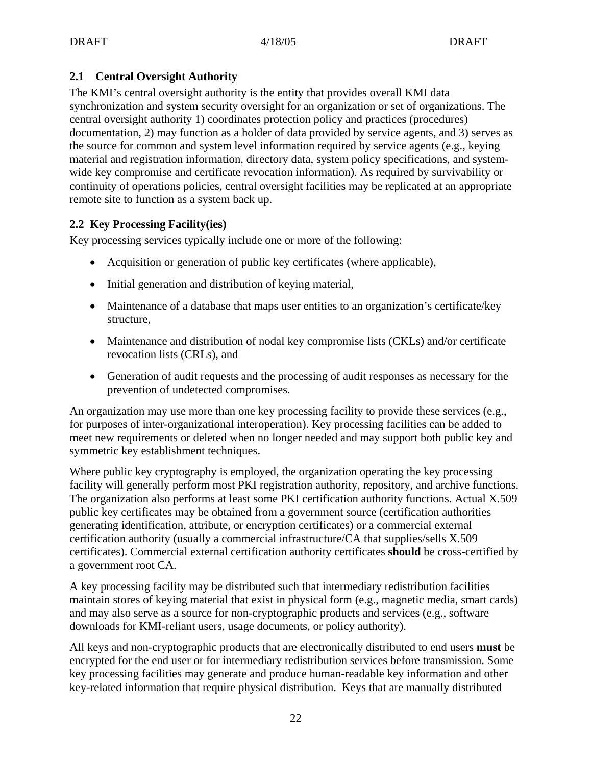# **2.1 Central Oversight Authority**

The KMI's central oversight authority is the entity that provides overall KMI data synchronization and system security oversight for an organization or set of organizations. The central oversight authority 1) coordinates protection policy and practices (procedures) documentation, 2) may function as a holder of data provided by service agents, and 3) serves as the source for common and system level information required by service agents (e.g., keying material and registration information, directory data, system policy specifications, and systemwide key compromise and certificate revocation information). As required by survivability or continuity of operations policies, central oversight facilities may be replicated at an appropriate remote site to function as a system back up.

## **2.2 Key Processing Facility(ies)**

Key processing services typically include one or more of the following:

- Acquisition or generation of public key certificates (where applicable),
- Initial generation and distribution of keying material,
- Maintenance of a database that maps user entities to an organization's certificate/key structure,
- Maintenance and distribution of nodal key compromise lists (CKLs) and/or certificate revocation lists (CRLs), and
- Generation of audit requests and the processing of audit responses as necessary for the prevention of undetected compromises.

An organization may use more than one key processing facility to provide these services (e.g., for purposes of inter-organizational interoperation). Key processing facilities can be added to meet new requirements or deleted when no longer needed and may support both public key and symmetric key establishment techniques.

Where public key cryptography is employed, the organization operating the key processing facility will generally perform most PKI registration authority, repository, and archive functions. The organization also performs at least some PKI certification authority functions. Actual X.509 public key certificates may be obtained from a government source (certification authorities generating identification, attribute, or encryption certificates) or a commercial external certification authority (usually a commercial infrastructure/CA that supplies/sells X.509 certificates). Commercial external certification authority certificates **should** be cross-certified by a government root CA.

A key processing facility may be distributed such that intermediary redistribution facilities maintain stores of keying material that exist in physical form (e.g., magnetic media, smart cards) and may also serve as a source for non-cryptographic products and services (e.g., software downloads for KMI-reliant users, usage documents, or policy authority).

All keys and non-cryptographic products that are electronically distributed to end users **must** be encrypted for the end user or for intermediary redistribution services before transmission. Some key processing facilities may generate and produce human-readable key information and other key-related information that require physical distribution. Keys that are manually distributed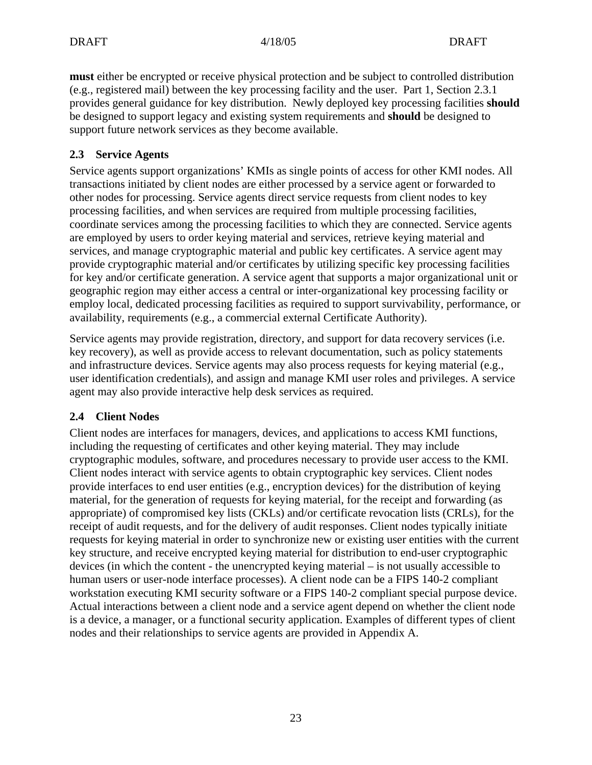**must** either be encrypted or receive physical protection and be subject to controlled distribution (e.g., registered mail) between the key processing facility and the user. Part 1, Section 2.3.1 provides general guidance for key distribution. Newly deployed key processing facilities **should** be designed to support legacy and existing system requirements and **should** be designed to support future network services as they become available.

# **2.3 Service Agents**

Service agents support organizations' KMIs as single points of access for other KMI nodes. All transactions initiated by client nodes are either processed by a service agent or forwarded to other nodes for processing. Service agents direct service requests from client nodes to key processing facilities, and when services are required from multiple processing facilities, coordinate services among the processing facilities to which they are connected. Service agents are employed by users to order keying material and services, retrieve keying material and services, and manage cryptographic material and public key certificates. A service agent may provide cryptographic material and/or certificates by utilizing specific key processing facilities for key and/or certificate generation. A service agent that supports a major organizational unit or geographic region may either access a central or inter-organizational key processing facility or employ local, dedicated processing facilities as required to support survivability, performance, or availability, requirements (e.g., a commercial external Certificate Authority).

Service agents may provide registration, directory, and support for data recovery services (i.e. key recovery), as well as provide access to relevant documentation, such as policy statements and infrastructure devices. Service agents may also process requests for keying material (e.g., user identification credentials), and assign and manage KMI user roles and privileges. A service agent may also provide interactive help desk services as required.

# **2.4 Client Nodes**

Client nodes are interfaces for managers, devices, and applications to access KMI functions, including the requesting of certificates and other keying material. They may include cryptographic modules, software, and procedures necessary to provide user access to the KMI. Client nodes interact with service agents to obtain cryptographic key services. Client nodes provide interfaces to end user entities (e.g., encryption devices) for the distribution of keying material, for the generation of requests for keying material, for the receipt and forwarding (as appropriate) of compromised key lists (CKLs) and/or certificate revocation lists (CRLs), for the receipt of audit requests, and for the delivery of audit responses. Client nodes typically initiate requests for keying material in order to synchronize new or existing user entities with the current key structure, and receive encrypted keying material for distribution to end-user cryptographic devices (in which the content - the unencrypted keying material – is not usually accessible to human users or user-node interface processes). A client node can be a FIPS 140-2 compliant workstation executing KMI security software or a FIPS 140-2 compliant special purpose device. Actual interactions between a client node and a service agent depend on whether the client node is a device, a manager, or a functional security application. Examples of different types of client nodes and their relationships to service agents are provided in Appendix A.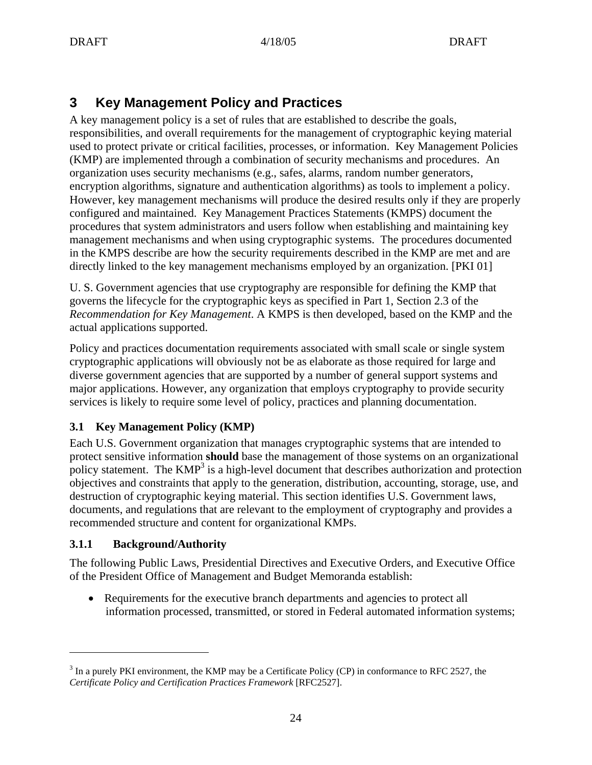# **3 Key Management Policy and Practices**

A key management policy is a set of rules that are established to describe the goals, responsibilities, and overall requirements for the management of cryptographic keying material used to protect private or critical facilities, processes, or information. Key Management Policies (KMP) are implemented through a combination of security mechanisms and procedures. An organization uses security mechanisms (e.g., safes, alarms, random number generators, encryption algorithms, signature and authentication algorithms) as tools to implement a policy. However, key management mechanisms will produce the desired results only if they are properly configured and maintained. Key Management Practices Statements (KMPS) document the procedures that system administrators and users follow when establishing and maintaining key management mechanisms and when using cryptographic systems. The procedures documented in the KMPS describe are how the security requirements described in the KMP are met and are directly linked to the key management mechanisms employed by an organization. [PKI 01]

U. S. Government agencies that use cryptography are responsible for defining the KMP that governs the lifecycle for the cryptographic keys as specified in Part 1, Section 2.3 of the *Recommendation for Key Management*. A KMPS is then developed, based on the KMP and the actual applications supported.

Policy and practices documentation requirements associated with small scale or single system cryptographic applications will obviously not be as elaborate as those required for large and diverse government agencies that are supported by a number of general support systems and major applications. However, any organization that employs cryptography to provide security services is likely to require some level of policy, practices and planning documentation.

# **3.1 Key Management Policy (KMP)**

Each U.S. Government organization that manages cryptographic systems that are intended to protect sensitive information **should** base the management of those systems on an organizational policy statement. The  $KMP<sup>3</sup>$  is a high-level document that describes authorization and protection objectives and constraints that apply to the generation, distribution, accounting, storage, use, and destruction of cryptographic keying material. This section identifies U.S. Government laws, documents, and regulations that are relevant to the employment of cryptography and provides a recommended structure and content for organizational KMPs.

# **3.1.1 Background/Authority**

 $\overline{a}$ 

The following Public Laws, Presidential Directives and Executive Orders, and Executive Office of the President Office of Management and Budget Memoranda establish:

• Requirements for the executive branch departments and agencies to protect all information processed, transmitted, or stored in Federal automated information systems;

 $3$  In a purely PKI environment, the KMP may be a Certificate Policy (CP) in conformance to RFC 2527, the *Certificate Policy and Certification Practices Framework* [RFC2527].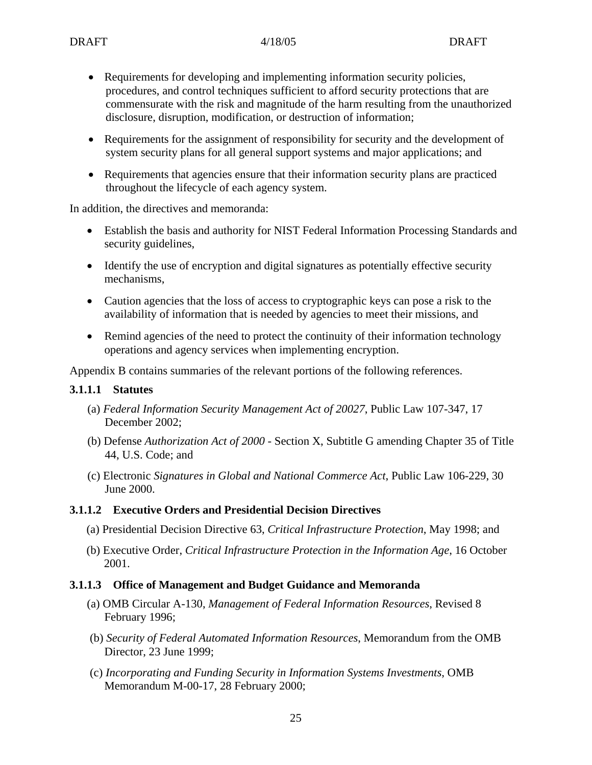- Requirements for developing and implementing information security policies, procedures, and control techniques sufficient to afford security protections that are commensurate with the risk and magnitude of the harm resulting from the unauthorized disclosure, disruption, modification, or destruction of information;
- Requirements for the assignment of responsibility for security and the development of system security plans for all general support systems and major applications; and
- Requirements that agencies ensure that their information security plans are practiced throughout the lifecycle of each agency system.

In addition, the directives and memoranda:

- Establish the basis and authority for NIST Federal Information Processing Standards and security guidelines,
- Identify the use of encryption and digital signatures as potentially effective security mechanisms,
- Caution agencies that the loss of access to cryptographic keys can pose a risk to the availability of information that is needed by agencies to meet their missions, and
- Remind agencies of the need to protect the continuity of their information technology operations and agency services when implementing encryption.

Appendix B contains summaries of the relevant portions of the following references.

#### **3.1.1.1 Statutes**

- (a) *Federal Information Security Management Act of 20027*, Public Law 107-347, 17 December 2002;
- (b) Defense *Authorization Act of 2000* Section X, Subtitle G amending Chapter 35 of Title 44, U.S. Code; and
- (c) Electronic *Signatures in Global and National Commerce Act*, Public Law 106-229, 30 June 2000.

#### **3.1.1.2 Executive Orders and Presidential Decision Directives**

- (a) Presidential Decision Directive 63, *Critical Infrastructure Protection*, May 1998; and
- (b) Executive Order, *Critical Infrastructure Protection in the Information Age*, 16 October 2001.

#### **3.1.1.3 Office of Management and Budget Guidance and Memoranda**

- (a) OMB Circular A-130, *Management of Federal Information Resources*, Revised 8 February 1996;
- (b) *Security of Federal Automated Information Resources*, Memorandum from the OMB Director, 23 June 1999;
- (c) *Incorporating and Funding Security in Information Systems Investments*, OMB Memorandum M-00-17, 28 February 2000;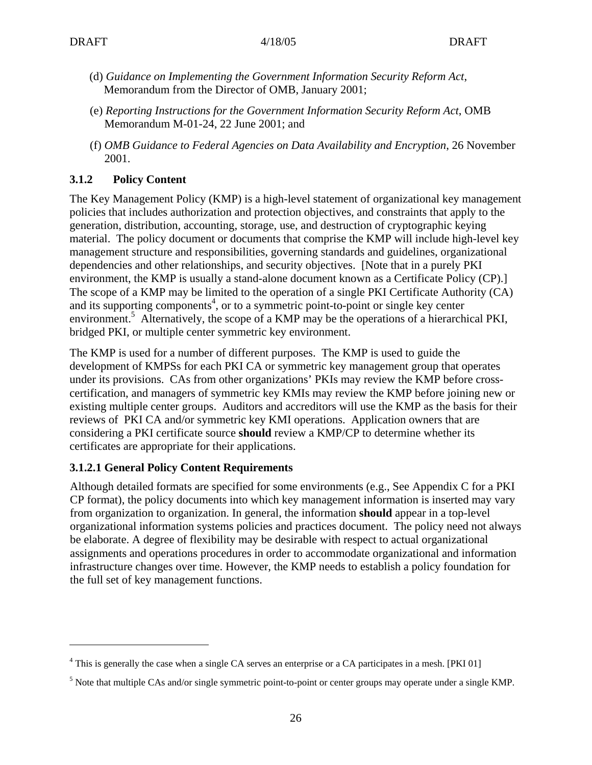1

- (d) *Guidance on Implementing the Government Information Security Reform Act*, Memorandum from the Director of OMB, January 2001;
- (e) *Reporting Instructions for the Government Information Security Reform Act*, OMB Memorandum M-01-24, 22 June 2001; and
- (f) *OMB Guidance to Federal Agencies on Data Availability and Encryption*, 26 November 2001.

# **3.1.2 Policy Content**

The Key Management Policy (KMP) is a high-level statement of organizational key management policies that includes authorization and protection objectives, and constraints that apply to the generation, distribution, accounting, storage, use, and destruction of cryptographic keying material. The policy document or documents that comprise the KMP will include high-level key management structure and responsibilities, governing standards and guidelines, organizational dependencies and other relationships, and security objectives. [Note that in a purely PKI environment, the KMP is usually a stand-alone document known as a Certificate Policy (CP).] The scope of a KMP may be limited to the operation of a single PKI Certificate Authority (CA) and its supporting components<sup>4</sup>, or to a symmetric point-to-point or single key center environment.<sup>5</sup> Alternatively, the scope of a KMP may be the operations of a hierarchical PKI, bridged PKI, or multiple center symmetric key environment.

The KMP is used for a number of different purposes. The KMP is used to guide the development of KMPSs for each PKI CA or symmetric key management group that operates under its provisions. CAs from other organizations' PKIs may review the KMP before crosscertification, and managers of symmetric key KMIs may review the KMP before joining new or existing multiple center groups. Auditors and accreditors will use the KMP as the basis for their reviews of PKI CA and/or symmetric key KMI operations. Application owners that are considering a PKI certificate source **should** review a KMP/CP to determine whether its certificates are appropriate for their applications.

# **3.1.2.1 General Policy Content Requirements**

Although detailed formats are specified for some environments (e.g., See Appendix C for a PKI CP format), the policy documents into which key management information is inserted may vary from organization to organization. In general, the information **should** appear in a top-level organizational information systems policies and practices document. The policy need not always be elaborate. A degree of flexibility may be desirable with respect to actual organizational assignments and operations procedures in order to accommodate organizational and information infrastructure changes over time. However, the KMP needs to establish a policy foundation for the full set of key management functions.

<sup>&</sup>lt;sup>4</sup> This is generally the case when a single CA serves an enterprise or a CA participates in a mesh. [PKI 01]

<sup>&</sup>lt;sup>5</sup> Note that multiple CAs and/or single symmetric point-to-point or center groups may operate under a single KMP.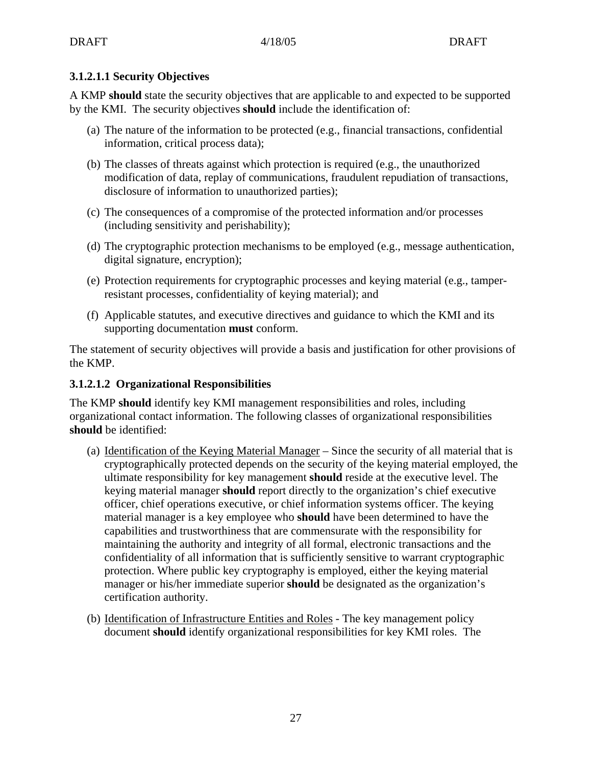# **3.1.2.1.1 Security Objectives**

A KMP **should** state the security objectives that are applicable to and expected to be supported by the KMI. The security objectives **should** include the identification of:

- (a) The nature of the information to be protected (e.g., financial transactions, confidential information, critical process data);
- (b) The classes of threats against which protection is required (e.g., the unauthorized modification of data, replay of communications, fraudulent repudiation of transactions, disclosure of information to unauthorized parties);
- (c) The consequences of a compromise of the protected information and/or processes (including sensitivity and perishability);
- (d) The cryptographic protection mechanisms to be employed (e.g., message authentication, digital signature, encryption);
- (e) Protection requirements for cryptographic processes and keying material (e.g., tamperresistant processes, confidentiality of keying material); and
- (f) Applicable statutes, and executive directives and guidance to which the KMI and its supporting documentation **must** conform.

The statement of security objectives will provide a basis and justification for other provisions of the KMP.

## **3.1.2.1.2 Organizational Responsibilities**

The KMP **should** identify key KMI management responsibilities and roles, including organizational contact information. The following classes of organizational responsibilities **should** be identified:

- (a) Identification of the Keying Material Manager Since the security of all material that is cryptographically protected depends on the security of the keying material employed, the ultimate responsibility for key management **should** reside at the executive level. The keying material manager **should** report directly to the organization's chief executive officer, chief operations executive, or chief information systems officer. The keying material manager is a key employee who **should** have been determined to have the capabilities and trustworthiness that are commensurate with the responsibility for maintaining the authority and integrity of all formal, electronic transactions and the confidentiality of all information that is sufficiently sensitive to warrant cryptographic protection. Where public key cryptography is employed, either the keying material manager or his/her immediate superior **should** be designated as the organization's certification authority.
- (b) Identification of Infrastructure Entities and Roles The key management policy document **should** identify organizational responsibilities for key KMI roles. The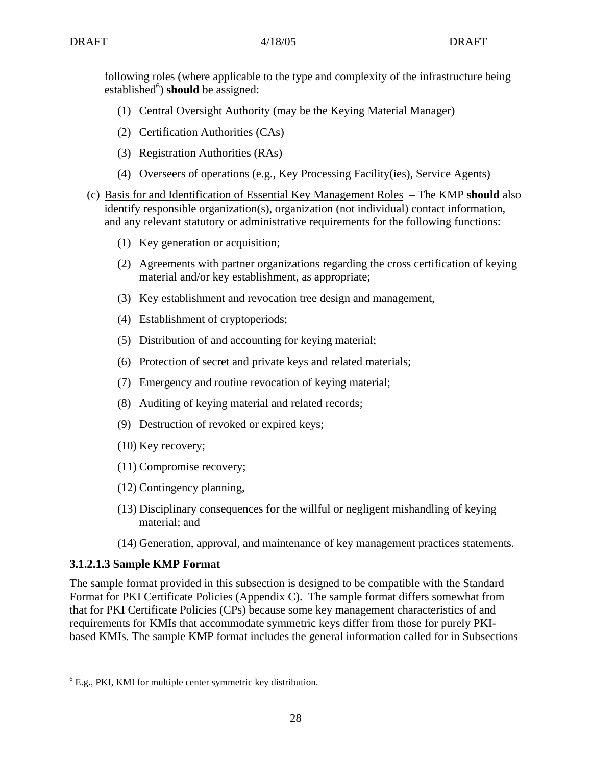following roles (where applicable to the type and complexity of the infrastructure being established<sup>6</sup>) should be assigned:

- (1) Central Oversight Authority (may be the Keying Material Manager)
- (2) Certification Authorities (CAs)
- (3) Registration Authorities (RAs)
- (4) Overseers of operations (e.g., Key Processing Facility(ies), Service Agents)
- (c) Basis for and Identification of Essential Key Management Roles The KMP **should** also identify responsible organization(s), organization (not individual) contact information, and any relevant statutory or administrative requirements for the following functions:
	- (1) Key generation or acquisition;
	- (2) Agreements with partner organizations regarding the cross certification of keying material and/or key establishment, as appropriate;
	- (3) Key establishment and revocation tree design and management,
	- (4) Establishment of cryptoperiods;
	- (5) Distribution of and accounting for keying material;
	- (6) Protection of secret and private keys and related materials;
	- (7) Emergency and routine revocation of keying material;
	- (8) Auditing of keying material and related records;
	- (9) Destruction of revoked or expired keys;
	- (10) Key recovery;
	- (11) Compromise recovery;
	- (12) Contingency planning,
	- (13) Disciplinary consequences for the willful or negligent mishandling of keying material; and
	- (14) Generation, approval, and maintenance of key management practices statements.

## **3.1.2.1.3 Sample KMP Format**

1

The sample format provided in this subsection is designed to be compatible with the Standard Format for PKI Certificate Policies (Appendix C). The sample format differs somewhat from that for PKI Certificate Policies (CPs) because some key management characteristics of and requirements for KMIs that accommodate symmetric keys differ from those for purely PKIbased KMIs. The sample KMP format includes the general information called for in Subsections

 $6$  E.g., PKI, KMI for multiple center symmetric key distribution.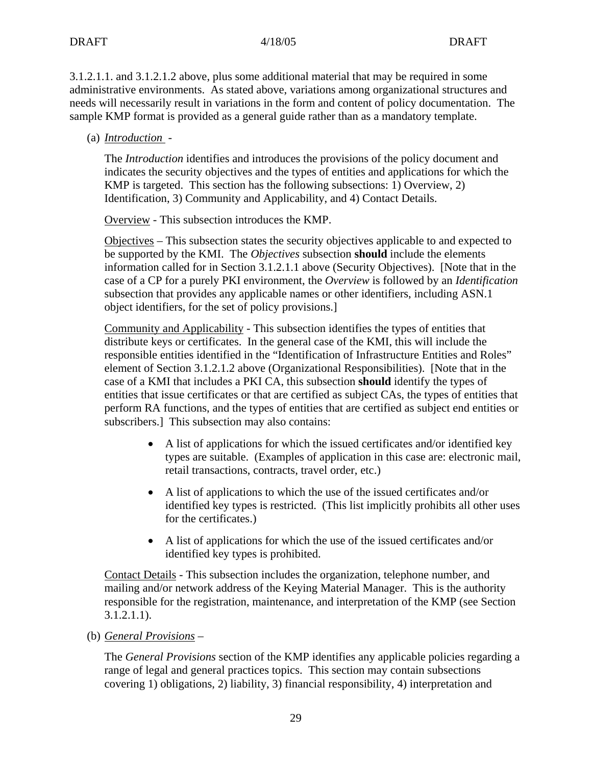3.1.2.1.1. and 3.1.2.1.2 above, plus some additional material that may be required in some administrative environments. As stated above, variations among organizational structures and needs will necessarily result in variations in the form and content of policy documentation. The sample KMP format is provided as a general guide rather than as a mandatory template.

(a) *Introduction* -

The *Introduction* identifies and introduces the provisions of the policy document and indicates the security objectives and the types of entities and applications for which the KMP is targeted. This section has the following subsections: 1) Overview, 2) Identification, 3) Community and Applicability, and 4) Contact Details.

Overview - This subsection introduces the KMP.

Objectives – This subsection states the security objectives applicable to and expected to be supported by the KMI. The *Objectives* subsection **should** include the elements information called for in Section 3.1.2.1.1 above (Security Objectives). [Note that in the case of a CP for a purely PKI environment, the *Overview* is followed by an *Identification* subsection that provides any applicable names or other identifiers, including ASN.1 object identifiers, for the set of policy provisions.]

Community and Applicability - This subsection identifies the types of entities that distribute keys or certificates. In the general case of the KMI, this will include the responsible entities identified in the "Identification of Infrastructure Entities and Roles" element of Section 3.1.2.1.2 above (Organizational Responsibilities). [Note that in the case of a KMI that includes a PKI CA, this subsection **should** identify the types of entities that issue certificates or that are certified as subject CAs, the types of entities that perform RA functions, and the types of entities that are certified as subject end entities or subscribers.] This subsection may also contains:

- A list of applications for which the issued certificates and/or identified key types are suitable. (Examples of application in this case are: electronic mail, retail transactions, contracts, travel order, etc.)
- A list of applications to which the use of the issued certificates and/or identified key types is restricted. (This list implicitly prohibits all other uses for the certificates.)
- A list of applications for which the use of the issued certificates and/or identified key types is prohibited.

Contact Details - This subsection includes the organization, telephone number, and mailing and/or network address of the Keying Material Manager. This is the authority responsible for the registration, maintenance, and interpretation of the KMP (see Section 3.1.2.1.1).

(b) *General Provisions* –

The *General Provisions* section of the KMP identifies any applicable policies regarding a range of legal and general practices topics. This section may contain subsections covering 1) obligations, 2) liability, 3) financial responsibility, 4) interpretation and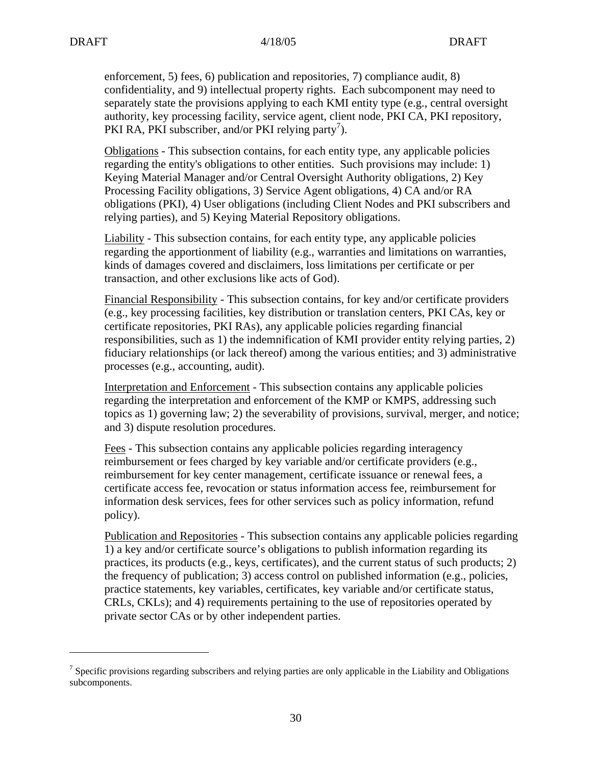$\overline{a}$ 

enforcement, 5) fees, 6) publication and repositories, 7) compliance audit, 8) confidentiality, and 9) intellectual property rights. Each subcomponent may need to separately state the provisions applying to each KMI entity type (e.g., central oversight authority, key processing facility, service agent, client node, PKI CA, PKI repository, PKI RA, PKI subscriber, and/or PKI relying party<sup>7</sup>).

Obligations - This subsection contains, for each entity type, any applicable policies regarding the entity's obligations to other entities. Such provisions may include: 1) Keying Material Manager and/or Central Oversight Authority obligations, 2) Key Processing Facility obligations, 3) Service Agent obligations, 4) CA and/or RA obligations (PKI), 4) User obligations (including Client Nodes and PKI subscribers and relying parties), and 5) Keying Material Repository obligations.

Liability - This subsection contains, for each entity type, any applicable policies regarding the apportionment of liability (e.g., warranties and limitations on warranties, kinds of damages covered and disclaimers, loss limitations per certificate or per transaction, and other exclusions like acts of God).

Financial Responsibility - This subsection contains, for key and/or certificate providers (e.g., key processing facilities, key distribution or translation centers, PKI CAs, key or certificate repositories, PKI RAs), any applicable policies regarding financial responsibilities, such as 1) the indemnification of KMI provider entity relying parties, 2) fiduciary relationships (or lack thereof) among the various entities; and 3) administrative processes (e.g., accounting, audit).

Interpretation and Enforcement - This subsection contains any applicable policies regarding the interpretation and enforcement of the KMP or KMPS, addressing such topics as 1) governing law; 2) the severability of provisions, survival, merger, and notice; and 3) dispute resolution procedures.

Fees - This subsection contains any applicable policies regarding interagency reimbursement or fees charged by key variable and/or certificate providers (e.g., reimbursement for key center management, certificate issuance or renewal fees, a certificate access fee, revocation or status information access fee, reimbursement for information desk services, fees for other services such as policy information, refund policy).

Publication and Repositories - This subsection contains any applicable policies regarding 1) a key and/or certificate source's obligations to publish information regarding its practices, its products (e.g., keys, certificates), and the current status of such products;  $2$ ) the frequency of publication; 3) access control on published information (e.g., policies, practice statements, key variables, certificates, key variable and/or certificate status, CRLs, CKLs); and 4) requirements pertaining to the use of repositories operated by private sector CAs or by other independent parties.

<sup>&</sup>lt;sup>7</sup> Specific provisions regarding subscribers and relying parties are only applicable in the Liability and Obligations subcomponents.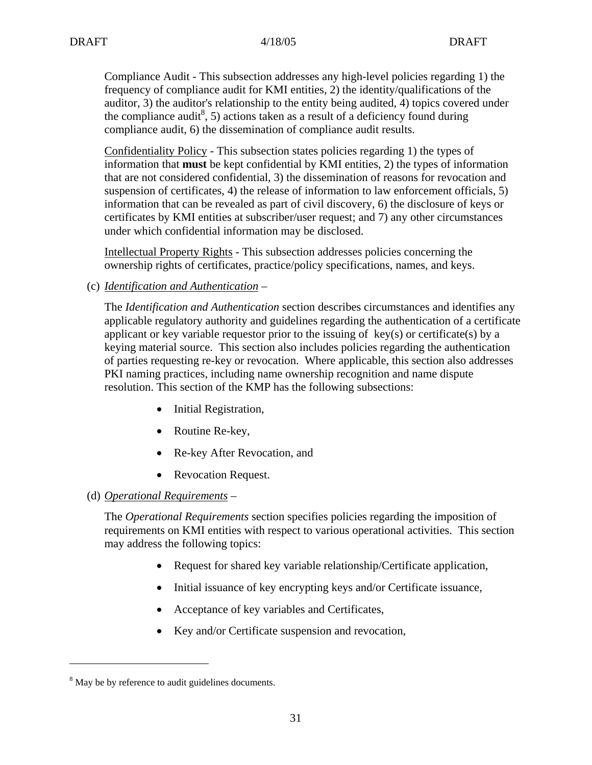Compliance Audit - This subsection addresses any high-level policies regarding 1) the frequency of compliance audit for KMI entities, 2) the identity/qualifications of the auditor, 3) the auditor's relationship to the entity being audited, 4) topics covered under the compliance audit<sup>8</sup>, 5) actions taken as a result of a deficiency found during compliance audit, 6) the dissemination of compliance audit results.

Confidentiality Policy - This subsection states policies regarding 1) the types of information that **must** be kept confidential by KMI entities, 2) the types of information that are not considered confidential, 3) the dissemination of reasons for revocation and suspension of certificates, 4) the release of information to law enforcement officials, 5) information that can be revealed as part of civil discovery, 6) the disclosure of keys or certificates by KMI entities at subscriber/user request; and 7) any other circumstances under which confidential information may be disclosed.

Intellectual Property Rights - This subsection addresses policies concerning the ownership rights of certificates, practice/policy specifications, names, and keys.

(c) *Identification and Authentication* –

The *Identification and Authentication* section describes circumstances and identifies any applicable regulatory authority and guidelines regarding the authentication of a certificate applicant or key variable requestor prior to the issuing of  $key(s)$  or certificate(s) by a keying material source. This section also includes policies regarding the authentication of parties requesting re-key or revocation. Where applicable, this section also addresses PKI naming practices, including name ownership recognition and name dispute resolution. This section of the KMP has the following subsections:

- Initial Registration,
- Routine Re-key,
- Re-key After Revocation, and
- Revocation Request.

## (d) *Operational Requirements* –

The *Operational Requirements* section specifies policies regarding the imposition of requirements on KMI entities with respect to various operational activities. This section may address the following topics:

- Request for shared key variable relationship/Certificate application,
- Initial issuance of key encrypting keys and/or Certificate issuance,
- Acceptance of key variables and Certificates,
- Key and/or Certificate suspension and revocation,

 $\overline{a}$ 

<sup>&</sup>lt;sup>8</sup> May be by reference to audit guidelines documents.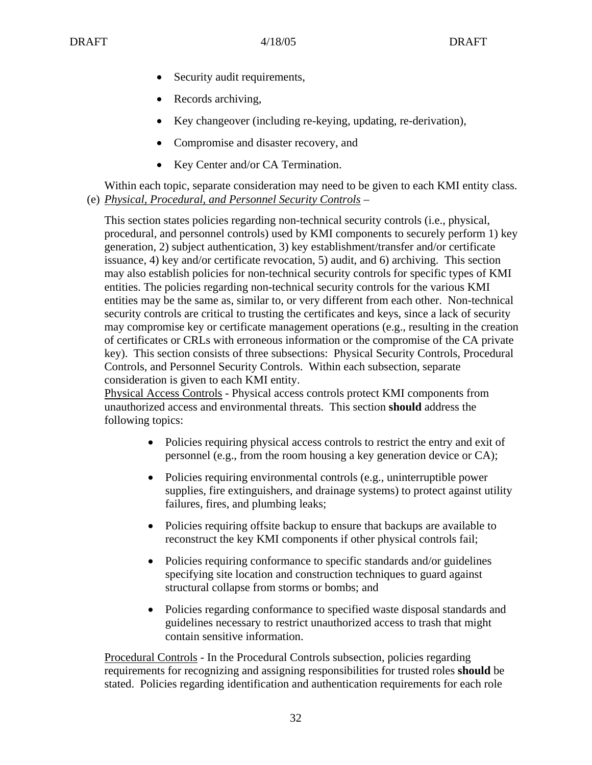- Security audit requirements,
- Records archiving,
- Key changeover (including re-keying, updating, re-derivation),
- Compromise and disaster recovery, and
- Key Center and/or CA Termination.

Within each topic, separate consideration may need to be given to each KMI entity class. (e) *Physical, Procedural, and Personnel Security Controls* –

This section states policies regarding non-technical security controls (i.e., physical, procedural, and personnel controls) used by KMI components to securely perform 1) key generation, 2) subject authentication, 3) key establishment/transfer and/or certificate issuance, 4) key and/or certificate revocation, 5) audit, and 6) archiving. This section may also establish policies for non-technical security controls for specific types of KMI entities. The policies regarding non-technical security controls for the various KMI entities may be the same as, similar to, or very different from each other. Non-technical security controls are critical to trusting the certificates and keys, since a lack of security may compromise key or certificate management operations (e.g., resulting in the creation of certificates or CRLs with erroneous information or the compromise of the CA private key). This section consists of three subsections: Physical Security Controls, Procedural Controls, and Personnel Security Controls. Within each subsection, separate consideration is given to each KMI entity.

Physical Access Controls - Physical access controls protect KMI components from unauthorized access and environmental threats. This section **should** address the following topics:

- Policies requiring physical access controls to restrict the entry and exit of personnel (e.g., from the room housing a key generation device or CA);
- Policies requiring environmental controls (e.g., uninterruptible power supplies, fire extinguishers, and drainage systems) to protect against utility failures, fires, and plumbing leaks;
- Policies requiring offsite backup to ensure that backups are available to reconstruct the key KMI components if other physical controls fail;
- Policies requiring conformance to specific standards and/or guidelines specifying site location and construction techniques to guard against structural collapse from storms or bombs; and
- Policies regarding conformance to specified waste disposal standards and guidelines necessary to restrict unauthorized access to trash that might contain sensitive information.

Procedural Controls - In the Procedural Controls subsection, policies regarding requirements for recognizing and assigning responsibilities for trusted roles **should** be stated. Policies regarding identification and authentication requirements for each role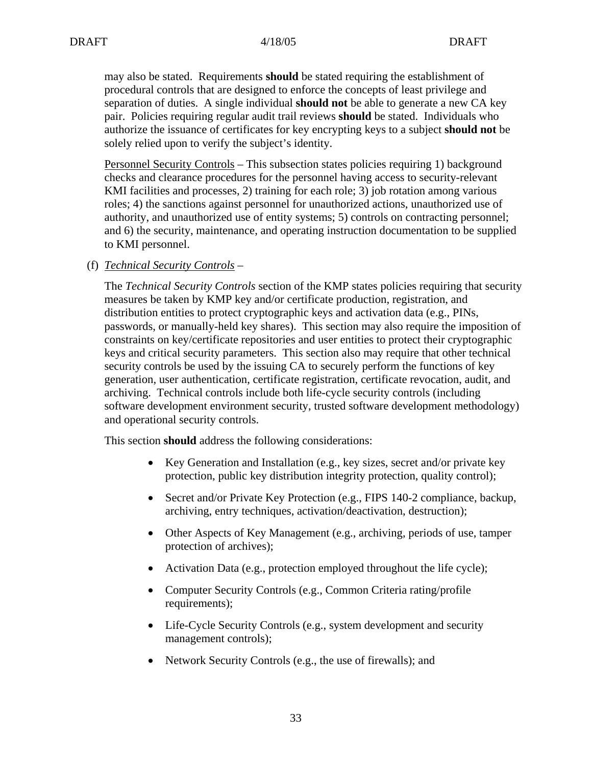may also be stated. Requirements **should** be stated requiring the establishment of procedural controls that are designed to enforce the concepts of least privilege and separation of duties. A single individual **should not** be able to generate a new CA key pair. Policies requiring regular audit trail reviews **should** be stated. Individuals who authorize the issuance of certificates for key encrypting keys to a subject **should not** be solely relied upon to verify the subject's identity.

Personnel Security Controls – This subsection states policies requiring 1) background checks and clearance procedures for the personnel having access to security-relevant KMI facilities and processes, 2) training for each role; 3) job rotation among various roles; 4) the sanctions against personnel for unauthorized actions, unauthorized use of authority, and unauthorized use of entity systems; 5) controls on contracting personnel; and 6) the security, maintenance, and operating instruction documentation to be supplied to KMI personnel.

(f) *Technical Security Controls* –

The *Technical Security Controls* section of the KMP states policies requiring that security measures be taken by KMP key and/or certificate production, registration, and distribution entities to protect cryptographic keys and activation data (e.g., PINs, passwords, or manually-held key shares). This section may also require the imposition of constraints on key/certificate repositories and user entities to protect their cryptographic keys and critical security parameters. This section also may require that other technical security controls be used by the issuing CA to securely perform the functions of key generation, user authentication, certificate registration, certificate revocation, audit, and archiving. Technical controls include both life-cycle security controls (including software development environment security, trusted software development methodology) and operational security controls.

This section **should** address the following considerations:

- Key Generation and Installation (e.g., key sizes, secret and/or private key protection, public key distribution integrity protection, quality control);
- Secret and/or Private Key Protection (e.g., FIPS 140-2 compliance, backup, archiving, entry techniques, activation/deactivation, destruction);
- Other Aspects of Key Management (e.g., archiving, periods of use, tamper protection of archives);
- Activation Data (e.g., protection employed throughout the life cycle);
- Computer Security Controls (e.g., Common Criteria rating/profile requirements);
- Life-Cycle Security Controls (e.g., system development and security management controls);
- Network Security Controls (e.g., the use of firewalls); and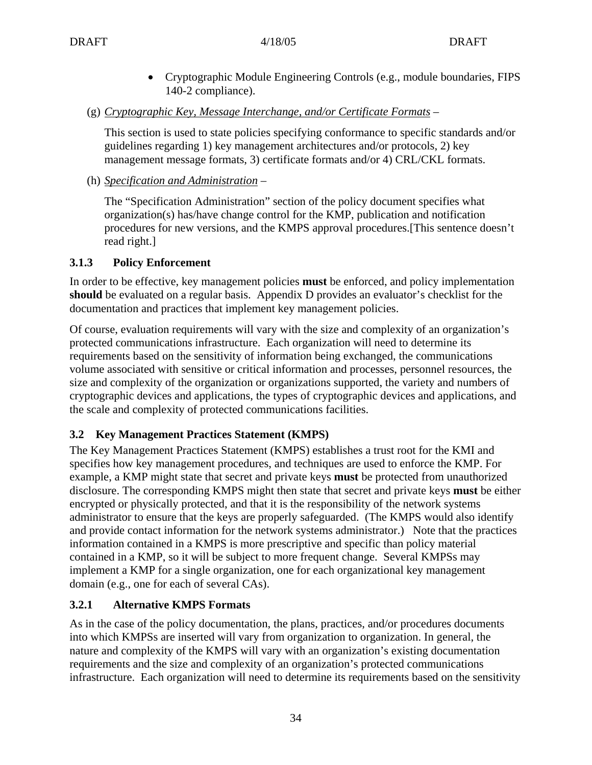- Cryptographic Module Engineering Controls (e.g., module boundaries, FIPS 140-2 compliance).
- (g) *Cryptographic Key, Message Interchange, and/or Certificate Formats* –

This section is used to state policies specifying conformance to specific standards and/or guidelines regarding 1) key management architectures and/or protocols, 2) key management message formats, 3) certificate formats and/or 4) CRL/CKL formats.

(h) *Specification and Administration* –

The "Specification Administration" section of the policy document specifies what organization(s) has/have change control for the KMP, publication and notification procedures for new versions, and the KMPS approval procedures.[This sentence doesn't read right.]

## **3.1.3 Policy Enforcement**

In order to be effective, key management policies **must** be enforced, and policy implementation **should** be evaluated on a regular basis. Appendix D provides an evaluator's checklist for the documentation and practices that implement key management policies.

Of course, evaluation requirements will vary with the size and complexity of an organization's protected communications infrastructure. Each organization will need to determine its requirements based on the sensitivity of information being exchanged, the communications volume associated with sensitive or critical information and processes, personnel resources, the size and complexity of the organization or organizations supported, the variety and numbers of cryptographic devices and applications, the types of cryptographic devices and applications, and the scale and complexity of protected communications facilities.

# **3.2 Key Management Practices Statement (KMPS)**

The Key Management Practices Statement (KMPS) establishes a trust root for the KMI and specifies how key management procedures, and techniques are used to enforce the KMP. For example, a KMP might state that secret and private keys **must** be protected from unauthorized disclosure. The corresponding KMPS might then state that secret and private keys **must** be either encrypted or physically protected, and that it is the responsibility of the network systems administrator to ensure that the keys are properly safeguarded. (The KMPS would also identify and provide contact information for the network systems administrator.) Note that the practices information contained in a KMPS is more prescriptive and specific than policy material contained in a KMP, so it will be subject to more frequent change. Several KMPSs may implement a KMP for a single organization, one for each organizational key management domain (e.g., one for each of several CAs).

# **3.2.1 Alternative KMPS Formats**

As in the case of the policy documentation, the plans, practices, and/or procedures documents into which KMPSs are inserted will vary from organization to organization. In general, the nature and complexity of the KMPS will vary with an organization's existing documentation requirements and the size and complexity of an organization's protected communications infrastructure. Each organization will need to determine its requirements based on the sensitivity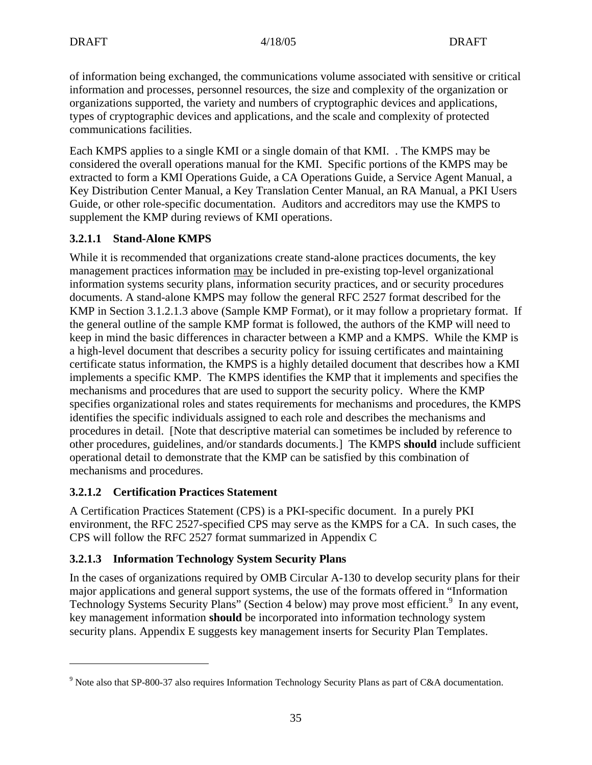of information being exchanged, the communications volume associated with sensitive or critical information and processes, personnel resources, the size and complexity of the organization or organizations supported, the variety and numbers of cryptographic devices and applications, types of cryptographic devices and applications, and the scale and complexity of protected communications facilities.

Each KMPS applies to a single KMI or a single domain of that KMI. . The KMPS may be considered the overall operations manual for the KMI. Specific portions of the KMPS may be extracted to form a KMI Operations Guide, a CA Operations Guide, a Service Agent Manual, a Key Distribution Center Manual, a Key Translation Center Manual, an RA Manual, a PKI Users Guide, or other role-specific documentation. Auditors and accreditors may use the KMPS to supplement the KMP during reviews of KMI operations.

# **3.2.1.1 Stand-Alone KMPS**

While it is recommended that organizations create stand-alone practices documents, the key management practices information may be included in pre-existing top-level organizational information systems security plans, information security practices, and or security procedures documents. A stand-alone KMPS may follow the general RFC 2527 format described for the KMP in Section 3.1.2.1.3 above (Sample KMP Format), or it may follow a proprietary format. If the general outline of the sample KMP format is followed, the authors of the KMP will need to keep in mind the basic differences in character between a KMP and a KMPS. While the KMP is a high-level document that describes a security policy for issuing certificates and maintaining certificate status information, the KMPS is a highly detailed document that describes how a KMI implements a specific KMP. The KMPS identifies the KMP that it implements and specifies the mechanisms and procedures that are used to support the security policy. Where the KMP specifies organizational roles and states requirements for mechanisms and procedures, the KMPS identifies the specific individuals assigned to each role and describes the mechanisms and procedures in detail. [Note that descriptive material can sometimes be included by reference to other procedures, guidelines, and/or standards documents.] The KMPS **should** include sufficient operational detail to demonstrate that the KMP can be satisfied by this combination of mechanisms and procedures.

# **3.2.1.2 Certification Practices Statement**

1

A Certification Practices Statement (CPS) is a PKI-specific document. In a purely PKI environment, the RFC 2527-specified CPS may serve as the KMPS for a CA. In such cases, the CPS will follow the RFC 2527 format summarized in Appendix C

# **3.2.1.3 Information Technology System Security Plans**

In the cases of organizations required by OMB Circular A-130 to develop security plans for their major applications and general support systems, the use of the formats offered in "Information Technology Systems Security Plans" (Section 4 below) may prove most efficient.<sup>9</sup> In any event, key management information **should** be incorporated into information technology system security plans. Appendix E suggests key management inserts for Security Plan Templates.

<sup>&</sup>lt;sup>9</sup> Note also that SP-800-37 also requires Information Technology Security Plans as part of C&A documentation.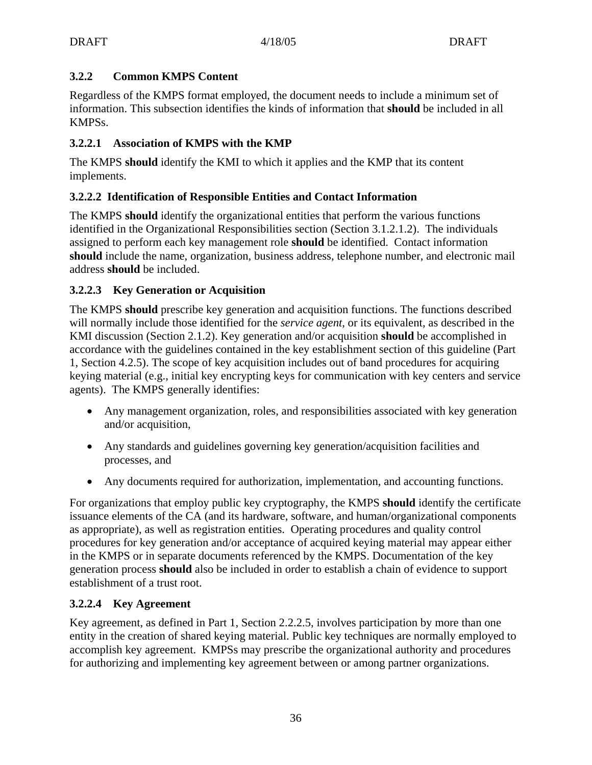# **3.2.2 Common KMPS Content**

Regardless of the KMPS format employed, the document needs to include a minimum set of information. This subsection identifies the kinds of information that **should** be included in all KMPSs.

# **3.2.2.1 Association of KMPS with the KMP**

The KMPS **should** identify the KMI to which it applies and the KMP that its content implements.

# **3.2.2.2 Identification of Responsible Entities and Contact Information**

The KMPS **should** identify the organizational entities that perform the various functions identified in the Organizational Responsibilities section (Section 3.1.2.1.2). The individuals assigned to perform each key management role **should** be identified. Contact information **should** include the name, organization, business address, telephone number, and electronic mail address **should** be included.

# **3.2.2.3 Key Generation or Acquisition**

The KMPS **should** prescribe key generation and acquisition functions. The functions described will normally include those identified for the *service agent*, or its equivalent, as described in the KMI discussion (Section 2.1.2). Key generation and/or acquisition **should** be accomplished in accordance with the guidelines contained in the key establishment section of this guideline (Part 1, Section 4.2.5). The scope of key acquisition includes out of band procedures for acquiring keying material (e.g., initial key encrypting keys for communication with key centers and service agents). The KMPS generally identifies:

- Any management organization, roles, and responsibilities associated with key generation and/or acquisition,
- Any standards and guidelines governing key generation/acquisition facilities and processes, and
- Any documents required for authorization, implementation, and accounting functions.

For organizations that employ public key cryptography, the KMPS **should** identify the certificate issuance elements of the CA (and its hardware, software, and human/organizational components as appropriate), as well as registration entities. Operating procedures and quality control procedures for key generation and/or acceptance of acquired keying material may appear either in the KMPS or in separate documents referenced by the KMPS. Documentation of the key generation process **should** also be included in order to establish a chain of evidence to support establishment of a trust root.

# **3.2.2.4 Key Agreement**

Key agreement, as defined in Part 1, Section 2.2.2.5, involves participation by more than one entity in the creation of shared keying material. Public key techniques are normally employed to accomplish key agreement. KMPSs may prescribe the organizational authority and procedures for authorizing and implementing key agreement between or among partner organizations.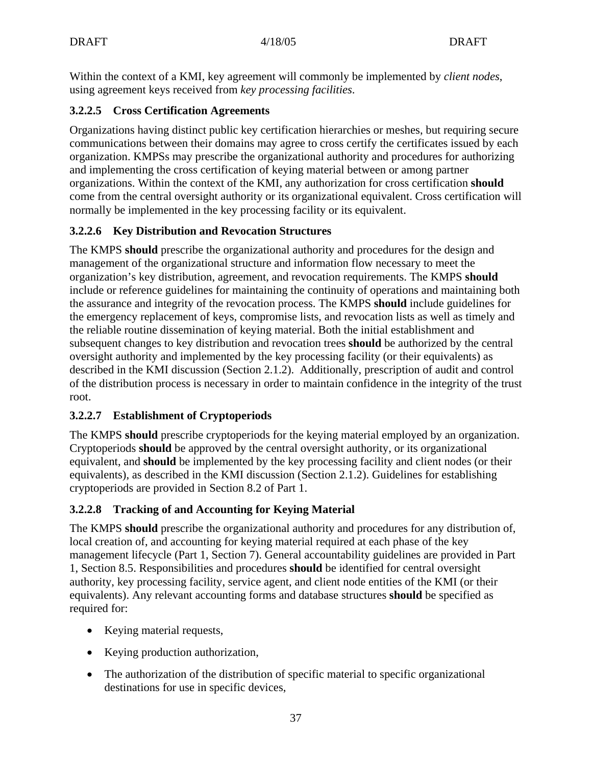Within the context of a KMI, key agreement will commonly be implemented by *client nodes*, using agreement keys received from *key processing facilities*.

## **3.2.2.5 Cross Certification Agreements**

Organizations having distinct public key certification hierarchies or meshes, but requiring secure communications between their domains may agree to cross certify the certificates issued by each organization. KMPSs may prescribe the organizational authority and procedures for authorizing and implementing the cross certification of keying material between or among partner organizations. Within the context of the KMI, any authorization for cross certification **should** come from the central oversight authority or its organizational equivalent. Cross certification will normally be implemented in the key processing facility or its equivalent.

# **3.2.2.6 Key Distribution and Revocation Structures**

The KMPS **should** prescribe the organizational authority and procedures for the design and management of the organizational structure and information flow necessary to meet the organization's key distribution, agreement, and revocation requirements. The KMPS **should** include or reference guidelines for maintaining the continuity of operations and maintaining both the assurance and integrity of the revocation process. The KMPS **should** include guidelines for the emergency replacement of keys, compromise lists, and revocation lists as well as timely and the reliable routine dissemination of keying material. Both the initial establishment and subsequent changes to key distribution and revocation trees **should** be authorized by the central oversight authority and implemented by the key processing facility (or their equivalents) as described in the KMI discussion (Section 2.1.2). Additionally, prescription of audit and control of the distribution process is necessary in order to maintain confidence in the integrity of the trust root.

### **3.2.2.7 Establishment of Cryptoperiods**

The KMPS **should** prescribe cryptoperiods for the keying material employed by an organization. Cryptoperiods **should** be approved by the central oversight authority, or its organizational equivalent, and **should** be implemented by the key processing facility and client nodes (or their equivalents), as described in the KMI discussion (Section 2.1.2). Guidelines for establishing cryptoperiods are provided in Section 8.2 of Part 1.

# **3.2.2.8 Tracking of and Accounting for Keying Material**

The KMPS **should** prescribe the organizational authority and procedures for any distribution of, local creation of, and accounting for keying material required at each phase of the key management lifecycle (Part 1, Section 7). General accountability guidelines are provided in Part 1, Section 8.5. Responsibilities and procedures **should** be identified for central oversight authority, key processing facility, service agent, and client node entities of the KMI (or their equivalents). Any relevant accounting forms and database structures **should** be specified as required for:

- Keying material requests,
- Keying production authorization,
- The authorization of the distribution of specific material to specific organizational destinations for use in specific devices,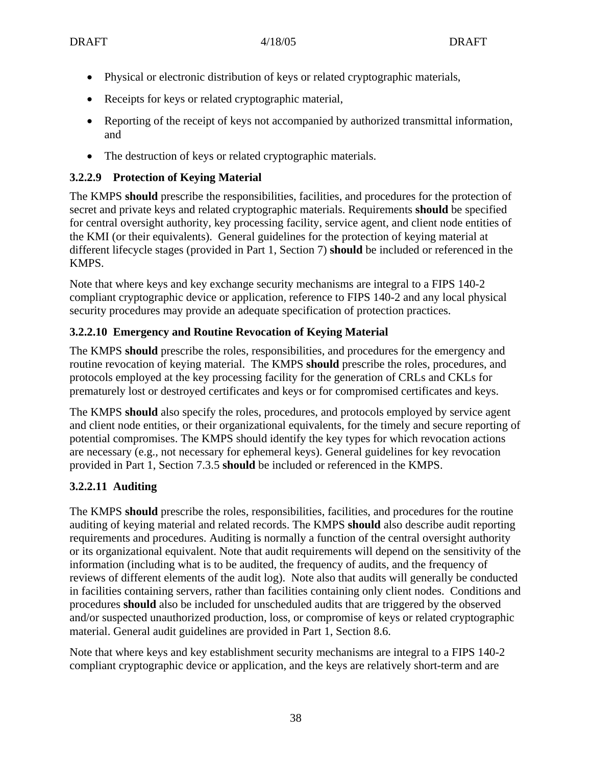- Physical or electronic distribution of keys or related cryptographic materials,
- Receipts for keys or related cryptographic material,
- Reporting of the receipt of keys not accompanied by authorized transmittal information, and
- The destruction of keys or related cryptographic materials.

## **3.2.2.9 Protection of Keying Material**

The KMPS **should** prescribe the responsibilities, facilities, and procedures for the protection of secret and private keys and related cryptographic materials. Requirements **should** be specified for central oversight authority, key processing facility, service agent, and client node entities of the KMI (or their equivalents). General guidelines for the protection of keying material at different lifecycle stages (provided in Part 1, Section 7) **should** be included or referenced in the KMPS.

Note that where keys and key exchange security mechanisms are integral to a FIPS 140-2 compliant cryptographic device or application, reference to FIPS 140-2 and any local physical security procedures may provide an adequate specification of protection practices.

# **3.2.2.10 Emergency and Routine Revocation of Keying Material**

The KMPS **should** prescribe the roles, responsibilities, and procedures for the emergency and routine revocation of keying material. The KMPS **should** prescribe the roles, procedures, and protocols employed at the key processing facility for the generation of CRLs and CKLs for prematurely lost or destroyed certificates and keys or for compromised certificates and keys.

The KMPS **should** also specify the roles, procedures, and protocols employed by service agent and client node entities, or their organizational equivalents, for the timely and secure reporting of potential compromises. The KMPS should identify the key types for which revocation actions are necessary (e.g., not necessary for ephemeral keys). General guidelines for key revocation provided in Part 1, Section 7.3.5 **should** be included or referenced in the KMPS.

# **3.2.2.11 Auditing**

The KMPS **should** prescribe the roles, responsibilities, facilities, and procedures for the routine auditing of keying material and related records. The KMPS **should** also describe audit reporting requirements and procedures. Auditing is normally a function of the central oversight authority or its organizational equivalent. Note that audit requirements will depend on the sensitivity of the information (including what is to be audited, the frequency of audits, and the frequency of reviews of different elements of the audit log). Note also that audits will generally be conducted in facilities containing servers, rather than facilities containing only client nodes. Conditions and procedures **should** also be included for unscheduled audits that are triggered by the observed and/or suspected unauthorized production, loss, or compromise of keys or related cryptographic material. General audit guidelines are provided in Part 1, Section 8.6.

Note that where keys and key establishment security mechanisms are integral to a FIPS 140-2 compliant cryptographic device or application, and the keys are relatively short-term and are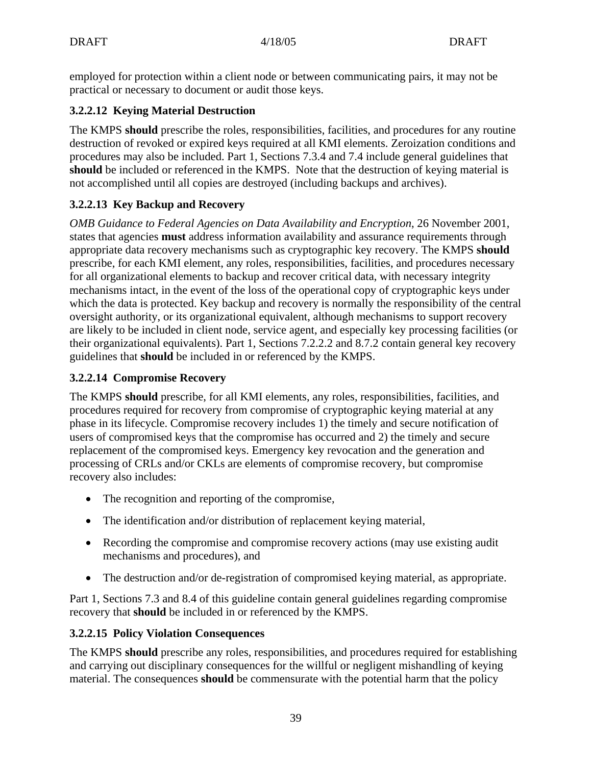employed for protection within a client node or between communicating pairs, it may not be practical or necessary to document or audit those keys.

## **3.2.2.12 Keying Material Destruction**

The KMPS **should** prescribe the roles, responsibilities, facilities, and procedures for any routine destruction of revoked or expired keys required at all KMI elements. Zeroization conditions and procedures may also be included. Part 1, Sections 7.3.4 and 7.4 include general guidelines that **should** be included or referenced in the KMPS. Note that the destruction of keying material is not accomplished until all copies are destroyed (including backups and archives).

## **3.2.2.13 Key Backup and Recovery**

*OMB Guidance to Federal Agencies on Data Availability and Encryption*, 26 November 2001, states that agencies **must** address information availability and assurance requirements through appropriate data recovery mechanisms such as cryptographic key recovery. The KMPS **should** prescribe, for each KMI element, any roles, responsibilities, facilities, and procedures necessary for all organizational elements to backup and recover critical data, with necessary integrity mechanisms intact, in the event of the loss of the operational copy of cryptographic keys under which the data is protected. Key backup and recovery is normally the responsibility of the central oversight authority, or its organizational equivalent, although mechanisms to support recovery are likely to be included in client node, service agent, and especially key processing facilities (or their organizational equivalents). Part 1, Sections 7.2.2.2 and 8.7.2 contain general key recovery guidelines that **should** be included in or referenced by the KMPS.

### **3.2.2.14 Compromise Recovery**

The KMPS **should** prescribe, for all KMI elements, any roles, responsibilities, facilities, and procedures required for recovery from compromise of cryptographic keying material at any phase in its lifecycle. Compromise recovery includes 1) the timely and secure notification of users of compromised keys that the compromise has occurred and 2) the timely and secure replacement of the compromised keys. Emergency key revocation and the generation and processing of CRLs and/or CKLs are elements of compromise recovery, but compromise recovery also includes:

- The recognition and reporting of the compromise,
- The identification and/or distribution of replacement keying material,
- Recording the compromise and compromise recovery actions (may use existing audit) mechanisms and procedures), and
- The destruction and/or de-registration of compromised keying material, as appropriate.

Part 1, Sections 7.3 and 8.4 of this guideline contain general guidelines regarding compromise recovery that **should** be included in or referenced by the KMPS.

### **3.2.2.15 Policy Violation Consequences**

The KMPS **should** prescribe any roles, responsibilities, and procedures required for establishing and carrying out disciplinary consequences for the willful or negligent mishandling of keying material. The consequences **should** be commensurate with the potential harm that the policy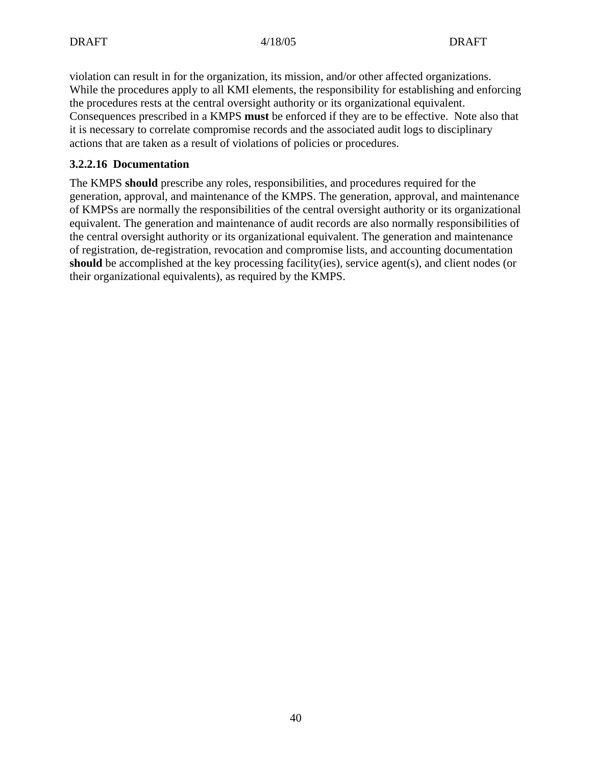violation can result in for the organization, its mission, and/or other affected organizations. While the procedures apply to all KMI elements, the responsibility for establishing and enforcing the procedures rests at the central oversight authority or its organizational equivalent. Consequences prescribed in a KMPS **must** be enforced if they are to be effective. Note also that it is necessary to correlate compromise records and the associated audit logs to disciplinary actions that are taken as a result of violations of policies or procedures.

### **3.2.2.16 Documentation**

The KMPS **should** prescribe any roles, responsibilities, and procedures required for the generation, approval, and maintenance of the KMPS. The generation, approval, and maintenance of KMPSs are normally the responsibilities of the central oversight authority or its organizational equivalent. The generation and maintenance of audit records are also normally responsibilities of the central oversight authority or its organizational equivalent. The generation and maintenance of registration, de-registration, revocation and compromise lists, and accounting documentation **should** be accomplished at the key processing facility(ies), service agent(s), and client nodes (or their organizational equivalents), as required by the KMPS.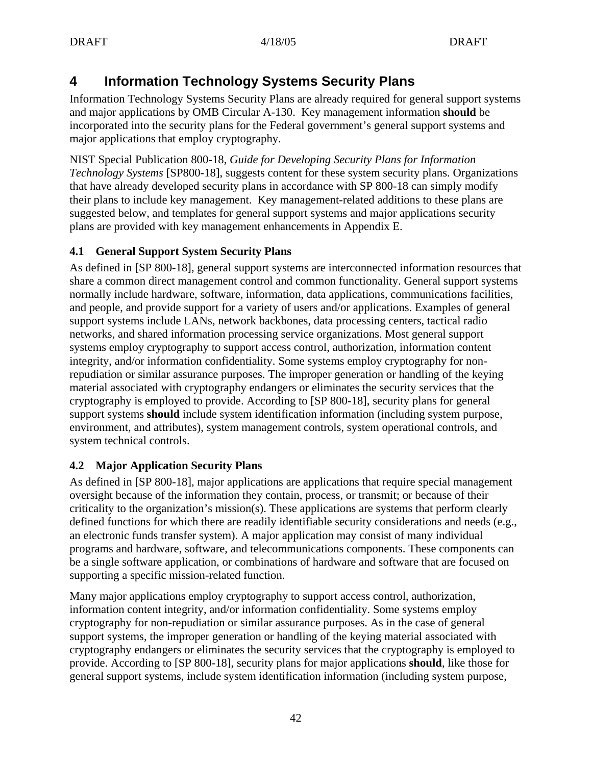# **4 Information Technology Systems Security Plans**

Information Technology Systems Security Plans are already required for general support systems and major applications by OMB Circular A-130. Key management information **should** be incorporated into the security plans for the Federal government's general support systems and major applications that employ cryptography.

NIST Special Publication 800-18, *Guide for Developing Security Plans for Information Technology Systems* [SP800-18], suggests content for these system security plans. Organizations that have already developed security plans in accordance with SP 800-18 can simply modify their plans to include key management. Key management-related additions to these plans are suggested below, and templates for general support systems and major applications security plans are provided with key management enhancements in Appendix E.

### **4.1 General Support System Security Plans**

As defined in [SP 800-18], general support systems are interconnected information resources that share a common direct management control and common functionality. General support systems normally include hardware, software, information, data applications, communications facilities, and people, and provide support for a variety of users and/or applications. Examples of general support systems include LANs, network backbones, data processing centers, tactical radio networks, and shared information processing service organizations. Most general support systems employ cryptography to support access control, authorization, information content integrity, and/or information confidentiality. Some systems employ cryptography for nonrepudiation or similar assurance purposes. The improper generation or handling of the keying material associated with cryptography endangers or eliminates the security services that the cryptography is employed to provide. According to [SP 800-18], security plans for general support systems **should** include system identification information (including system purpose, environment, and attributes), system management controls, system operational controls, and system technical controls.

### **4.2 Major Application Security Plans**

As defined in [SP 800-18], major applications are applications that require special management oversight because of the information they contain, process, or transmit; or because of their criticality to the organization's mission(s). These applications are systems that perform clearly defined functions for which there are readily identifiable security considerations and needs (e.g., an electronic funds transfer system). A major application may consist of many individual programs and hardware, software, and telecommunications components. These components can be a single software application, or combinations of hardware and software that are focused on supporting a specific mission-related function.

Many major applications employ cryptography to support access control, authorization, information content integrity, and/or information confidentiality. Some systems employ cryptography for non-repudiation or similar assurance purposes. As in the case of general support systems, the improper generation or handling of the keying material associated with cryptography endangers or eliminates the security services that the cryptography is employed to provide. According to [SP 800-18], security plans for major applications **should**, like those for general support systems, include system identification information (including system purpose,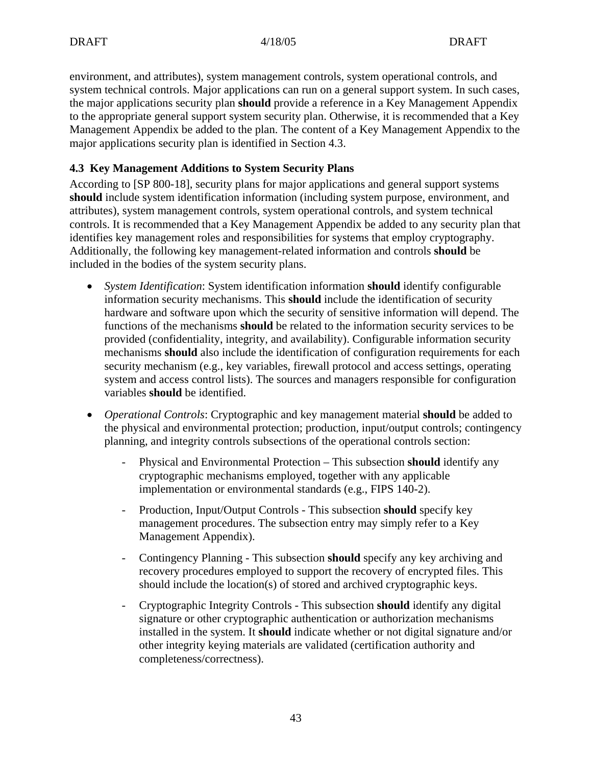environment, and attributes), system management controls, system operational controls, and system technical controls. Major applications can run on a general support system. In such cases, the major applications security plan **should** provide a reference in a Key Management Appendix to the appropriate general support system security plan. Otherwise, it is recommended that a Key Management Appendix be added to the plan. The content of a Key Management Appendix to the major applications security plan is identified in Section 4.3.

### **4.3 Key Management Additions to System Security Plans**

According to [SP 800-18], security plans for major applications and general support systems **should** include system identification information (including system purpose, environment, and attributes), system management controls, system operational controls, and system technical controls. It is recommended that a Key Management Appendix be added to any security plan that identifies key management roles and responsibilities for systems that employ cryptography. Additionally, the following key management-related information and controls **should** be included in the bodies of the system security plans.

- *System Identification*: System identification information **should** identify configurable information security mechanisms. This **should** include the identification of security hardware and software upon which the security of sensitive information will depend. The functions of the mechanisms **should** be related to the information security services to be provided (confidentiality, integrity, and availability). Configurable information security mechanisms **should** also include the identification of configuration requirements for each security mechanism (e.g., key variables, firewall protocol and access settings, operating system and access control lists). The sources and managers responsible for configuration variables **should** be identified.
- *Operational Controls*: Cryptographic and key management material **should** be added to the physical and environmental protection; production, input/output controls; contingency planning, and integrity controls subsections of the operational controls section:
	- Physical and Environmental Protection This subsection **should** identify any cryptographic mechanisms employed, together with any applicable implementation or environmental standards (e.g., FIPS 140-2).
	- Production, Input/Output Controls This subsection **should** specify key management procedures. The subsection entry may simply refer to a Key Management Appendix).
	- Contingency Planning This subsection **should** specify any key archiving and recovery procedures employed to support the recovery of encrypted files. This should include the location(s) of stored and archived cryptographic keys.
	- Cryptographic Integrity Controls This subsection **should** identify any digital signature or other cryptographic authentication or authorization mechanisms installed in the system. It **should** indicate whether or not digital signature and/or other integrity keying materials are validated (certification authority and completeness/correctness).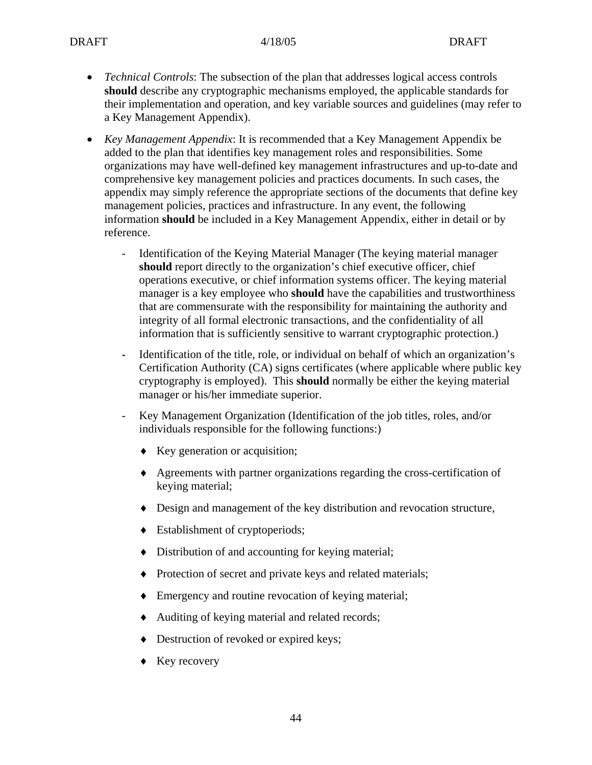- *Technical Controls*: The subsection of the plan that addresses logical access controls **should** describe any cryptographic mechanisms employed, the applicable standards for their implementation and operation, and key variable sources and guidelines (may refer to a Key Management Appendix).
- *Key Management Appendix*: It is recommended that a Key Management Appendix be added to the plan that identifies key management roles and responsibilities. Some organizations may have well-defined key management infrastructures and up-to-date and comprehensive key management policies and practices documents. In such cases, the appendix may simply reference the appropriate sections of the documents that define key management policies, practices and infrastructure. In any event, the following information **should** be included in a Key Management Appendix, either in detail or by reference.
	- Identification of the Keying Material Manager (The keying material manager **should** report directly to the organization's chief executive officer, chief operations executive, or chief information systems officer. The keying material manager is a key employee who **should** have the capabilities and trustworthiness that are commensurate with the responsibility for maintaining the authority and integrity of all formal electronic transactions, and the confidentiality of all information that is sufficiently sensitive to warrant cryptographic protection.)
	- Identification of the title, role, or individual on behalf of which an organization's Certification Authority (CA) signs certificates (where applicable where public key cryptography is employed). This **should** normally be either the keying material manager or his/her immediate superior.
	- Key Management Organization (Identification of the job titles, roles, and/or individuals responsible for the following functions:)
		- ♦ Key generation or acquisition;
		- ♦ Agreements with partner organizations regarding the cross-certification of keying material;
		- ♦ Design and management of the key distribution and revocation structure,
		- ♦ Establishment of cryptoperiods;
		- ♦ Distribution of and accounting for keying material;
		- ♦ Protection of secret and private keys and related materials;
		- ♦ Emergency and routine revocation of keying material;
		- ♦ Auditing of keying material and related records;
		- ♦ Destruction of revoked or expired keys;
		- ♦ Key recovery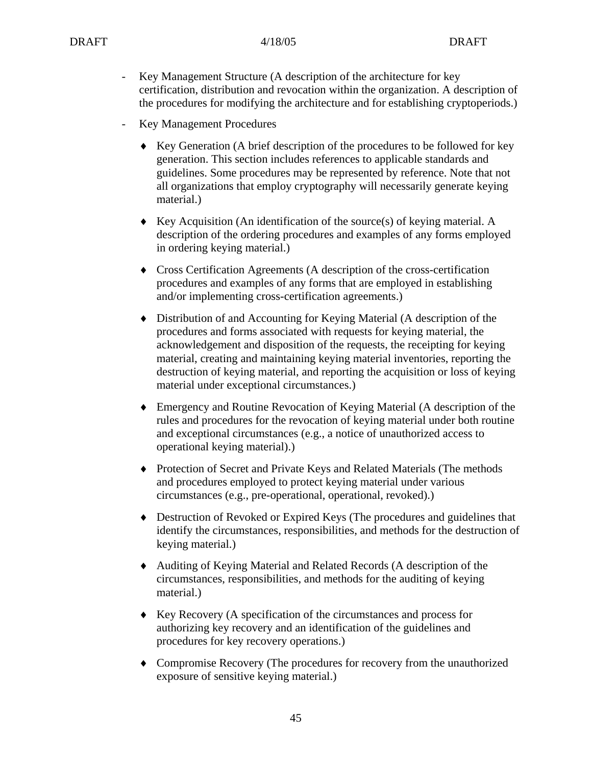- Key Management Structure (A description of the architecture for key certification, distribution and revocation within the organization. A description of the procedures for modifying the architecture and for establishing cryptoperiods.)
- Key Management Procedures
	- ♦ Key Generation (A brief description of the procedures to be followed for key generation. This section includes references to applicable standards and guidelines. Some procedures may be represented by reference. Note that not all organizations that employ cryptography will necessarily generate keying material.)
	- ♦ Key Acquisition (An identification of the source(s) of keying material. A description of the ordering procedures and examples of any forms employed in ordering keying material.)
	- ♦ Cross Certification Agreements (A description of the cross-certification procedures and examples of any forms that are employed in establishing and/or implementing cross-certification agreements.)
	- ♦ Distribution of and Accounting for Keying Material (A description of the procedures and forms associated with requests for keying material, the acknowledgement and disposition of the requests, the receipting for keying material, creating and maintaining keying material inventories, reporting the destruction of keying material, and reporting the acquisition or loss of keying material under exceptional circumstances.)
	- ♦ Emergency and Routine Revocation of Keying Material (A description of the rules and procedures for the revocation of keying material under both routine and exceptional circumstances (e.g., a notice of unauthorized access to operational keying material).)
	- ♦ Protection of Secret and Private Keys and Related Materials (The methods and procedures employed to protect keying material under various circumstances (e.g., pre-operational, operational, revoked).)
	- ♦ Destruction of Revoked or Expired Keys (The procedures and guidelines that identify the circumstances, responsibilities, and methods for the destruction of keying material.)
	- ♦ Auditing of Keying Material and Related Records (A description of the circumstances, responsibilities, and methods for the auditing of keying material.)
	- ♦ Key Recovery (A specification of the circumstances and process for authorizing key recovery and an identification of the guidelines and procedures for key recovery operations.)
	- ♦ Compromise Recovery (The procedures for recovery from the unauthorized exposure of sensitive keying material.)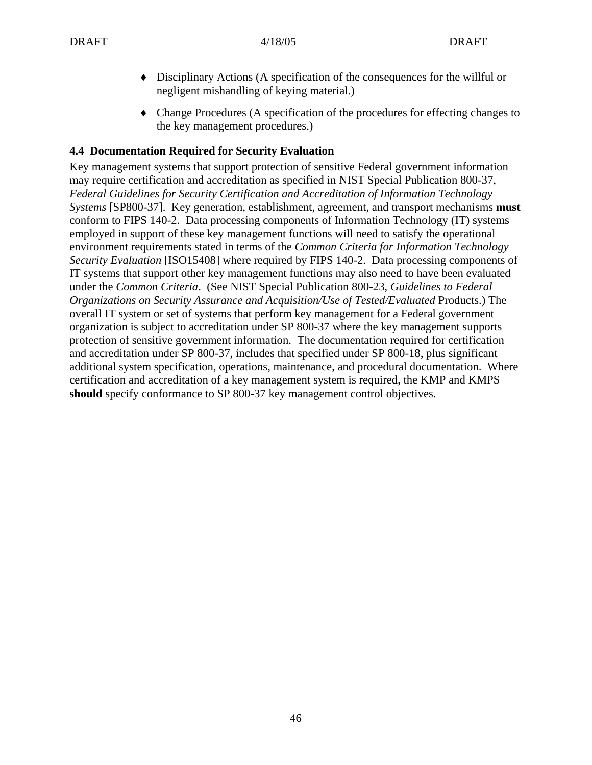- ♦ Disciplinary Actions (A specification of the consequences for the willful or negligent mishandling of keying material.)
- ♦ Change Procedures (A specification of the procedures for effecting changes to the key management procedures.)

#### **4.4 Documentation Required for Security Evaluation**

Key management systems that support protection of sensitive Federal government information may require certification and accreditation as specified in NIST Special Publication 800-37, *Federal Guidelines for Security Certification and Accreditation of Information Technology Systems* [SP800-37]. Key generation, establishment, agreement, and transport mechanisms **must** conform to FIPS 140-2. Data processing components of Information Technology (IT) systems employed in support of these key management functions will need to satisfy the operational environment requirements stated in terms of the *Common Criteria for Information Technology Security Evaluation* [ISO15408] where required by FIPS 140-2. Data processing components of IT systems that support other key management functions may also need to have been evaluated under the *Common Criteria*. (See NIST Special Publication 800-23, *Guidelines to Federal Organizations on Security Assurance and Acquisition/Use of Tested/Evaluated* Products.) The overall IT system or set of systems that perform key management for a Federal government organization is subject to accreditation under SP 800-37 where the key management supports protection of sensitive government information. The documentation required for certification and accreditation under SP 800-37, includes that specified under SP 800-18, plus significant additional system specification, operations, maintenance, and procedural documentation. Where certification and accreditation of a key management system is required, the KMP and KMPS **should** specify conformance to SP 800-37 key management control objectives.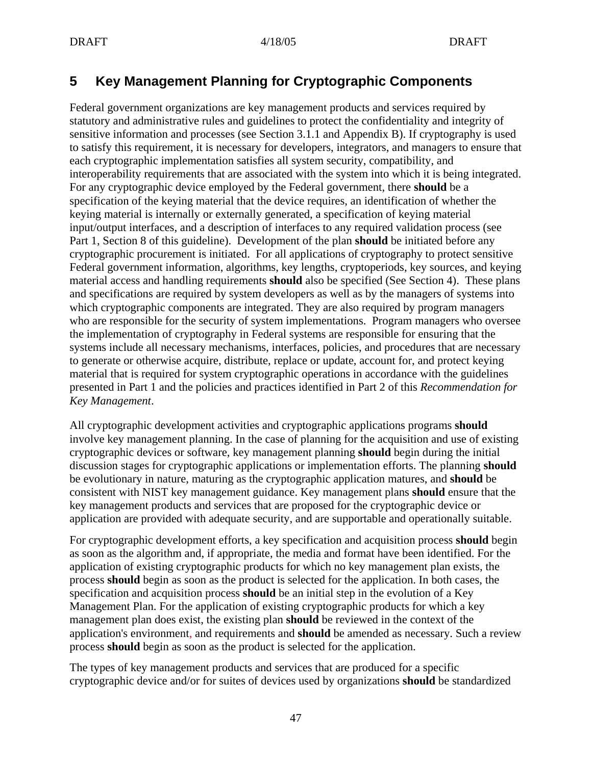# **5 Key Management Planning for Cryptographic Components**

Federal government organizations are key management products and services required by statutory and administrative rules and guidelines to protect the confidentiality and integrity of sensitive information and processes (see Section 3.1.1 and Appendix B). If cryptography is used to satisfy this requirement, it is necessary for developers, integrators, and managers to ensure that each cryptographic implementation satisfies all system security, compatibility, and interoperability requirements that are associated with the system into which it is being integrated. For any cryptographic device employed by the Federal government, there **should** be a specification of the keying material that the device requires, an identification of whether the keying material is internally or externally generated, a specification of keying material input/output interfaces, and a description of interfaces to any required validation process (see Part 1, Section 8 of this guideline). Development of the plan **should** be initiated before any cryptographic procurement is initiated. For all applications of cryptography to protect sensitive Federal government information, algorithms, key lengths, cryptoperiods, key sources, and keying material access and handling requirements **should** also be specified (See Section 4). These plans and specifications are required by system developers as well as by the managers of systems into which cryptographic components are integrated. They are also required by program managers who are responsible for the security of system implementations. Program managers who oversee the implementation of cryptography in Federal systems are responsible for ensuring that the systems include all necessary mechanisms, interfaces, policies, and procedures that are necessary to generate or otherwise acquire, distribute, replace or update, account for, and protect keying material that is required for system cryptographic operations in accordance with the guidelines presented in Part 1 and the policies and practices identified in Part 2 of this *Recommendation for Key Management*.

All cryptographic development activities and cryptographic applications programs **should** involve key management planning. In the case of planning for the acquisition and use of existing cryptographic devices or software, key management planning **should** begin during the initial discussion stages for cryptographic applications or implementation efforts. The planning **should** be evolutionary in nature, maturing as the cryptographic application matures, and **should** be consistent with NIST key management guidance. Key management plans **should** ensure that the key management products and services that are proposed for the cryptographic device or application are provided with adequate security, and are supportable and operationally suitable.

For cryptographic development efforts, a key specification and acquisition process **should** begin as soon as the algorithm and, if appropriate, the media and format have been identified. For the application of existing cryptographic products for which no key management plan exists, the process **should** begin as soon as the product is selected for the application. In both cases, the specification and acquisition process **should** be an initial step in the evolution of a Key Management Plan. For the application of existing cryptographic products for which a key management plan does exist, the existing plan **should** be reviewed in the context of the application's environment, and requirements and **should** be amended as necessary. Such a review process **should** begin as soon as the product is selected for the application.

The types of key management products and services that are produced for a specific cryptographic device and/or for suites of devices used by organizations **should** be standardized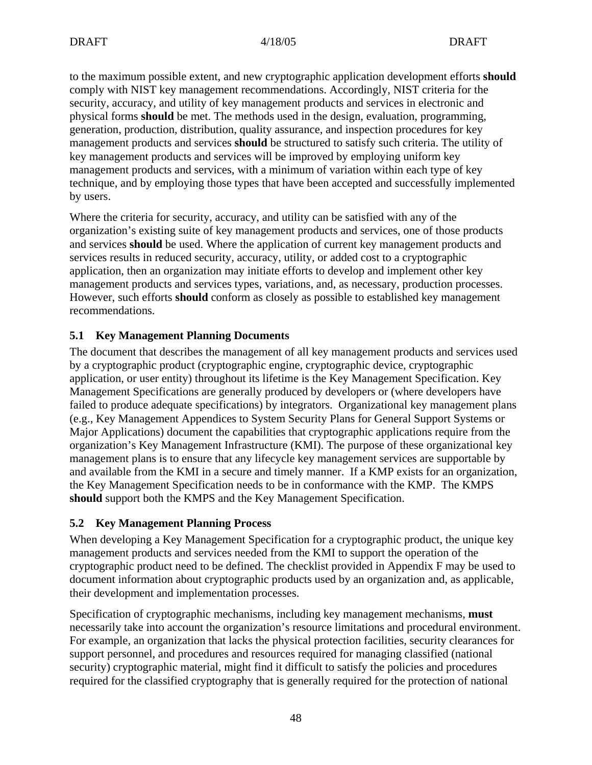to the maximum possible extent, and new cryptographic application development efforts **should** comply with NIST key management recommendations. Accordingly, NIST criteria for the security, accuracy, and utility of key management products and services in electronic and physical forms **should** be met. The methods used in the design, evaluation, programming, generation, production, distribution, quality assurance, and inspection procedures for key management products and services **should** be structured to satisfy such criteria. The utility of key management products and services will be improved by employing uniform key management products and services, with a minimum of variation within each type of key technique, and by employing those types that have been accepted and successfully implemented by users.

Where the criteria for security, accuracy, and utility can be satisfied with any of the organization's existing suite of key management products and services, one of those products and services **should** be used. Where the application of current key management products and services results in reduced security, accuracy, utility, or added cost to a cryptographic application, then an organization may initiate efforts to develop and implement other key management products and services types, variations, and, as necessary, production processes. However, such efforts **should** conform as closely as possible to established key management recommendations.

### **5.1 Key Management Planning Documents**

The document that describes the management of all key management products and services used by a cryptographic product (cryptographic engine, cryptographic device, cryptographic application, or user entity) throughout its lifetime is the Key Management Specification. Key Management Specifications are generally produced by developers or (where developers have failed to produce adequate specifications) by integrators. Organizational key management plans (e.g., Key Management Appendices to System Security Plans for General Support Systems or Major Applications) document the capabilities that cryptographic applications require from the organization's Key Management Infrastructure (KMI). The purpose of these organizational key management plans is to ensure that any lifecycle key management services are supportable by and available from the KMI in a secure and timely manner. If a KMP exists for an organization, the Key Management Specification needs to be in conformance with the KMP. The KMPS **should** support both the KMPS and the Key Management Specification.

### **5.2 Key Management Planning Process**

When developing a Key Management Specification for a cryptographic product, the unique key management products and services needed from the KMI to support the operation of the cryptographic product need to be defined. The checklist provided in Appendix F may be used to document information about cryptographic products used by an organization and, as applicable, their development and implementation processes.

Specification of cryptographic mechanisms, including key management mechanisms, **must** necessarily take into account the organization's resource limitations and procedural environment. For example, an organization that lacks the physical protection facilities, security clearances for support personnel, and procedures and resources required for managing classified (national security) cryptographic material, might find it difficult to satisfy the policies and procedures required for the classified cryptography that is generally required for the protection of national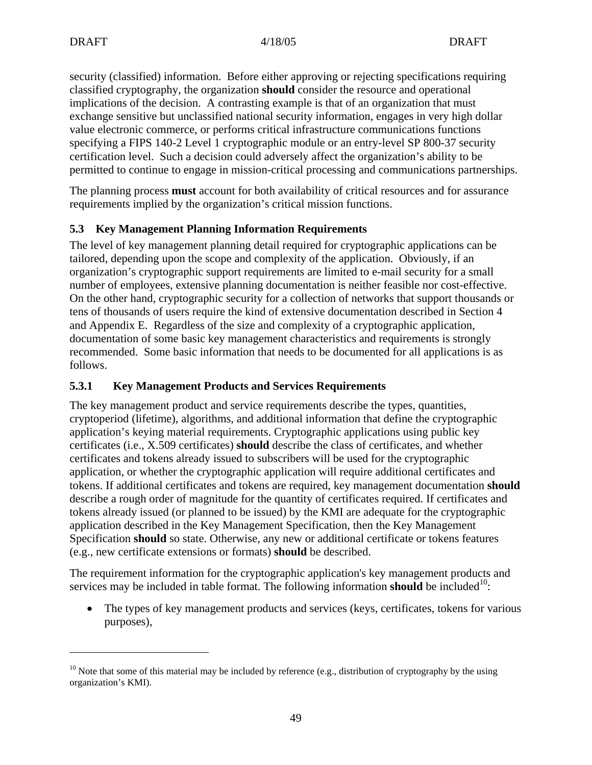<u>.</u>

security (classified) information. Before either approving or rejecting specifications requiring classified cryptography, the organization **should** consider the resource and operational implications of the decision. A contrasting example is that of an organization that must exchange sensitive but unclassified national security information, engages in very high dollar value electronic commerce, or performs critical infrastructure communications functions specifying a FIPS 140-2 Level 1 cryptographic module or an entry-level SP 800-37 security certification level. Such a decision could adversely affect the organization's ability to be permitted to continue to engage in mission-critical processing and communications partnerships.

The planning process **must** account for both availability of critical resources and for assurance requirements implied by the organization's critical mission functions.

### **5.3 Key Management Planning Information Requirements**

The level of key management planning detail required for cryptographic applications can be tailored, depending upon the scope and complexity of the application. Obviously, if an organization's cryptographic support requirements are limited to e-mail security for a small number of employees, extensive planning documentation is neither feasible nor cost-effective. On the other hand, cryptographic security for a collection of networks that support thousands or tens of thousands of users require the kind of extensive documentation described in Section 4 and Appendix E. Regardless of the size and complexity of a cryptographic application, documentation of some basic key management characteristics and requirements is strongly recommended. Some basic information that needs to be documented for all applications is as follows.

### **5.3.1 Key Management Products and Services Requirements**

The key management product and service requirements describe the types, quantities, cryptoperiod (lifetime), algorithms, and additional information that define the cryptographic application's keying material requirements. Cryptographic applications using public key certificates (i.e., X.509 certificates) **should** describe the class of certificates, and whether certificates and tokens already issued to subscribers will be used for the cryptographic application, or whether the cryptographic application will require additional certificates and tokens. If additional certificates and tokens are required, key management documentation **should** describe a rough order of magnitude for the quantity of certificates required. If certificates and tokens already issued (or planned to be issued) by the KMI are adequate for the cryptographic application described in the Key Management Specification, then the Key Management Specification **should** so state. Otherwise, any new or additional certificate or tokens features (e.g., new certificate extensions or formats) **should** be described.

The requirement information for the cryptographic application's key management products and services may be included in table format. The following information **should** be included<sup>10</sup>:

• The types of key management products and services (keys, certificates, tokens for various purposes),

<sup>&</sup>lt;sup>10</sup> Note that some of this material may be included by reference (e.g., distribution of cryptography by the using organization's KMI).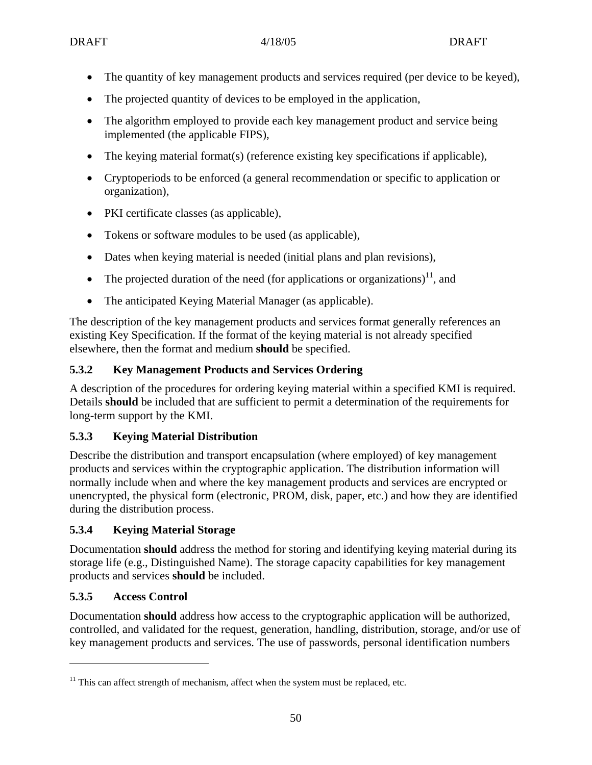- The quantity of key management products and services required (per device to be keyed),
- The projected quantity of devices to be employed in the application,
- The algorithm employed to provide each key management product and service being implemented (the applicable FIPS),
- The keying material format(s) (reference existing key specifications if applicable),
- Cryptoperiods to be enforced (a general recommendation or specific to application or organization),
- PKI certificate classes (as applicable),
- Tokens or software modules to be used (as applicable),
- Dates when keying material is needed (initial plans and plan revisions),
- The projected duration of the need (for applications or organizations)<sup>11</sup>, and
- The anticipated Keying Material Manager (as applicable).

The description of the key management products and services format generally references an existing Key Specification. If the format of the keying material is not already specified elsewhere, then the format and medium **should** be specified.

## **5.3.2 Key Management Products and Services Ordering**

A description of the procedures for ordering keying material within a specified KMI is required. Details **should** be included that are sufficient to permit a determination of the requirements for long-term support by the KMI.

### **5.3.3 Keying Material Distribution**

Describe the distribution and transport encapsulation (where employed) of key management products and services within the cryptographic application. The distribution information will normally include when and where the key management products and services are encrypted or unencrypted, the physical form (electronic, PROM, disk, paper, etc.) and how they are identified during the distribution process.

### **5.3.4 Keying Material Storage**

Documentation **should** address the method for storing and identifying keying material during its storage life (e.g., Distinguished Name). The storage capacity capabilities for key management products and services **should** be included.

# **5.3.5 Access Control**

 $\overline{a}$ 

Documentation **should** address how access to the cryptographic application will be authorized, controlled, and validated for the request, generation, handling, distribution, storage, and/or use of key management products and services. The use of passwords, personal identification numbers

 $11$  This can affect strength of mechanism, affect when the system must be replaced, etc.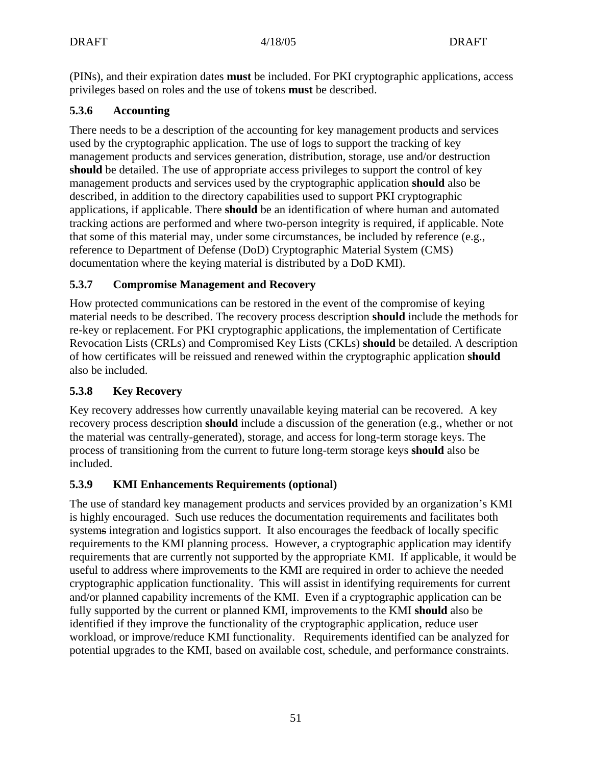(PINs), and their expiration dates **must** be included. For PKI cryptographic applications, access privileges based on roles and the use of tokens **must** be described.

### **5.3.6 Accounting**

There needs to be a description of the accounting for key management products and services used by the cryptographic application. The use of logs to support the tracking of key management products and services generation, distribution, storage, use and/or destruction **should** be detailed. The use of appropriate access privileges to support the control of key management products and services used by the cryptographic application **should** also be described, in addition to the directory capabilities used to support PKI cryptographic applications, if applicable. There **should** be an identification of where human and automated tracking actions are performed and where two-person integrity is required, if applicable. Note that some of this material may, under some circumstances, be included by reference (e.g., reference to Department of Defense (DoD) Cryptographic Material System (CMS) documentation where the keying material is distributed by a DoD KMI).

### **5.3.7 Compromise Management and Recovery**

How protected communications can be restored in the event of the compromise of keying material needs to be described. The recovery process description **should** include the methods for re-key or replacement. For PKI cryptographic applications, the implementation of Certificate Revocation Lists (CRLs) and Compromised Key Lists (CKLs) **should** be detailed. A description of how certificates will be reissued and renewed within the cryptographic application **should** also be included.

### **5.3.8 Key Recovery**

Key recovery addresses how currently unavailable keying material can be recovered. A key recovery process description **should** include a discussion of the generation (e.g., whether or not the material was centrally-generated), storage, and access for long-term storage keys. The process of transitioning from the current to future long-term storage keys **should** also be included.

### **5.3.9 KMI Enhancements Requirements (optional)**

The use of standard key management products and services provided by an organization's KMI is highly encouraged. Such use reduces the documentation requirements and facilitates both systems integration and logistics support. It also encourages the feedback of locally specific requirements to the KMI planning process. However, a cryptographic application may identify requirements that are currently not supported by the appropriate KMI. If applicable, it would be useful to address where improvements to the KMI are required in order to achieve the needed cryptographic application functionality. This will assist in identifying requirements for current and/or planned capability increments of the KMI. Even if a cryptographic application can be fully supported by the current or planned KMI, improvements to the KMI **should** also be identified if they improve the functionality of the cryptographic application, reduce user workload, or improve/reduce KMI functionality. Requirements identified can be analyzed for potential upgrades to the KMI, based on available cost, schedule, and performance constraints.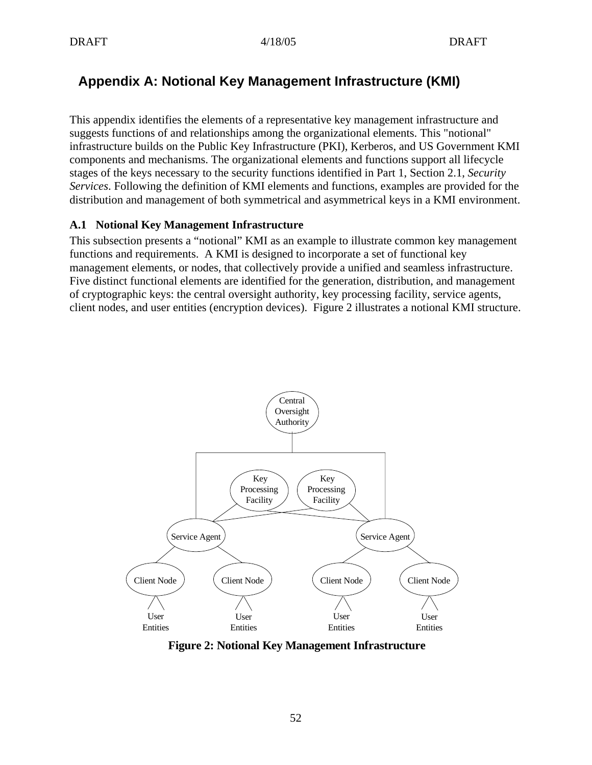# **Appendix A: Notional Key Management Infrastructure (KMI)**

This appendix identifies the elements of a representative key management infrastructure and suggests functions of and relationships among the organizational elements. This "notional" infrastructure builds on the Public Key Infrastructure (PKI), Kerberos, and US Government KMI components and mechanisms. The organizational elements and functions support all lifecycle stages of the keys necessary to the security functions identified in Part 1, Section 2.1, *Security Services*. Following the definition of KMI elements and functions, examples are provided for the distribution and management of both symmetrical and asymmetrical keys in a KMI environment.

### **A.1 Notional Key Management Infrastructure**

This subsection presents a "notional" KMI as an example to illustrate common key management functions and requirements. A KMI is designed to incorporate a set of functional key management elements, or nodes, that collectively provide a unified and seamless infrastructure. Five distinct functional elements are identified for the generation, distribution, and management of cryptographic keys: the central oversight authority, key processing facility, service agents, client nodes, and user entities (encryption devices). Figure 2 illustrates a notional KMI structure.



**Figure 2: Notional Key Management Infrastructure**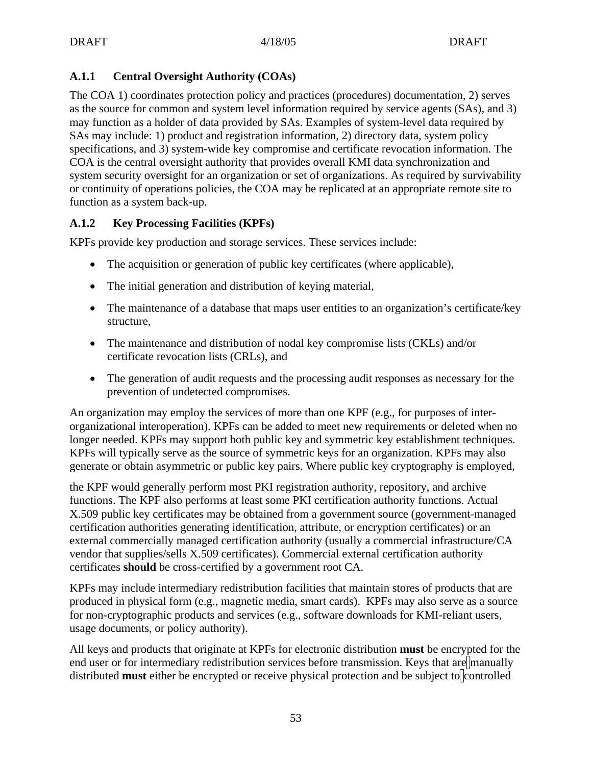### **A.1.1 Central Oversight Authority (COAs)**

The COA 1) coordinates protection policy and practices (procedures) documentation, 2) serves as the source for common and system level information required by service agents (SAs), and 3) may function as a holder of data provided by SAs. Examples of system-level data required by SAs may include: 1) product and registration information, 2) directory data, system policy specifications, and 3) system-wide key compromise and certificate revocation information. The COA is the central oversight authority that provides overall KMI data synchronization and system security oversight for an organization or set of organizations. As required by survivability or continuity of operations policies, the COA may be replicated at an appropriate remote site to function as a system back-up.

### **A.1.2 Key Processing Facilities (KPFs)**

KPFs provide key production and storage services. These services include:

- The acquisition or generation of public key certificates (where applicable),
- The initial generation and distribution of keying material,
- The maintenance of a database that maps user entities to an organization's certificate/key structure,
- The maintenance and distribution of nodal key compromise lists (CKLs) and/or certificate revocation lists (CRLs), and
- The generation of audit requests and the processing audit responses as necessary for the prevention of undetected compromises.

An organization may employ the services of more than one KPF (e.g., for purposes of interorganizational interoperation). KPFs can be added to meet new requirements or deleted when no longer needed. KPFs may support both public key and symmetric key establishment techniques. KPFs will typically serve as the source of symmetric keys for an organization. KPFs may also generate or obtain asymmetric or public key pairs. Where public key cryptography is employed,

the KPF would generally perform most PKI registration authority, repository, and archive functions. The KPF also performs at least some PKI certification authority functions. Actual X.509 public key certificates may be obtained from a government source (government-managed certification authorities generating identification, attribute, or encryption certificates) or an external commercially managed certification authority (usually a commercial infrastructure/CA vendor that supplies/sells X.509 certificates). Commercial external certification authority certificates **should** be cross-certified by a government root CA.

KPFs may include intermediary redistribution facilities that maintain stores of products that are produced in physical form (e.g., magnetic media, smart cards). KPFs may also serve as a source for non-cryptographic products and services (e.g., software downloads for KMI-reliant users, usage documents, or policy authority).

All keys and products that originate at KPFs for electronic distribution **must** be encrypted for the end user or for intermediary redistribution services before transmission. Keys that are manually distributed must either be encrypted or receive physical protection and be subject to controlled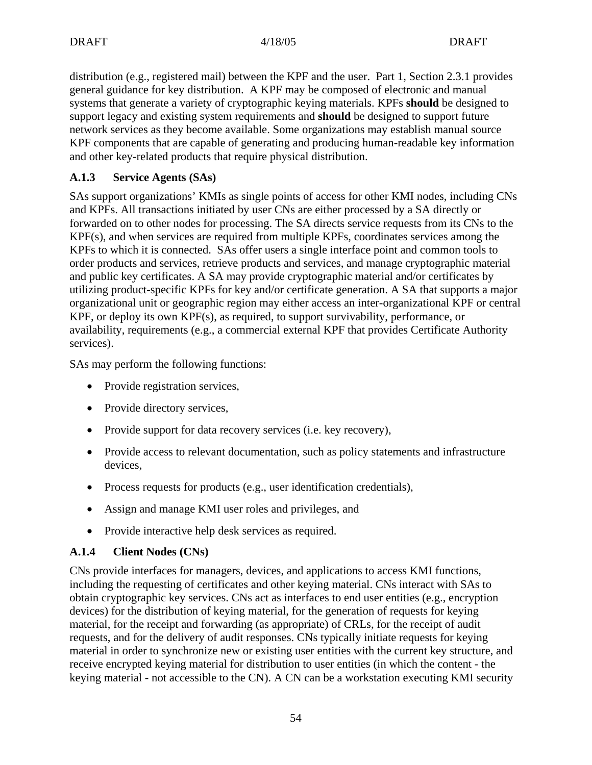distribution (e.g., registered mail) between the KPF and the user. Part 1, Section 2.3.1 provides general guidance for key distribution. A KPF may be composed of electronic and manual systems that generate a variety of cryptographic keying materials. KPFs **should** be designed to support legacy and existing system requirements and **should** be designed to support future network services as they become available. Some organizations may establish manual source KPF components that are capable of generating and producing human-readable key information and other key-related products that require physical distribution.

### **A.1.3 Service Agents (SAs)**

SAs support organizations' KMIs as single points of access for other KMI nodes, including CNs and KPFs. All transactions initiated by user CNs are either processed by a SA directly or forwarded on to other nodes for processing. The SA directs service requests from its CNs to the KPF(s), and when services are required from multiple KPFs, coordinates services among the KPFs to which it is connected. SAs offer users a single interface point and common tools to order products and services, retrieve products and services, and manage cryptographic material and public key certificates. A SA may provide cryptographic material and/or certificates by utilizing product-specific KPFs for key and/or certificate generation. A SA that supports a major organizational unit or geographic region may either access an inter-organizational KPF or central KPF, or deploy its own KPF(s), as required, to support survivability, performance, or availability, requirements (e.g., a commercial external KPF that provides Certificate Authority services).

SAs may perform the following functions:

- Provide registration services,
- Provide directory services,
- Provide support for data recovery services (i.e. key recovery),
- Provide access to relevant documentation, such as policy statements and infrastructure devices,
- Process requests for products (e.g., user identification credentials),
- Assign and manage KMI user roles and privileges, and
- Provide interactive help desk services as required.

### **A.1.4 Client Nodes (CNs)**

CNs provide interfaces for managers, devices, and applications to access KMI functions, including the requesting of certificates and other keying material. CNs interact with SAs to obtain cryptographic key services. CNs act as interfaces to end user entities (e.g., encryption devices) for the distribution of keying material, for the generation of requests for keying material, for the receipt and forwarding (as appropriate) of CRLs, for the receipt of audit requests, and for the delivery of audit responses. CNs typically initiate requests for keying material in order to synchronize new or existing user entities with the current key structure, and receive encrypted keying material for distribution to user entities (in which the content - the keying material - not accessible to the CN). A CN can be a workstation executing KMI security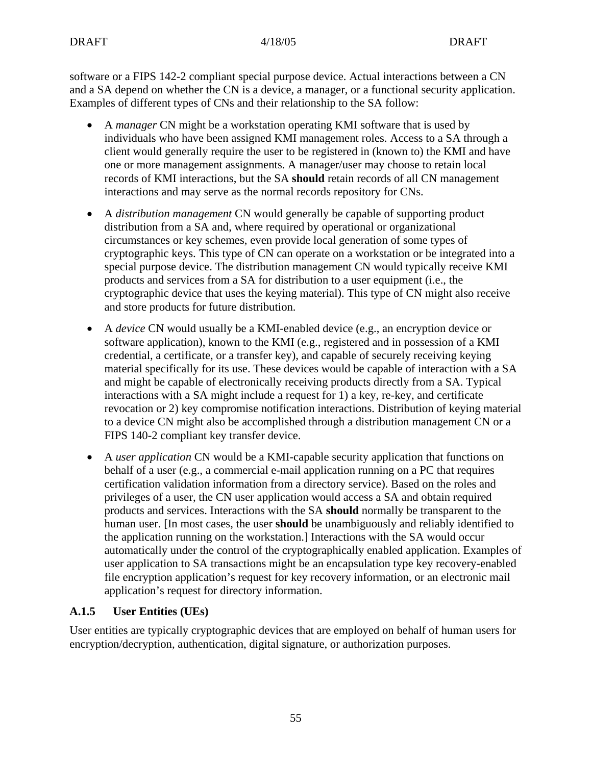software or a FIPS 142-2 compliant special purpose device. Actual interactions between a CN and a SA depend on whether the CN is a device, a manager, or a functional security application. Examples of different types of CNs and their relationship to the SA follow:

- A *manager* CN might be a workstation operating KMI software that is used by individuals who have been assigned KMI management roles. Access to a SA through a client would generally require the user to be registered in (known to) the KMI and have one or more management assignments. A manager/user may choose to retain local records of KMI interactions, but the SA **should** retain records of all CN management interactions and may serve as the normal records repository for CNs.
- A *distribution management* CN would generally be capable of supporting product distribution from a SA and, where required by operational or organizational circumstances or key schemes, even provide local generation of some types of cryptographic keys. This type of CN can operate on a workstation or be integrated into a special purpose device. The distribution management CN would typically receive KMI products and services from a SA for distribution to a user equipment (i.e., the cryptographic device that uses the keying material). This type of CN might also receive and store products for future distribution.
- A *device* CN would usually be a KMI-enabled device (e.g., an encryption device or software application), known to the KMI (e.g., registered and in possession of a KMI credential, a certificate, or a transfer key), and capable of securely receiving keying material specifically for its use. These devices would be capable of interaction with a SA and might be capable of electronically receiving products directly from a SA. Typical interactions with a SA might include a request for 1) a key, re-key, and certificate revocation or 2) key compromise notification interactions. Distribution of keying material to a device CN might also be accomplished through a distribution management CN or a FIPS 140-2 compliant key transfer device.
- A *user application* CN would be a KMI-capable security application that functions on behalf of a user (e.g., a commercial e-mail application running on a PC that requires certification validation information from a directory service). Based on the roles and privileges of a user, the CN user application would access a SA and obtain required products and services. Interactions with the SA **should** normally be transparent to the human user. [In most cases, the user **should** be unambiguously and reliably identified to the application running on the workstation.] Interactions with the SA would occur automatically under the control of the cryptographically enabled application. Examples of user application to SA transactions might be an encapsulation type key recovery-enabled file encryption application's request for key recovery information, or an electronic mail application's request for directory information.

### **A.1.5 User Entities (UEs)**

User entities are typically cryptographic devices that are employed on behalf of human users for encryption/decryption, authentication, digital signature, or authorization purposes.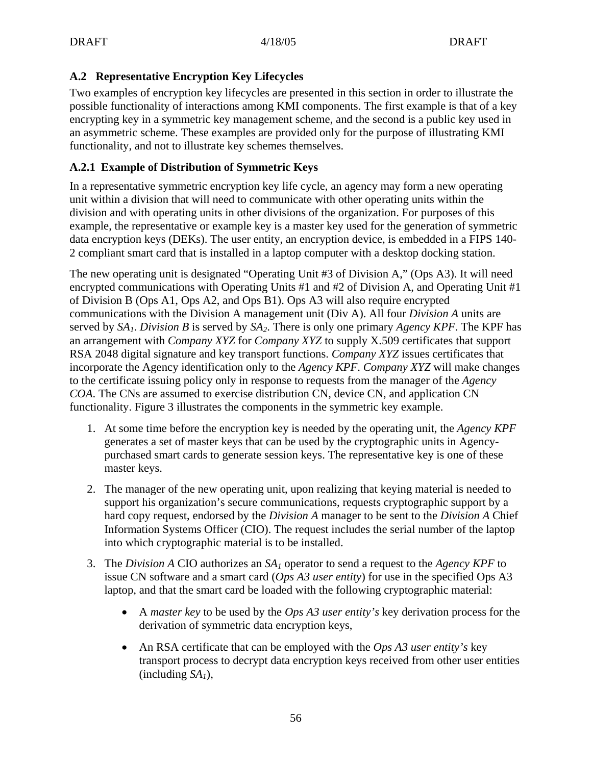### **A.2 Representative Encryption Key Lifecycles**

Two examples of encryption key lifecycles are presented in this section in order to illustrate the possible functionality of interactions among KMI components. The first example is that of a key encrypting key in a symmetric key management scheme, and the second is a public key used in an asymmetric scheme. These examples are provided only for the purpose of illustrating KMI functionality, and not to illustrate key schemes themselves.

### **A.2.1 Example of Distribution of Symmetric Keys**

In a representative symmetric encryption key life cycle, an agency may form a new operating unit within a division that will need to communicate with other operating units within the division and with operating units in other divisions of the organization. For purposes of this example, the representative or example key is a master key used for the generation of symmetric data encryption keys (DEKs). The user entity, an encryption device, is embedded in a FIPS 140- 2 compliant smart card that is installed in a laptop computer with a desktop docking station.

The new operating unit is designated "Operating Unit #3 of Division A," (Ops A3). It will need encrypted communications with Operating Units #1 and #2 of Division A, and Operating Unit #1 of Division B (Ops A1, Ops A2, and Ops B1). Ops A3 will also require encrypted communications with the Division A management unit (Div A). All four *Division A* units are served by *SA1*. *Division B* is served by *SA2*. There is only one primary *Agency KPF*. The KPF has an arrangement with *Company XYZ* for *Company XYZ* to supply X.509 certificates that support RSA 2048 digital signature and key transport functions. *Company XYZ* issues certificates that incorporate the Agency identification only to the *Agency KPF*. *Company XYZ* will make changes to the certificate issuing policy only in response to requests from the manager of the *Agency COA*. The CNs are assumed to exercise distribution CN, device CN, and application CN functionality. Figure 3 illustrates the components in the symmetric key example.

- 1. At some time before the encryption key is needed by the operating unit, the *Agency KPF* generates a set of master keys that can be used by the cryptographic units in Agencypurchased smart cards to generate session keys. The representative key is one of these master keys.
- 2. The manager of the new operating unit, upon realizing that keying material is needed to support his organization's secure communications, requests cryptographic support by a hard copy request, endorsed by the *Division A* manager to be sent to the *Division A* Chief Information Systems Officer (CIO). The request includes the serial number of the laptop into which cryptographic material is to be installed.
- 3. The *Division A* CIO authorizes an *SA1* operator to send a request to the *Agency KPF* to issue CN software and a smart card (*Ops A3 user entity*) for use in the specified Ops A3 laptop, and that the smart card be loaded with the following cryptographic material:
	- A *master key* to be used by the *Ops A3 user entity's* key derivation process for the derivation of symmetric data encryption keys,
	- An RSA certificate that can be employed with the *Ops A3 user entity's* key transport process to decrypt data encryption keys received from other user entities (including *SA1*),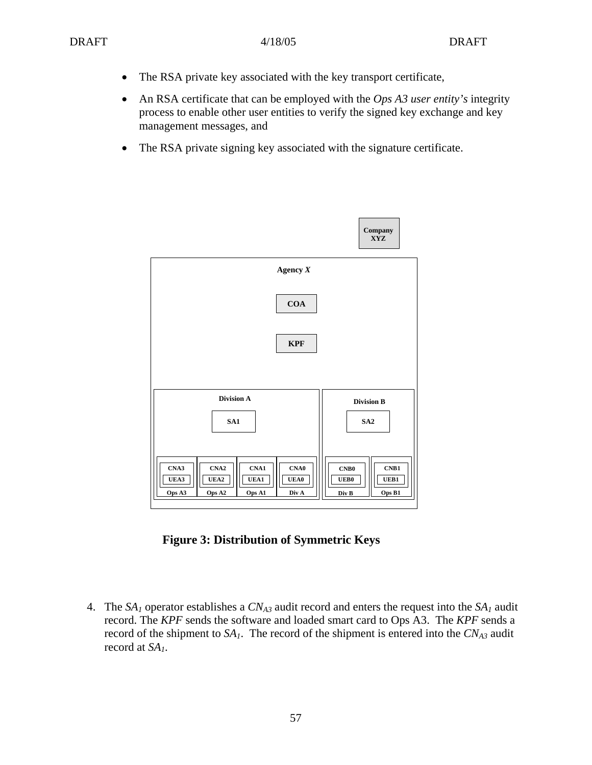- The RSA private key associated with the key transport certificate,
- An RSA certificate that can be employed with the *Ops A3 user entity's* integrity process to enable other user entities to verify the signed key exchange and key management messages, and
- The RSA private signing key associated with the signature certificate.



**Figure 3: Distribution of Symmetric Keys**

4. The  $SA<sub>I</sub>$  operator establishes a  $CN<sub>A3</sub>$  audit record and enters the request into the  $SA<sub>I</sub>$  audit record. The *KPF* sends the software and loaded smart card to Ops A3. The *KPF* sends a record of the shipment to  $SA<sub>1</sub>$ . The record of the shipment is entered into the  $CN<sub>A3</sub>$  audit record at *SA1*.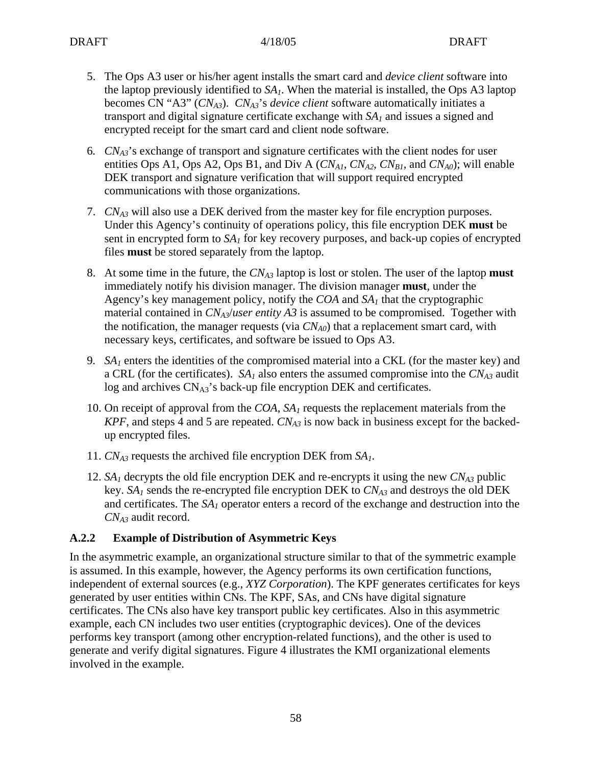- 5. The Ops A3 user or his/her agent installs the smart card and *device client* software into the laptop previously identified to  $SA<sub>1</sub>$ . When the material is installed, the Ops A3 laptop becomes CN "A3" (*CNA3*). *CNA3*'s *device client* software automatically initiates a transport and digital signature certificate exchange with *SA1* and issues a signed and encrypted receipt for the smart card and client node software.
- 6*. CNA3*'s exchange of transport and signature certificates with the client nodes for user entities Ops A1, Ops A2, Ops B1, and Div A  $(CN_{A1}, CN_{A2}, CN_{B1})$ , and  $CN_{A0}$ ; will enable DEK transport and signature verification that will support required encrypted communications with those organizations.
- 7. *CNA3* will also use a DEK derived from the master key for file encryption purposes. Under this Agency's continuity of operations policy, this file encryption DEK **must** be sent in encrypted form to  $SA<sub>1</sub>$  for key recovery purposes, and back-up copies of encrypted files **must** be stored separately from the laptop.
- 8. At some time in the future, the *CNA3* laptop is lost or stolen. The user of the laptop **must** immediately notify his division manager. The division manager **must**, under the Agency's key management policy, notify the *COA* and *SA1* that the cryptographic material contained in *CNA3*/*user entity A3* is assumed to be compromised. Together with the notification, the manager requests (via  $CN<sub>A0</sub>$ ) that a replacement smart card, with necessary keys, certificates, and software be issued to Ops A3.
- 9*. SA1* enters the identities of the compromised material into a CKL (for the master key) and a CRL (for the certificates).  $SA<sub>1</sub>$  also enters the assumed compromise into the  $CN<sub>A3</sub>$  audit log and archives  $CN<sub>A3</sub>$ 's back-up file encryption DEK and certificates.
- 10. On receipt of approval from the *COA*, *SA1* requests the replacement materials from the  $KPF$ , and steps 4 and 5 are repeated.  $CN<sub>A3</sub>$  is now back in business except for the backedup encrypted files.
- 11. *CNA3* requests the archived file encryption DEK from *SA1*.
- 12.  $SA<sub>1</sub>$  decrypts the old file encryption DEK and re-encrypts it using the new  $CN<sub>A3</sub>$  public key.  $SA<sub>1</sub>$  sends the re-encrypted file encryption DEK to  $CN<sub>A3</sub>$  and destroys the old DEK and certificates. The *SA<sub>1</sub>* operator enters a record of the exchange and destruction into the *CNA3* audit record.

### **A.2.2 Example of Distribution of Asymmetric Keys**

In the asymmetric example, an organizational structure similar to that of the symmetric example is assumed. In this example, however, the Agency performs its own certification functions, independent of external sources (e.g., *XYZ Corporation*). The KPF generates certificates for keys generated by user entities within CNs. The KPF, SAs, and CNs have digital signature certificates. The CNs also have key transport public key certificates. Also in this asymmetric example, each CN includes two user entities (cryptographic devices). One of the devices performs key transport (among other encryption-related functions), and the other is used to generate and verify digital signatures. Figure 4 illustrates the KMI organizational elements involved in the example.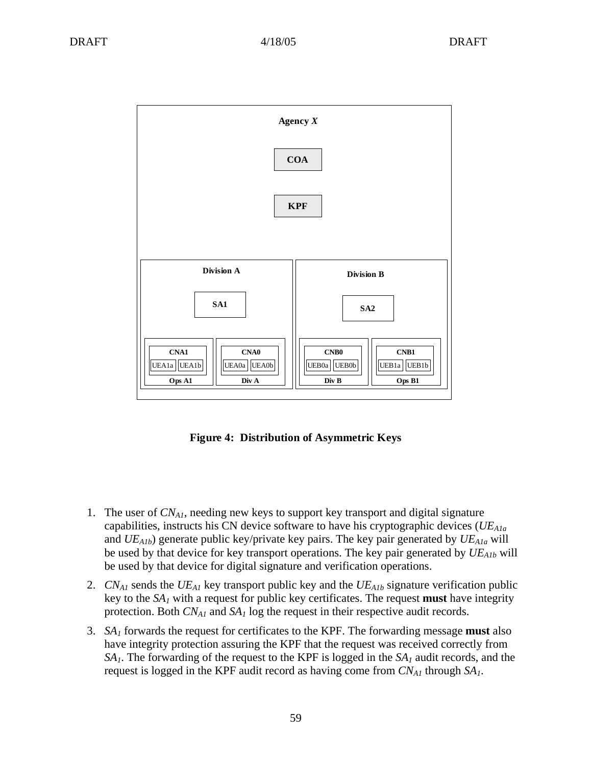

**Figure 4: Distribution of Asymmetric Keys**

- 1. The user of *CNA1*, needing new keys to support key transport and digital signature capabilities, instructs his CN device software to have his cryptographic devices (*UEA1a* and *UEA1b*) generate public key/private key pairs. The key pair generated by *UEA1a* will be used by that device for key transport operations. The key pair generated by *UEA1b* will be used by that device for digital signature and verification operations.
- 2. *CNA1* sends the *UEA1* key transport public key and the *UEA1b* signature verification public key to the *SA1* with a request for public key certificates. The request **must** have integrity protection. Both *CNA1* and *SA1* log the request in their respective audit records.
- 3. *SA1* forwards the request for certificates to the KPF. The forwarding message **must** also have integrity protection assuring the KPF that the request was received correctly from *SA1*. The forwarding of the request to the KPF is logged in the *SA1* audit records, and the request is logged in the KPF audit record as having come from *CNA1* through *SA1*.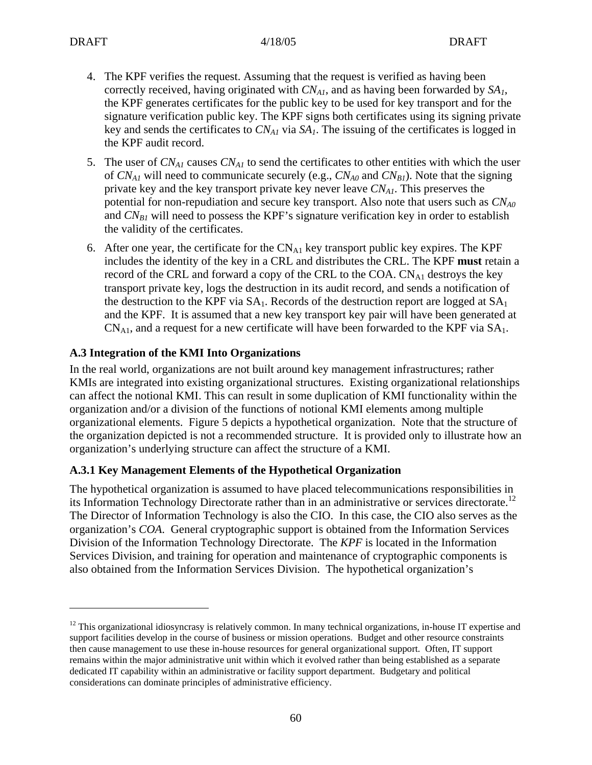1

- 4. The KPF verifies the request. Assuming that the request is verified as having been correctly received, having originated with  $CN_{A1}$ , and as having been forwarded by  $SA<sub>1</sub>$ , the KPF generates certificates for the public key to be used for key transport and for the signature verification public key. The KPF signs both certificates using its signing private key and sends the certificates to  $CN_{A1}$  via  $SA<sub>1</sub>$ . The issuing of the certificates is logged in the KPF audit record.
- 5. The user of *CNA1* causes *CNA1* to send the certificates to other entities with which the user of  $CN_{A1}$  will need to communicate securely (e.g.,  $CN_{A0}$  and  $CN_{B1}$ ). Note that the signing private key and the key transport private key never leave  $CN<sub>Al</sub>$ . This preserves the potential for non-repudiation and secure key transport. Also note that users such as  $CN<sub>A0</sub>$ and  $CN_{B1}$  will need to possess the KPF's signature verification key in order to establish the validity of the certificates.
- 6. After one year, the certificate for the  $CN_{A1}$  key transport public key expires. The KPF includes the identity of the key in a CRL and distributes the CRL. The KPF **must** retain a record of the CRL and forward a copy of the CRL to the COA.  $CN_{A1}$  destroys the key transport private key, logs the destruction in its audit record, and sends a notification of the destruction to the KPF via  $SA<sub>1</sub>$ . Records of the destruction report are logged at  $SA<sub>1</sub>$ and the KPF. It is assumed that a new key transport key pair will have been generated at  $CN<sub>A1</sub>$ , and a request for a new certificate will have been forwarded to the KPF via  $SA<sub>1</sub>$ .

### **A.3 Integration of the KMI Into Organizations**

In the real world, organizations are not built around key management infrastructures; rather KMIs are integrated into existing organizational structures. Existing organizational relationships can affect the notional KMI. This can result in some duplication of KMI functionality within the organization and/or a division of the functions of notional KMI elements among multiple organizational elements. Figure 5 depicts a hypothetical organization. Note that the structure of the organization depicted is not a recommended structure. It is provided only to illustrate how an organization's underlying structure can affect the structure of a KMI.

### **A.3.1 Key Management Elements of the Hypothetical Organization**

The hypothetical organization is assumed to have placed telecommunications responsibilities in its Information Technology Directorate rather than in an administrative or services directorate.<sup>12</sup> The Director of Information Technology is also the CIO. In this case, the CIO also serves as the organization's *COA*. General cryptographic support is obtained from the Information Services Division of the Information Technology Directorate. The *KPF* is located in the Information Services Division, and training for operation and maintenance of cryptographic components is also obtained from the Information Services Division. The hypothetical organization's

 $12$  This organizational idiosyncrasy is relatively common. In many technical organizations, in-house IT expertise and support facilities develop in the course of business or mission operations. Budget and other resource constraints then cause management to use these in-house resources for general organizational support. Often, IT support remains within the major administrative unit within which it evolved rather than being established as a separate dedicated IT capability within an administrative or facility support department. Budgetary and political considerations can dominate principles of administrative efficiency.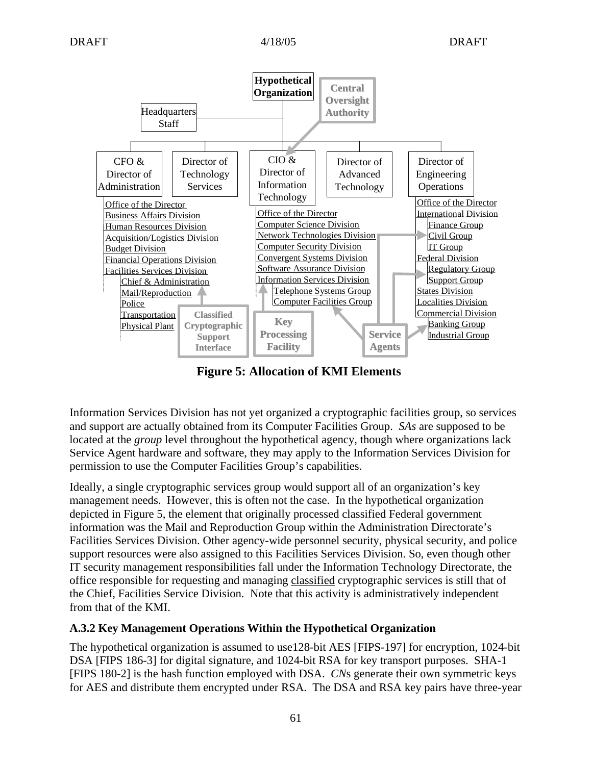

**Figure 5: Allocation of KMI Elements**

Information Services Division has not yet organized a cryptographic facilities group, so services and support are actually obtained from its Computer Facilities Group. *SAs* are supposed to be located at the *group* level throughout the hypothetical agency, though where organizations lack Service Agent hardware and software, they may apply to the Information Services Division for permission to use the Computer Facilities Group's capabilities.

Ideally, a single cryptographic services group would support all of an organization's key management needs. However, this is often not the case. In the hypothetical organization depicted in Figure 5, the element that originally processed classified Federal government information was the Mail and Reproduction Group within the Administration Directorate's Facilities Services Division. Other agency-wide personnel security, physical security, and police support resources were also assigned to this Facilities Services Division. So, even though other IT security management responsibilities fall under the Information Technology Directorate, the office responsible for requesting and managing classified cryptographic services is still that of the Chief, Facilities Service Division. Note that this activity is administratively independent from that of the KMI.

### **A.3.2 Key Management Operations Within the Hypothetical Organization**

The hypothetical organization is assumed to use128-bit AES [FIPS-197] for encryption, 1024-bit DSA [FIPS 186-3] for digital signature, and 1024-bit RSA for key transport purposes. SHA-1 [FIPS 180-2] is the hash function employed with DSA. *CN*s generate their own symmetric keys for AES and distribute them encrypted under RSA. The DSA and RSA key pairs have three-year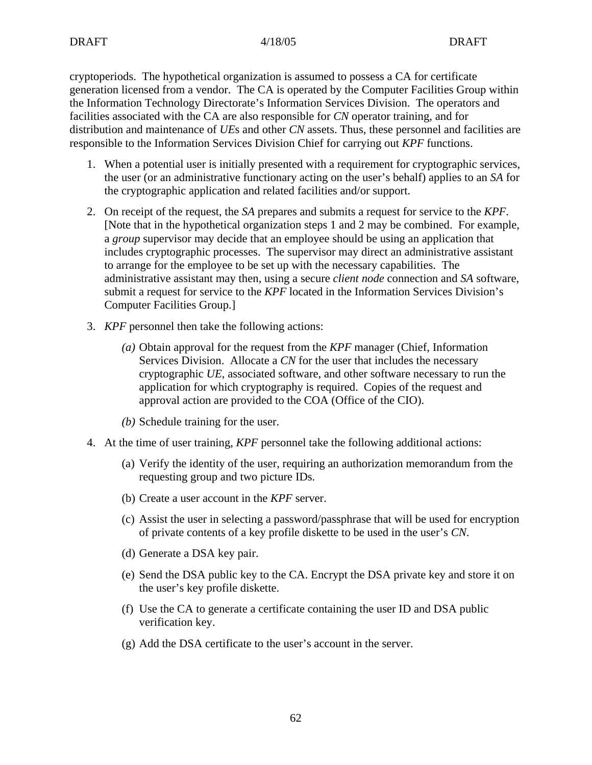cryptoperiods. The hypothetical organization is assumed to possess a CA for certificate generation licensed from a vendor. The CA is operated by the Computer Facilities Group within the Information Technology Directorate's Information Services Division. The operators and facilities associated with the CA are also responsible for *CN* operator training, and for distribution and maintenance of *UE*s and other *CN* assets. Thus, these personnel and facilities are responsible to the Information Services Division Chief for carrying out *KPF* functions.

- 1. When a potential user is initially presented with a requirement for cryptographic services, the user (or an administrative functionary acting on the user's behalf) applies to an *SA* for the cryptographic application and related facilities and/or support.
- 2. On receipt of the request, the *SA* prepares and submits a request for service to the *KPF*. [Note that in the hypothetical organization steps 1 and 2 may be combined. For example, a *group* supervisor may decide that an employee should be using an application that includes cryptographic processes. The supervisor may direct an administrative assistant to arrange for the employee to be set up with the necessary capabilities. The administrative assistant may then, using a secure *client node* connection and *SA* software, submit a request for service to the *KPF* located in the Information Services Division's Computer Facilities Group.]
- 3. *KPF* personnel then take the following actions:
	- *(a)* Obtain approval for the request from the *KPF* manager (Chief, Information Services Division. Allocate a *CN* for the user that includes the necessary cryptographic *UE*, associated software, and other software necessary to run the application for which cryptography is required. Copies of the request and approval action are provided to the COA (Office of the CIO).
	- *(b)* Schedule training for the user.
- 4. At the time of user training, *KPF* personnel take the following additional actions:
	- (a) Verify the identity of the user, requiring an authorization memorandum from the requesting group and two picture IDs.
	- (b) Create a user account in the *KPF* server.
	- (c) Assist the user in selecting a password/passphrase that will be used for encryption of private contents of a key profile diskette to be used in the user's *CN*.
	- (d) Generate a DSA key pair.
	- (e) Send the DSA public key to the CA. Encrypt the DSA private key and store it on the user's key profile diskette.
	- (f) Use the CA to generate a certificate containing the user ID and DSA public verification key.
	- (g) Add the DSA certificate to the user's account in the server.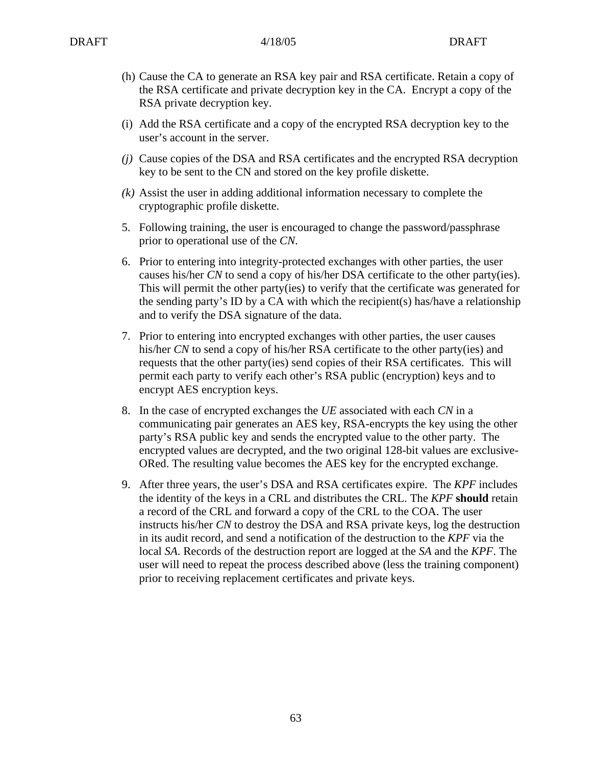- (h) Cause the CA to generate an RSA key pair and RSA certificate. Retain a copy of the RSA certificate and private decryption key in the CA. Encrypt a copy of the RSA private decryption key.
- (i) Add the RSA certificate and a copy of the encrypted RSA decryption key to the user's account in the server.
- *(j)* Cause copies of the DSA and RSA certificates and the encrypted RSA decryption key to be sent to the CN and stored on the key profile diskette.
- *(k)* Assist the user in adding additional information necessary to complete the cryptographic profile diskette.
- 5. Following training, the user is encouraged to change the password/passphrase prior to operational use of the *CN*.
- 6. Prior to entering into integrity-protected exchanges with other parties, the user causes his/her *CN* to send a copy of his/her DSA certificate to the other party(ies). This will permit the other party(ies) to verify that the certificate was generated for the sending party's ID by a CA with which the recipient(s) has/have a relationship and to verify the DSA signature of the data.
- 7. Prior to entering into encrypted exchanges with other parties, the user causes his/her *CN* to send a copy of his/her RSA certificate to the other party(ies) and requests that the other party(ies) send copies of their RSA certificates. This will permit each party to verify each other's RSA public (encryption) keys and to encrypt AES encryption keys.
- 8. In the case of encrypted exchanges the *UE* associated with each *CN* in a communicating pair generates an AES key, RSA-encrypts the key using the other party's RSA public key and sends the encrypted value to the other party. The encrypted values are decrypted, and the two original 128-bit values are exclusive-ORed. The resulting value becomes the AES key for the encrypted exchange.
- 9. After three years, the user's DSA and RSA certificates expire. The *KPF* includes the identity of the keys in a CRL and distributes the CRL. The *KPF* **should** retain a record of the CRL and forward a copy of the CRL to the COA. The user instructs his/her *CN* to destroy the DSA and RSA private keys, log the destruction in its audit record, and send a notification of the destruction to the *KPF* via the local *SA*. Records of the destruction report are logged at the *SA* and the *KPF*. The user will need to repeat the process described above (less the training component) prior to receiving replacement certificates and private keys.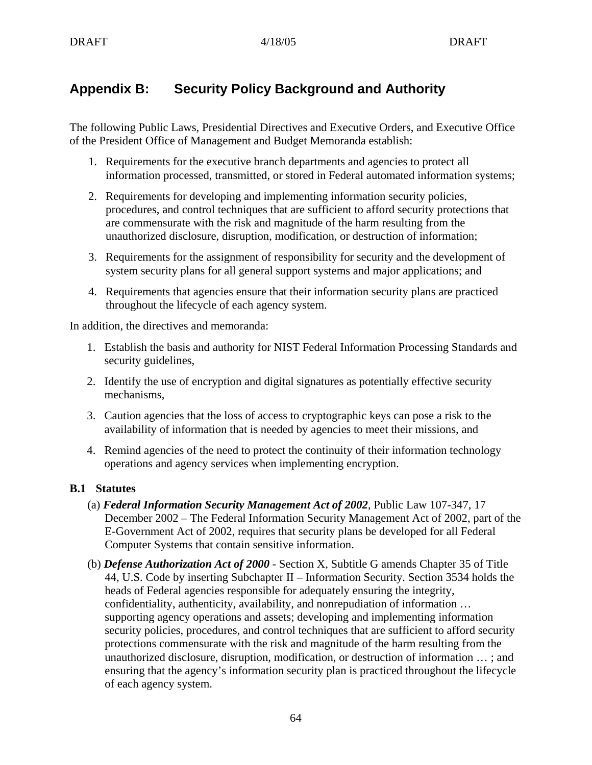# **Appendix B: Security Policy Background and Authority**

The following Public Laws, Presidential Directives and Executive Orders, and Executive Office of the President Office of Management and Budget Memoranda establish:

- 1. Requirements for the executive branch departments and agencies to protect all information processed, transmitted, or stored in Federal automated information systems;
- 2. Requirements for developing and implementing information security policies, procedures, and control techniques that are sufficient to afford security protections that are commensurate with the risk and magnitude of the harm resulting from the unauthorized disclosure, disruption, modification, or destruction of information;
- 3. Requirements for the assignment of responsibility for security and the development of system security plans for all general support systems and major applications; and
- 4. Requirements that agencies ensure that their information security plans are practiced throughout the lifecycle of each agency system.

In addition, the directives and memoranda:

- 1. Establish the basis and authority for NIST Federal Information Processing Standards and security guidelines,
- 2. Identify the use of encryption and digital signatures as potentially effective security mechanisms,
- 3. Caution agencies that the loss of access to cryptographic keys can pose a risk to the availability of information that is needed by agencies to meet their missions, and
- 4. Remind agencies of the need to protect the continuity of their information technology operations and agency services when implementing encryption.

### **B.1 Statutes**

- (a) *Federal Information Security Management Act of 2002*, Public Law 107-347, 17 December 2002 – The Federal Information Security Management Act of 2002, part of the E-Government Act of 2002, requires that security plans be developed for all Federal Computer Systems that contain sensitive information.
- (b) *Defense Authorization Act of 2000* Section X, Subtitle G amends Chapter 35 of Title 44, U.S. Code by inserting Subchapter II – Information Security. Section 3534 holds the heads of Federal agencies responsible for adequately ensuring the integrity, confidentiality, authenticity, availability, and nonrepudiation of information … supporting agency operations and assets; developing and implementing information security policies, procedures, and control techniques that are sufficient to afford security protections commensurate with the risk and magnitude of the harm resulting from the unauthorized disclosure, disruption, modification, or destruction of information … ; and ensuring that the agency's information security plan is practiced throughout the lifecycle of each agency system.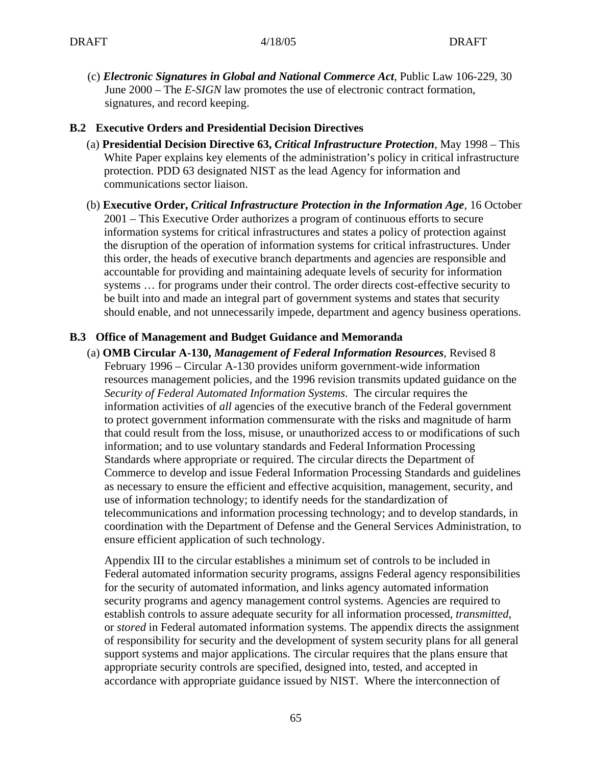(c) *Electronic Signatures in Global and National Commerce Act*, Public Law 106-229, 30 June 2000 – The *E-SIGN* law promotes the use of electronic contract formation, signatures, and record keeping.

#### **B.2 Executive Orders and Presidential Decision Directives**

- (a) **Presidential Decision Directive 63,** *Critical Infrastructure Protection*, May 1998 This White Paper explains key elements of the administration's policy in critical infrastructure protection. PDD 63 designated NIST as the lead Agency for information and communications sector liaison.
- (b) **Executive Order,** *Critical Infrastructure Protection in the Information Age*, 16 October 2001 – This Executive Order authorizes a program of continuous efforts to secure information systems for critical infrastructures and states a policy of protection against the disruption of the operation of information systems for critical infrastructures. Under this order, the heads of executive branch departments and agencies are responsible and accountable for providing and maintaining adequate levels of security for information systems … for programs under their control. The order directs cost-effective security to be built into and made an integral part of government systems and states that security should enable, and not unnecessarily impede, department and agency business operations.

#### **B.3 Office of Management and Budget Guidance and Memoranda**

(a) **OMB Circular A-130,** *Management of Federal Information Resources*, Revised 8 February 1996 – Circular A-130 provides uniform government-wide information resources management policies, and the 1996 revision transmits updated guidance on the *Security of Federal Automated Information Systems*. The circular requires the information activities of *all* agencies of the executive branch of the Federal government to protect government information commensurate with the risks and magnitude of harm that could result from the loss, misuse, or unauthorized access to or modifications of such information; and to use voluntary standards and Federal Information Processing Standards where appropriate or required. The circular directs the Department of Commerce to develop and issue Federal Information Processing Standards and guidelines as necessary to ensure the efficient and effective acquisition, management, security, and use of information technology; to identify needs for the standardization of telecommunications and information processing technology; and to develop standards, in coordination with the Department of Defense and the General Services Administration, to ensure efficient application of such technology.

Appendix III to the circular establishes a minimum set of controls to be included in Federal automated information security programs, assigns Federal agency responsibilities for the security of automated information, and links agency automated information security programs and agency management control systems. Agencies are required to establish controls to assure adequate security for all information processed, *transmitted*, or *stored* in Federal automated information systems. The appendix directs the assignment of responsibility for security and the development of system security plans for all general support systems and major applications. The circular requires that the plans ensure that appropriate security controls are specified, designed into, tested, and accepted in accordance with appropriate guidance issued by NIST. Where the interconnection of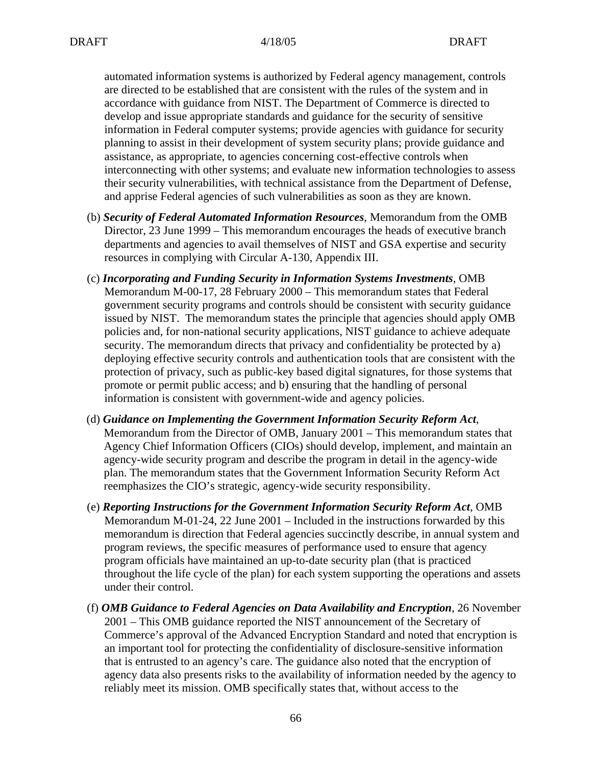automated information systems is authorized by Federal agency management, controls are directed to be established that are consistent with the rules of the system and in accordance with guidance from NIST. The Department of Commerce is directed to develop and issue appropriate standards and guidance for the security of sensitive information in Federal computer systems; provide agencies with guidance for security planning to assist in their development of system security plans; provide guidance and assistance, as appropriate, to agencies concerning cost-effective controls when interconnecting with other systems; and evaluate new information technologies to assess their security vulnerabilities, with technical assistance from the Department of Defense, and apprise Federal agencies of such vulnerabilities as soon as they are known.

- (b) *Security of Federal Automated Information Resources*, Memorandum from the OMB Director, 23 June 1999 – This memorandum encourages the heads of executive branch departments and agencies to avail themselves of NIST and GSA expertise and security resources in complying with Circular A-130, Appendix III.
- (c) *Incorporating and Funding Security in Information Systems Investments*, OMB Memorandum M-00-17, 28 February 2000 – This memorandum states that Federal government security programs and controls should be consistent with security guidance issued by NIST. The memorandum states the principle that agencies should apply OMB policies and, for non-national security applications, NIST guidance to achieve adequate security. The memorandum directs that privacy and confidentiality be protected by a) deploying effective security controls and authentication tools that are consistent with the protection of privacy, such as public-key based digital signatures, for those systems that promote or permit public access; and b) ensuring that the handling of personal information is consistent with government-wide and agency policies.
- (d) *Guidance on Implementing the Government Information Security Reform Act*, Memorandum from the Director of OMB, January 2001 – This memorandum states that Agency Chief Information Officers (CIOs) should develop, implement, and maintain an agency-wide security program and describe the program in detail in the agency-wide plan. The memorandum states that the Government Information Security Reform Act reemphasizes the CIO's strategic, agency-wide security responsibility.
- (e) *Reporting Instructions for the Government Information Security Reform Act*, OMB Memorandum M-01-24, 22 June 2001 – Included in the instructions forwarded by this memorandum is direction that Federal agencies succinctly describe, in annual system and program reviews, the specific measures of performance used to ensure that agency program officials have maintained an up-to-date security plan (that is practiced throughout the life cycle of the plan) for each system supporting the operations and assets under their control.
- (f) *OMB Guidance to Federal Agencies on Data Availability and Encryption*, 26 November 2001 – This OMB guidance reported the NIST announcement of the Secretary of Commerce's approval of the Advanced Encryption Standard and noted that encryption is an important tool for protecting the confidentiality of disclosure-sensitive information that is entrusted to an agency's care. The guidance also noted that the encryption of agency data also presents risks to the availability of information needed by the agency to reliably meet its mission. OMB specifically states that, without access to the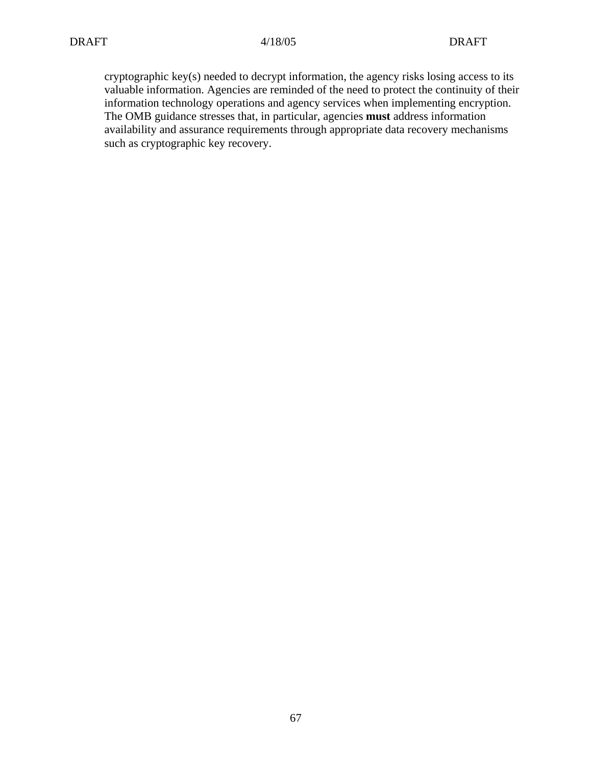cryptographic key(s) needed to decrypt information, the agency risks losing access to its valuable information. Agencies are reminded of the need to protect the continuity of their information technology operations and agency services when implementing encryption. The OMB guidance stresses that, in particular, agencies **must** address information availability and assurance requirements through appropriate data recovery mechanisms such as cryptographic key recovery.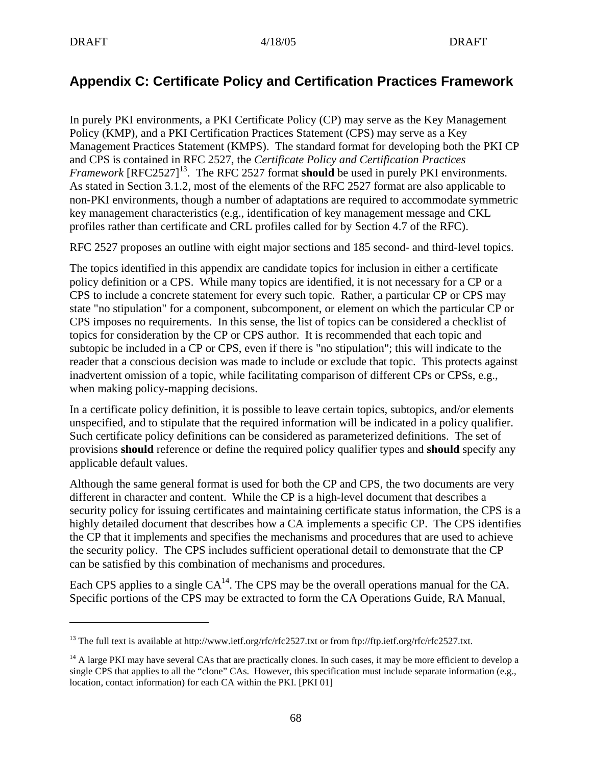$\overline{a}$ 

# **Appendix C: Certificate Policy and Certification Practices Framework**

In purely PKI environments, a PKI Certificate Policy (CP) may serve as the Key Management Policy (KMP), and a PKI Certification Practices Statement (CPS) may serve as a Key Management Practices Statement (KMPS). The standard format for developing both the PKI CP and CPS is contained in RFC 2527, the *Certificate Policy and Certification Practices Framework* [RFC2527]<sup>13</sup>. The RFC 2527 format **should** be used in purely PKI environments. As stated in Section 3.1.2, most of the elements of the RFC 2527 format are also applicable to non-PKI environments, though a number of adaptations are required to accommodate symmetric key management characteristics (e.g., identification of key management message and CKL profiles rather than certificate and CRL profiles called for by Section 4.7 of the RFC).

RFC 2527 proposes an outline with eight major sections and 185 second- and third-level topics.

The topics identified in this appendix are candidate topics for inclusion in either a certificate policy definition or a CPS. While many topics are identified, it is not necessary for a CP or a CPS to include a concrete statement for every such topic. Rather, a particular CP or CPS may state "no stipulation" for a component, subcomponent, or element on which the particular CP or CPS imposes no requirements. In this sense, the list of topics can be considered a checklist of topics for consideration by the CP or CPS author. It is recommended that each topic and subtopic be included in a CP or CPS, even if there is "no stipulation"; this will indicate to the reader that a conscious decision was made to include or exclude that topic. This protects against inadvertent omission of a topic, while facilitating comparison of different CPs or CPSs, e.g., when making policy-mapping decisions.

In a certificate policy definition, it is possible to leave certain topics, subtopics, and/or elements unspecified, and to stipulate that the required information will be indicated in a policy qualifier. Such certificate policy definitions can be considered as parameterized definitions. The set of provisions **should** reference or define the required policy qualifier types and **should** specify any applicable default values.

Although the same general format is used for both the CP and CPS, the two documents are very different in character and content. While the CP is a high-level document that describes a security policy for issuing certificates and maintaining certificate status information, the CPS is a highly detailed document that describes how a CA implements a specific CP. The CPS identifies the CP that it implements and specifies the mechanisms and procedures that are used to achieve the security policy. The CPS includes sufficient operational detail to demonstrate that the CP can be satisfied by this combination of mechanisms and procedures.

Each CPS applies to a single  $CA^{14}$ . The CPS may be the overall operations manual for the CA. Specific portions of the CPS may be extracted to form the CA Operations Guide, RA Manual,

<sup>&</sup>lt;sup>13</sup> The full text is available at http://www.ietf.org/rfc/rfc2527.txt or from ftp://ftp.ietf.org/rfc/rfc2527.txt.

 $14$  A large PKI may have several CAs that are practically clones. In such cases, it may be more efficient to develop a single CPS that applies to all the "clone" CAs. However, this specification must include separate information (e.g., location, contact information) for each CA within the PKI. [PKI 01]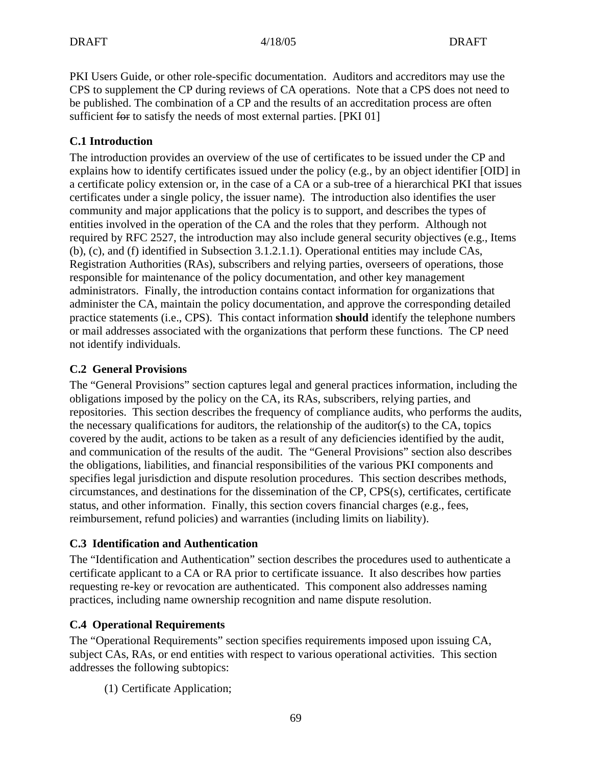PKI Users Guide, or other role-specific documentation. Auditors and accreditors may use the CPS to supplement the CP during reviews of CA operations. Note that a CPS does not need to be published. The combination of a CP and the results of an accreditation process are often sufficient for to satisfy the needs of most external parties. [PKI 01]

## **C.1 Introduction**

The introduction provides an overview of the use of certificates to be issued under the CP and explains how to identify certificates issued under the policy (e.g., by an object identifier [OID] in a certificate policy extension or, in the case of a CA or a sub-tree of a hierarchical PKI that issues certificates under a single policy, the issuer name). The introduction also identifies the user community and major applications that the policy is to support, and describes the types of entities involved in the operation of the CA and the roles that they perform. Although not required by RFC 2527, the introduction may also include general security objectives (e.g., Items (b), (c), and (f) identified in Subsection 3.1.2.1.1). Operational entities may include CAs, Registration Authorities (RAs), subscribers and relying parties, overseers of operations, those responsible for maintenance of the policy documentation, and other key management administrators. Finally, the introduction contains contact information for organizations that administer the CA, maintain the policy documentation, and approve the corresponding detailed practice statements (i.e., CPS). This contact information **should** identify the telephone numbers or mail addresses associated with the organizations that perform these functions. The CP need not identify individuals.

### **C.2 General Provisions**

The "General Provisions" section captures legal and general practices information, including the obligations imposed by the policy on the CA, its RAs, subscribers, relying parties, and repositories. This section describes the frequency of compliance audits, who performs the audits, the necessary qualifications for auditors, the relationship of the auditor(s) to the CA, topics covered by the audit, actions to be taken as a result of any deficiencies identified by the audit, and communication of the results of the audit. The "General Provisions" section also describes the obligations, liabilities, and financial responsibilities of the various PKI components and specifies legal jurisdiction and dispute resolution procedures. This section describes methods, circumstances, and destinations for the dissemination of the CP, CPS(s), certificates, certificate status, and other information. Finally, this section covers financial charges (e.g., fees, reimbursement, refund policies) and warranties (including limits on liability).

### **C.3 Identification and Authentication**

The "Identification and Authentication" section describes the procedures used to authenticate a certificate applicant to a CA or RA prior to certificate issuance. It also describes how parties requesting re-key or revocation are authenticated. This component also addresses naming practices, including name ownership recognition and name dispute resolution.

# **C.4 Operational Requirements**

The "Operational Requirements" section specifies requirements imposed upon issuing CA, subject CAs, RAs, or end entities with respect to various operational activities. This section addresses the following subtopics:

(1) Certificate Application;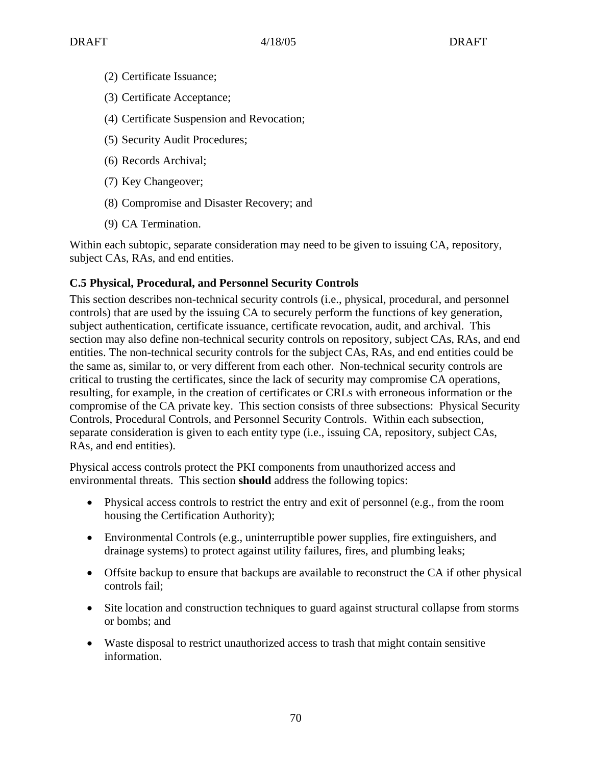- (2) Certificate Issuance;
- (3) Certificate Acceptance;
- (4) Certificate Suspension and Revocation;
- (5) Security Audit Procedures;
- (6) Records Archival;
- (7) Key Changeover;
- (8) Compromise and Disaster Recovery; and
- (9) CA Termination.

Within each subtopic, separate consideration may need to be given to issuing CA, repository, subject CAs, RAs, and end entities.

#### **C.5 Physical, Procedural, and Personnel Security Controls**

This section describes non-technical security controls (i.e., physical, procedural, and personnel controls) that are used by the issuing CA to securely perform the functions of key generation, subject authentication, certificate issuance, certificate revocation, audit, and archival. This section may also define non-technical security controls on repository, subject CAs, RAs, and end entities. The non-technical security controls for the subject CAs, RAs, and end entities could be the same as, similar to, or very different from each other. Non-technical security controls are critical to trusting the certificates, since the lack of security may compromise CA operations, resulting, for example, in the creation of certificates or CRLs with erroneous information or the compromise of the CA private key. This section consists of three subsections: Physical Security Controls, Procedural Controls, and Personnel Security Controls. Within each subsection, separate consideration is given to each entity type (i.e., issuing CA, repository, subject CAs, RAs, and end entities).

Physical access controls protect the PKI components from unauthorized access and environmental threats. This section **should** address the following topics:

- Physical access controls to restrict the entry and exit of personnel (e.g., from the room housing the Certification Authority);
- Environmental Controls (e.g., uninterruptible power supplies, fire extinguishers, and drainage systems) to protect against utility failures, fires, and plumbing leaks;
- Offsite backup to ensure that backups are available to reconstruct the CA if other physical controls fail;
- Site location and construction techniques to guard against structural collapse from storms or bombs; and
- Waste disposal to restrict unauthorized access to trash that might contain sensitive information.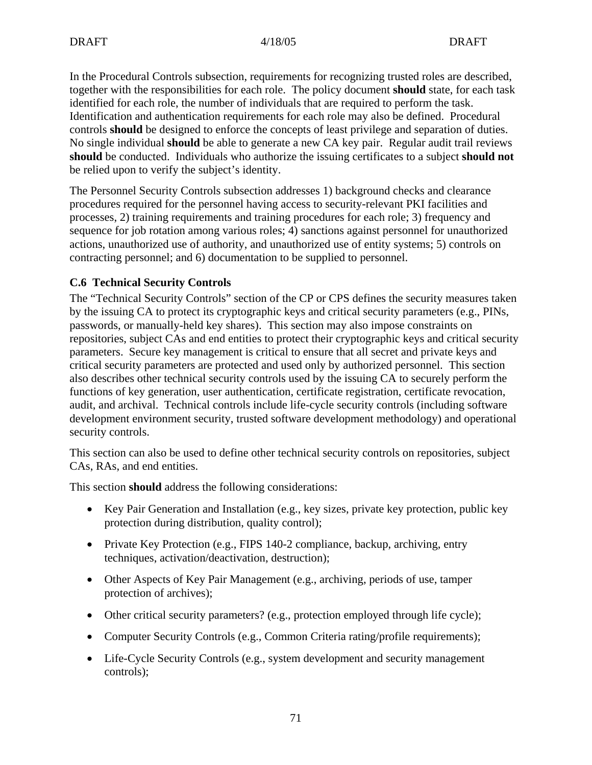In the Procedural Controls subsection, requirements for recognizing trusted roles are described, together with the responsibilities for each role. The policy document **should** state, for each task identified for each role, the number of individuals that are required to perform the task. Identification and authentication requirements for each role may also be defined. Procedural controls **should** be designed to enforce the concepts of least privilege and separation of duties. No single individual **should** be able to generate a new CA key pair. Regular audit trail reviews **should** be conducted. Individuals who authorize the issuing certificates to a subject **should not** be relied upon to verify the subject's identity.

The Personnel Security Controls subsection addresses 1) background checks and clearance procedures required for the personnel having access to security-relevant PKI facilities and processes, 2) training requirements and training procedures for each role; 3) frequency and sequence for job rotation among various roles; 4) sanctions against personnel for unauthorized actions, unauthorized use of authority, and unauthorized use of entity systems; 5) controls on contracting personnel; and 6) documentation to be supplied to personnel.

### **C.6 Technical Security Controls**

The "Technical Security Controls" section of the CP or CPS defines the security measures taken by the issuing CA to protect its cryptographic keys and critical security parameters (e.g., PINs, passwords, or manually-held key shares). This section may also impose constraints on repositories, subject CAs and end entities to protect their cryptographic keys and critical security parameters. Secure key management is critical to ensure that all secret and private keys and critical security parameters are protected and used only by authorized personnel. This section also describes other technical security controls used by the issuing CA to securely perform the functions of key generation, user authentication, certificate registration, certificate revocation, audit, and archival. Technical controls include life-cycle security controls (including software development environment security, trusted software development methodology) and operational security controls.

This section can also be used to define other technical security controls on repositories, subject CAs, RAs, and end entities.

This section **should** address the following considerations:

- Key Pair Generation and Installation (e.g., key sizes, private key protection, public key protection during distribution, quality control);
- Private Key Protection (e.g., FIPS 140-2 compliance, backup, archiving, entry techniques, activation/deactivation, destruction);
- Other Aspects of Key Pair Management (e.g., archiving, periods of use, tamper protection of archives);
- Other critical security parameters? (e.g., protection employed through life cycle);
- Computer Security Controls (e.g., Common Criteria rating/profile requirements);
- Life-Cycle Security Controls (e.g., system development and security management controls);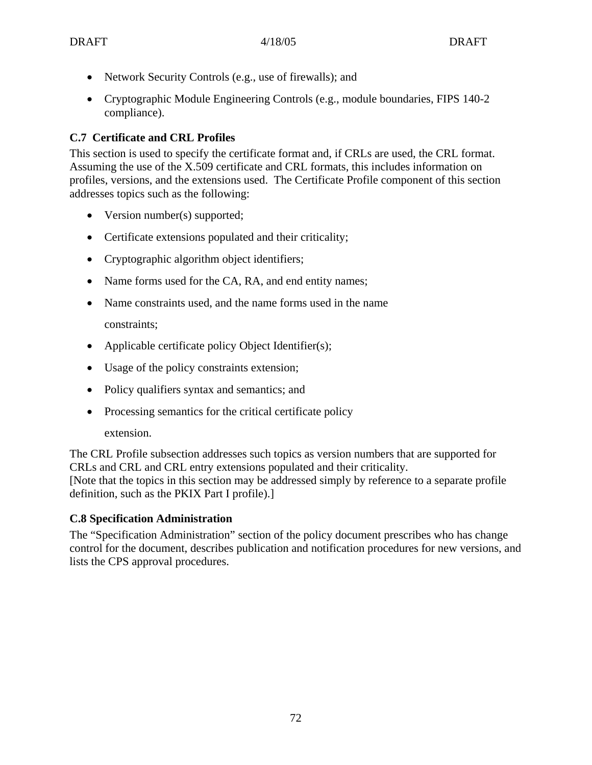- Network Security Controls (e.g., use of firewalls); and
- Cryptographic Module Engineering Controls (e.g., module boundaries, FIPS 140-2 compliance).

## **C.7 Certificate and CRL Profiles**

This section is used to specify the certificate format and, if CRLs are used, the CRL format. Assuming the use of the X.509 certificate and CRL formats, this includes information on profiles, versions, and the extensions used. The Certificate Profile component of this section addresses topics such as the following:

- Version number(s) supported;
- Certificate extensions populated and their criticality;
- Cryptographic algorithm object identifiers;
- Name forms used for the CA, RA, and end entity names;
- Name constraints used, and the name forms used in the name constraints;
- Applicable certificate policy Object Identifier(s);
- Usage of the policy constraints extension;
- Policy qualifiers syntax and semantics; and
- Processing semantics for the critical certificate policy extension.

The CRL Profile subsection addresses such topics as version numbers that are supported for CRLs and CRL and CRL entry extensions populated and their criticality. [Note that the topics in this section may be addressed simply by reference to a separate profile definition, such as the PKIX Part I profile).]

### **C.8 Specification Administration**

The "Specification Administration" section of the policy document prescribes who has change control for the document, describes publication and notification procedures for new versions, and lists the CPS approval procedures.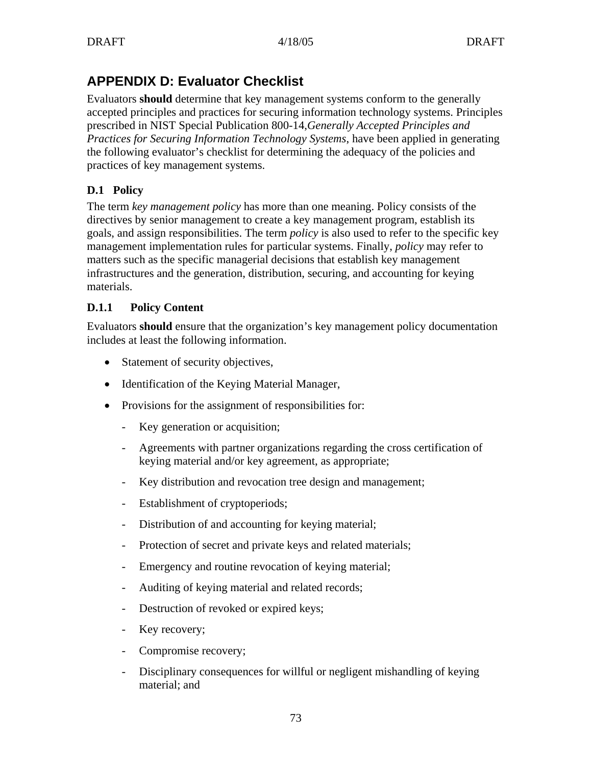# **APPENDIX D: Evaluator Checklist**

Evaluators **should** determine that key management systems conform to the generally accepted principles and practices for securing information technology systems. Principles prescribed in NIST Special Publication 800-14,*Generally Accepted Principles and Practices for Securing Information Technology Systems*, have been applied in generating the following evaluator's checklist for determining the adequacy of the policies and practices of key management systems.

# **D.1 Policy**

The term *key management policy* has more than one meaning. Policy consists of the directives by senior management to create a key management program, establish its goals, and assign responsibilities. The term *policy* is also used to refer to the specific key management implementation rules for particular systems. Finally, *policy* may refer to matters such as the specific managerial decisions that establish key management infrastructures and the generation, distribution, securing, and accounting for keying materials.

### **D.1.1 Policy Content**

Evaluators **should** ensure that the organization's key management policy documentation includes at least the following information.

- Statement of security objectives,
- Identification of the Keying Material Manager,
- Provisions for the assignment of responsibilities for:
	- Key generation or acquisition;
	- Agreements with partner organizations regarding the cross certification of keying material and/or key agreement, as appropriate;
	- Key distribution and revocation tree design and management;
	- Establishment of cryptoperiods;
	- Distribution of and accounting for keying material;
	- Protection of secret and private keys and related materials;
	- Emergency and routine revocation of keying material;
	- Auditing of keying material and related records;
	- Destruction of revoked or expired keys;
	- Key recovery;
	- Compromise recovery;
	- Disciplinary consequences for willful or negligent mishandling of keying material; and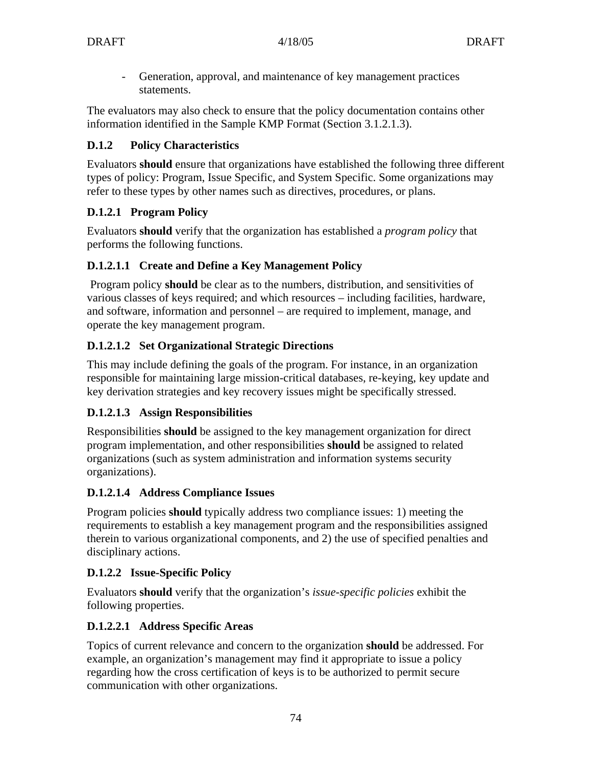- Generation, approval, and maintenance of key management practices statements.

The evaluators may also check to ensure that the policy documentation contains other information identified in the Sample KMP Format (Section 3.1.2.1.3).

# **D.1.2 Policy Characteristics**

Evaluators **should** ensure that organizations have established the following three different types of policy: Program, Issue Specific, and System Specific. Some organizations may refer to these types by other names such as directives, procedures, or plans.

# **D.1.2.1 Program Policy**

Evaluators **should** verify that the organization has established a *program policy* that performs the following functions.

# **D.1.2.1.1 Create and Define a Key Management Policy**

Program policy **should** be clear as to the numbers, distribution, and sensitivities of various classes of keys required; and which resources – including facilities, hardware, and software, information and personnel – are required to implement, manage, and operate the key management program.

# **D.1.2.1.2 Set Organizational Strategic Directions**

This may include defining the goals of the program. For instance, in an organization responsible for maintaining large mission-critical databases, re-keying, key update and key derivation strategies and key recovery issues might be specifically stressed.

# **D.1.2.1.3 Assign Responsibilities**

Responsibilities **should** be assigned to the key management organization for direct program implementation, and other responsibilities **should** be assigned to related organizations (such as system administration and information systems security organizations).

# **D.1.2.1.4 Address Compliance Issues**

Program policies **should** typically address two compliance issues: 1) meeting the requirements to establish a key management program and the responsibilities assigned therein to various organizational components, and 2) the use of specified penalties and disciplinary actions.

# **D.1.2.2 Issue-Specific Policy**

Evaluators **should** verify that the organization's *issue-specific policies* exhibit the following properties.

# **D.1.2.2.1 Address Specific Areas**

Topics of current relevance and concern to the organization **should** be addressed. For example, an organization's management may find it appropriate to issue a policy regarding how the cross certification of keys is to be authorized to permit secure communication with other organizations.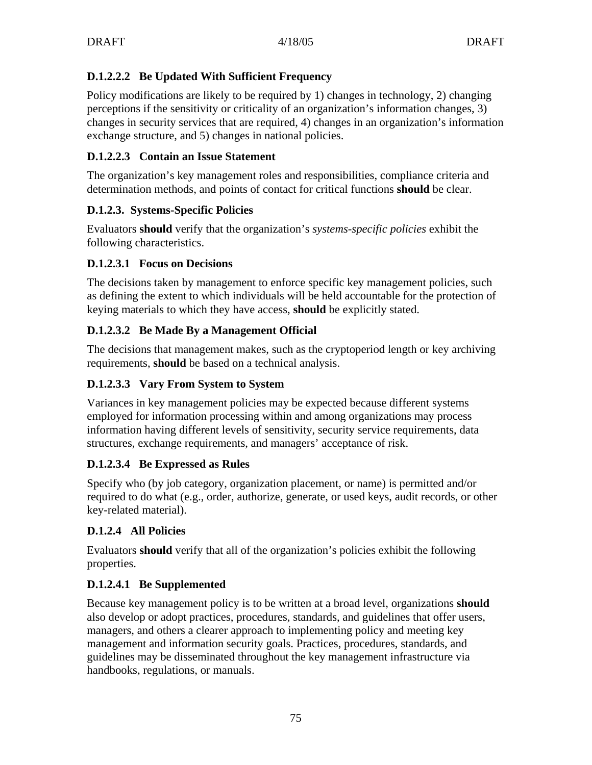# **D.1.2.2.2 Be Updated With Sufficient Frequency**

Policy modifications are likely to be required by 1) changes in technology, 2) changing perceptions if the sensitivity or criticality of an organization's information changes, 3) changes in security services that are required, 4) changes in an organization's information exchange structure, and 5) changes in national policies.

### **D.1.2.2.3 Contain an Issue Statement**

The organization's key management roles and responsibilities, compliance criteria and determination methods, and points of contact for critical functions **should** be clear.

### **D.1.2.3. Systems-Specific Policies**

Evaluators **should** verify that the organization's *systems-specific policies* exhibit the following characteristics.

### **D.1.2.3.1 Focus on Decisions**

The decisions taken by management to enforce specific key management policies, such as defining the extent to which individuals will be held accountable for the protection of keying materials to which they have access, **should** be explicitly stated.

### **D.1.2.3.2 Be Made By a Management Official**

The decisions that management makes, such as the cryptoperiod length or key archiving requirements, **should** be based on a technical analysis.

### **D.1.2.3.3 Vary From System to System**

Variances in key management policies may be expected because different systems employed for information processing within and among organizations may process information having different levels of sensitivity, security service requirements, data structures, exchange requirements, and managers' acceptance of risk.

# **D.1.2.3.4 Be Expressed as Rules**

Specify who (by job category, organization placement, or name) is permitted and/or required to do what (e.g., order, authorize, generate, or used keys, audit records, or other key-related material).

# **D.1.2.4 All Policies**

Evaluators **should** verify that all of the organization's policies exhibit the following properties.

# **D.1.2.4.1 Be Supplemented**

Because key management policy is to be written at a broad level, organizations **should** also develop or adopt practices, procedures, standards, and guidelines that offer users, managers, and others a clearer approach to implementing policy and meeting key management and information security goals. Practices, procedures, standards, and guidelines may be disseminated throughout the key management infrastructure via handbooks, regulations, or manuals.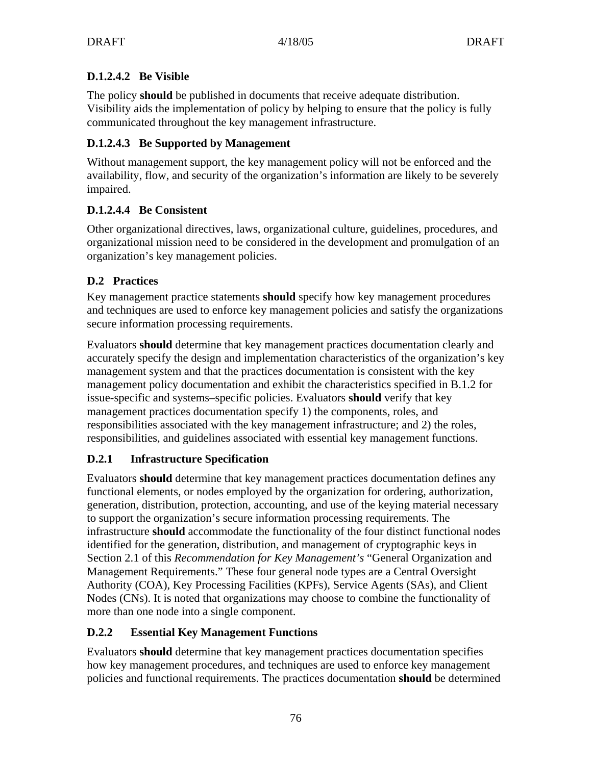# **D.1.2.4.2 Be Visible**

The policy **should** be published in documents that receive adequate distribution. Visibility aids the implementation of policy by helping to ensure that the policy is fully communicated throughout the key management infrastructure.

# **D.1.2.4.3 Be Supported by Management**

Without management support, the key management policy will not be enforced and the availability, flow, and security of the organization's information are likely to be severely impaired.

# **D.1.2.4.4 Be Consistent**

Other organizational directives, laws, organizational culture, guidelines, procedures, and organizational mission need to be considered in the development and promulgation of an organization's key management policies.

# **D.2 Practices**

Key management practice statements **should** specify how key management procedures and techniques are used to enforce key management policies and satisfy the organizations secure information processing requirements.

Evaluators **should** determine that key management practices documentation clearly and accurately specify the design and implementation characteristics of the organization's key management system and that the practices documentation is consistent with the key management policy documentation and exhibit the characteristics specified in B.1.2 for issue-specific and systems–specific policies. Evaluators **should** verify that key management practices documentation specify 1) the components, roles, and responsibilities associated with the key management infrastructure; and 2) the roles, responsibilities, and guidelines associated with essential key management functions.

# **D.2.1 Infrastructure Specification**

Evaluators **should** determine that key management practices documentation defines any functional elements, or nodes employed by the organization for ordering, authorization, generation, distribution, protection, accounting, and use of the keying material necessary to support the organization's secure information processing requirements. The infrastructure **should** accommodate the functionality of the four distinct functional nodes identified for the generation, distribution, and management of cryptographic keys in Section 2.1 of this *Recommendation for Key Management's* "General Organization and Management Requirements." These four general node types are a Central Oversight Authority (COA), Key Processing Facilities (KPFs), Service Agents (SAs), and Client Nodes (CNs). It is noted that organizations may choose to combine the functionality of more than one node into a single component.

# **D.2.2 Essential Key Management Functions**

Evaluators **should** determine that key management practices documentation specifies how key management procedures, and techniques are used to enforce key management policies and functional requirements. The practices documentation **should** be determined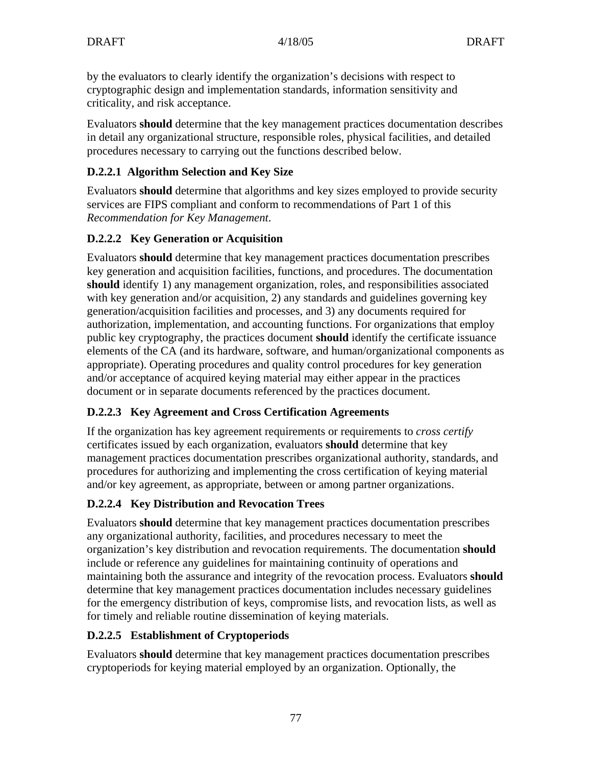by the evaluators to clearly identify the organization's decisions with respect to cryptographic design and implementation standards, information sensitivity and criticality, and risk acceptance.

Evaluators **should** determine that the key management practices documentation describes in detail any organizational structure, responsible roles, physical facilities, and detailed procedures necessary to carrying out the functions described below.

# **D.2.2.1 Algorithm Selection and Key Size**

Evaluators **should** determine that algorithms and key sizes employed to provide security services are FIPS compliant and conform to recommendations of Part 1 of this *Recommendation for Key Management*.

# **D.2.2.2 Key Generation or Acquisition**

Evaluators **should** determine that key management practices documentation prescribes key generation and acquisition facilities, functions, and procedures. The documentation **should** identify 1) any management organization, roles, and responsibilities associated with key generation and/or acquisition, 2) any standards and guidelines governing key generation/acquisition facilities and processes, and 3) any documents required for authorization, implementation, and accounting functions. For organizations that employ public key cryptography, the practices document **should** identify the certificate issuance elements of the CA (and its hardware, software, and human/organizational components as appropriate). Operating procedures and quality control procedures for key generation and/or acceptance of acquired keying material may either appear in the practices document or in separate documents referenced by the practices document.

# **D.2.2.3 Key Agreement and Cross Certification Agreements**

If the organization has key agreement requirements or requirements to *cross certify* certificates issued by each organization, evaluators **should** determine that key management practices documentation prescribes organizational authority, standards, and procedures for authorizing and implementing the cross certification of keying material and/or key agreement, as appropriate, between or among partner organizations.

# **D.2.2.4 Key Distribution and Revocation Trees**

Evaluators **should** determine that key management practices documentation prescribes any organizational authority, facilities, and procedures necessary to meet the organization's key distribution and revocation requirements. The documentation **should** include or reference any guidelines for maintaining continuity of operations and maintaining both the assurance and integrity of the revocation process. Evaluators **should** determine that key management practices documentation includes necessary guidelines for the emergency distribution of keys, compromise lists, and revocation lists, as well as for timely and reliable routine dissemination of keying materials.

# **D.2.2.5 Establishment of Cryptoperiods**

Evaluators **should** determine that key management practices documentation prescribes cryptoperiods for keying material employed by an organization. Optionally, the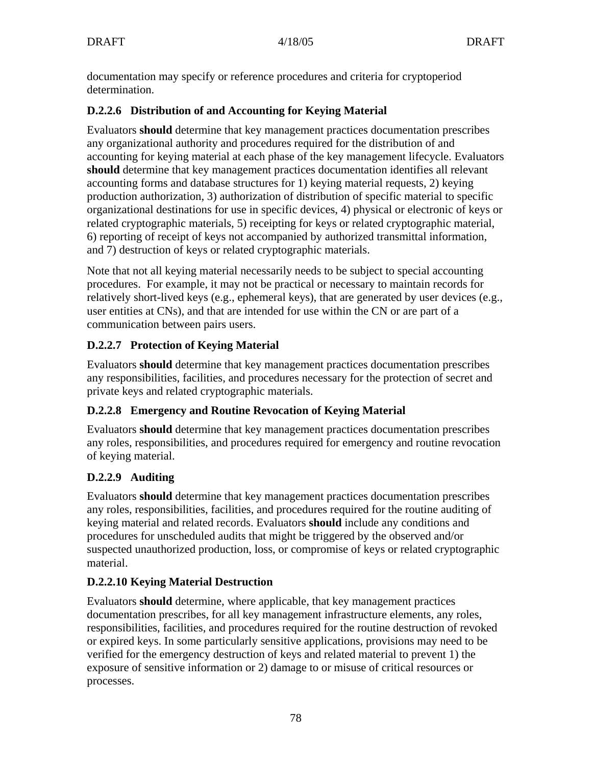documentation may specify or reference procedures and criteria for cryptoperiod determination.

### **D.2.2.6 Distribution of and Accounting for Keying Material**

Evaluators **should** determine that key management practices documentation prescribes any organizational authority and procedures required for the distribution of and accounting for keying material at each phase of the key management lifecycle. Evaluators **should** determine that key management practices documentation identifies all relevant accounting forms and database structures for 1) keying material requests, 2) keying production authorization, 3) authorization of distribution of specific material to specific organizational destinations for use in specific devices, 4) physical or electronic of keys or related cryptographic materials, 5) receipting for keys or related cryptographic material, 6) reporting of receipt of keys not accompanied by authorized transmittal information, and 7) destruction of keys or related cryptographic materials.

Note that not all keying material necessarily needs to be subject to special accounting procedures. For example, it may not be practical or necessary to maintain records for relatively short-lived keys (e.g., ephemeral keys), that are generated by user devices (e.g., user entities at CNs), and that are intended for use within the CN or are part of a communication between pairs users.

# **D.2.2.7 Protection of Keying Material**

Evaluators **should** determine that key management practices documentation prescribes any responsibilities, facilities, and procedures necessary for the protection of secret and private keys and related cryptographic materials.

# **D.2.2.8 Emergency and Routine Revocation of Keying Material**

Evaluators **should** determine that key management practices documentation prescribes any roles, responsibilities, and procedures required for emergency and routine revocation of keying material.

# **D.2.2.9 Auditing**

Evaluators **should** determine that key management practices documentation prescribes any roles, responsibilities, facilities, and procedures required for the routine auditing of keying material and related records. Evaluators **should** include any conditions and procedures for unscheduled audits that might be triggered by the observed and/or suspected unauthorized production, loss, or compromise of keys or related cryptographic material.

# **D.2.2.10 Keying Material Destruction**

Evaluators **should** determine, where applicable, that key management practices documentation prescribes, for all key management infrastructure elements, any roles, responsibilities, facilities, and procedures required for the routine destruction of revoked or expired keys. In some particularly sensitive applications, provisions may need to be verified for the emergency destruction of keys and related material to prevent 1) the exposure of sensitive information or 2) damage to or misuse of critical resources or processes.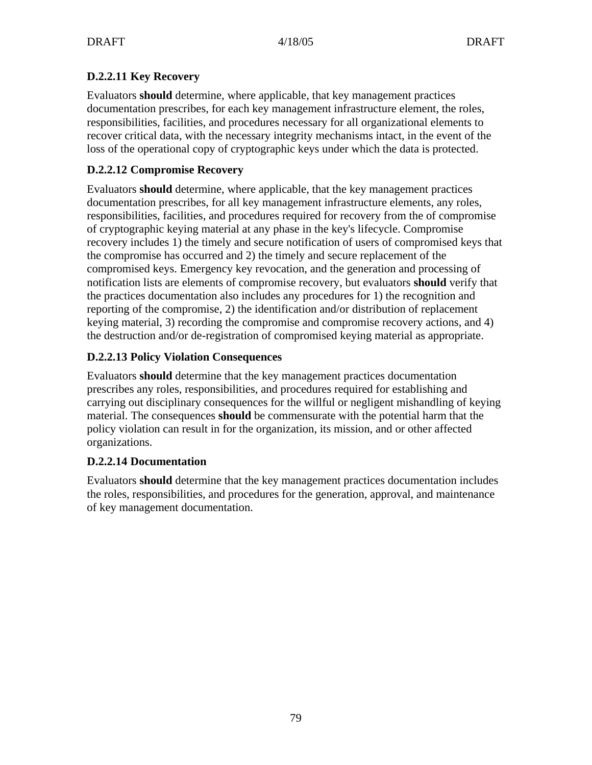### **D.2.2.11 Key Recovery**

Evaluators **should** determine, where applicable, that key management practices documentation prescribes, for each key management infrastructure element, the roles, responsibilities, facilities, and procedures necessary for all organizational elements to recover critical data, with the necessary integrity mechanisms intact, in the event of the loss of the operational copy of cryptographic keys under which the data is protected.

### **D.2.2.12 Compromise Recovery**

Evaluators **should** determine, where applicable, that the key management practices documentation prescribes, for all key management infrastructure elements, any roles, responsibilities, facilities, and procedures required for recovery from the of compromise of cryptographic keying material at any phase in the key's lifecycle. Compromise recovery includes 1) the timely and secure notification of users of compromised keys that the compromise has occurred and 2) the timely and secure replacement of the compromised keys. Emergency key revocation, and the generation and processing of notification lists are elements of compromise recovery, but evaluators **should** verify that the practices documentation also includes any procedures for 1) the recognition and reporting of the compromise, 2) the identification and/or distribution of replacement keying material, 3) recording the compromise and compromise recovery actions, and 4) the destruction and/or de-registration of compromised keying material as appropriate.

### **D.2.2.13 Policy Violation Consequences**

Evaluators **should** determine that the key management practices documentation prescribes any roles, responsibilities, and procedures required for establishing and carrying out disciplinary consequences for the willful or negligent mishandling of keying material. The consequences **should** be commensurate with the potential harm that the policy violation can result in for the organization, its mission, and or other affected organizations.

### **D.2.2.14 Documentation**

Evaluators **should** determine that the key management practices documentation includes the roles, responsibilities, and procedures for the generation, approval, and maintenance of key management documentation.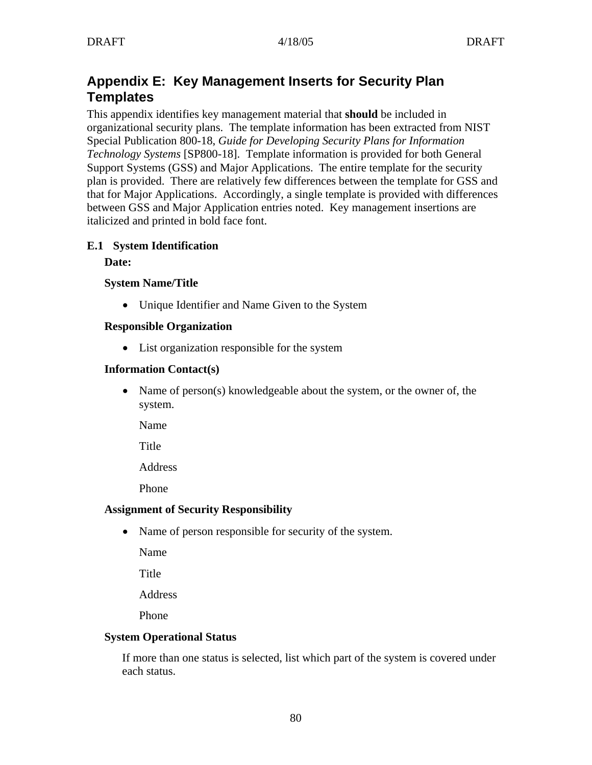# **Appendix E: Key Management Inserts for Security Plan Templates**

This appendix identifies key management material that **should** be included in organizational security plans. The template information has been extracted from NIST Special Publication 800-18, *Guide for Developing Security Plans for Information Technology Systems* [SP800-18]. Template information is provided for both General Support Systems (GSS) and Major Applications. The entire template for the security plan is provided. There are relatively few differences between the template for GSS and that for Major Applications. Accordingly, a single template is provided with differences between GSS and Major Application entries noted. Key management insertions are italicized and printed in bold face font.

#### **E.1 System Identification**

#### **Date:**

#### **System Name/Title**

• Unique Identifier and Name Given to the System

#### **Responsible Organization**

• List organization responsible for the system

#### **Information Contact(s)**

• Name of person(s) knowledgeable about the system, or the owner of, the system.

Name

**Title** 

Address

Phone

#### **Assignment of Security Responsibility**

• Name of person responsible for security of the system.

Name

Title

Address

Phone

#### **System Operational Status**

If more than one status is selected, list which part of the system is covered under each status.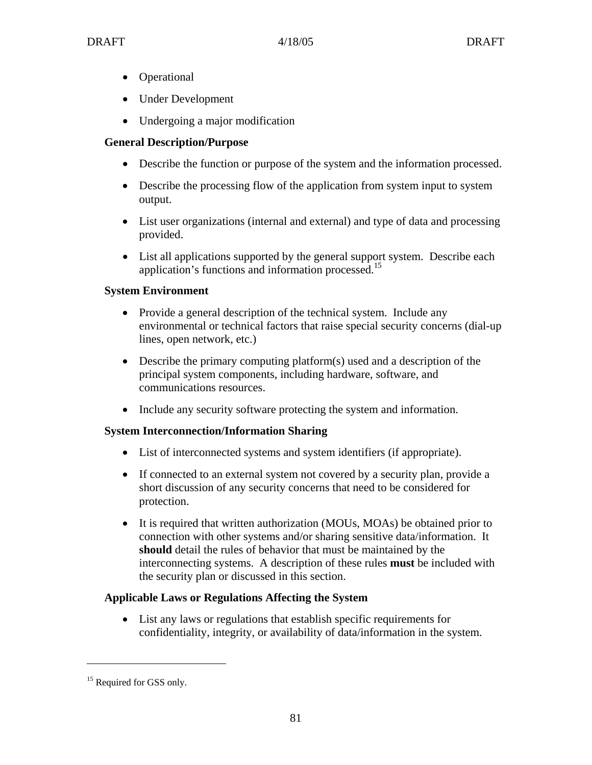- Operational
- Under Development
- Undergoing a major modification

### **General Description/Purpose**

- Describe the function or purpose of the system and the information processed.
- Describe the processing flow of the application from system input to system output.
- List user organizations (internal and external) and type of data and processing provided.
- List all applications supported by the general support system. Describe each application's functions and information processed.15

#### **System Environment**

- Provide a general description of the technical system. Include any environmental or technical factors that raise special security concerns (dial-up lines, open network, etc.)
- Describe the primary computing platform(s) used and a description of the principal system components, including hardware, software, and communications resources.
- Include any security software protecting the system and information.

#### **System Interconnection/Information Sharing**

- List of interconnected systems and system identifiers (if appropriate).
- If connected to an external system not covered by a security plan, provide a short discussion of any security concerns that need to be considered for protection.
- It is required that written authorization (MOUs, MOAs) be obtained prior to connection with other systems and/or sharing sensitive data/information. It **should** detail the rules of behavior that must be maintained by the interconnecting systems. A description of these rules **must** be included with the security plan or discussed in this section.

#### **Applicable Laws or Regulations Affecting the System**

• List any laws or regulations that establish specific requirements for confidentiality, integrity, or availability of data/information in the system.

 $\overline{a}$ 

<sup>&</sup>lt;sup>15</sup> Required for GSS only.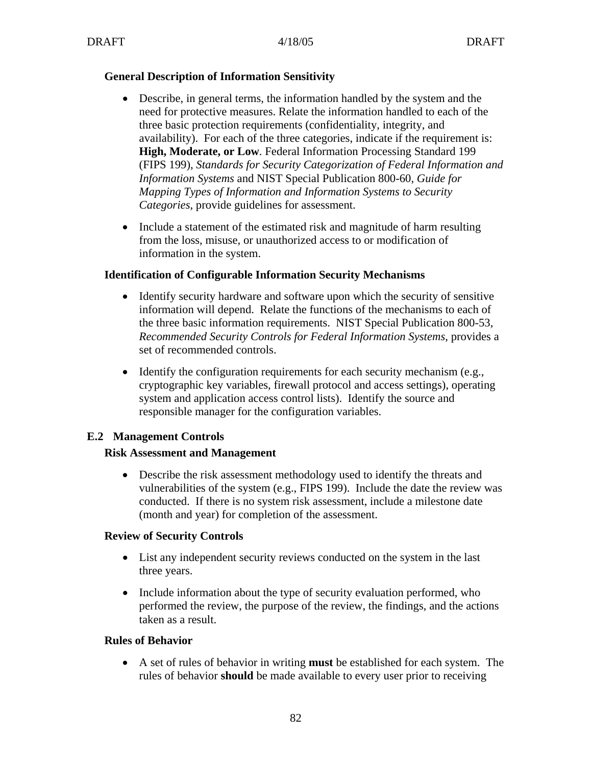#### **General Description of Information Sensitivity**

- Describe, in general terms, the information handled by the system and the need for protective measures. Relate the information handled to each of the three basic protection requirements (confidentiality, integrity, and availability). For each of the three categories, indicate if the requirement is: **High, Moderate, or Low**. Federal Information Processing Standard 199 (FIPS 199), *Standards for Security Categorization of Federal Information and Information Systems* and NIST Special Publication 800-60, *Guide for Mapping Types of Information and Information Systems to Security Categories*, provide guidelines for assessment.
- Include a statement of the estimated risk and magnitude of harm resulting from the loss, misuse, or unauthorized access to or modification of information in the system.

#### **Identification of Configurable Information Security Mechanisms**

- Identify security hardware and software upon which the security of sensitive information will depend. Relate the functions of the mechanisms to each of the three basic information requirements. NIST Special Publication 800-53, *Recommended Security Controls for Federal Information Systems*, provides a set of recommended controls.
- Identify the configuration requirements for each security mechanism (e.g., cryptographic key variables, firewall protocol and access settings), operating system and application access control lists). Identify the source and responsible manager for the configuration variables.

#### **E.2 Management Controls**

#### **Risk Assessment and Management**

• Describe the risk assessment methodology used to identify the threats and vulnerabilities of the system (e.g., FIPS 199). Include the date the review was conducted. If there is no system risk assessment, include a milestone date (month and year) for completion of the assessment.

#### **Review of Security Controls**

- List any independent security reviews conducted on the system in the last three years.
- Include information about the type of security evaluation performed, who performed the review, the purpose of the review, the findings, and the actions taken as a result.

#### **Rules of Behavior**

• A set of rules of behavior in writing **must** be established for each system. The rules of behavior **should** be made available to every user prior to receiving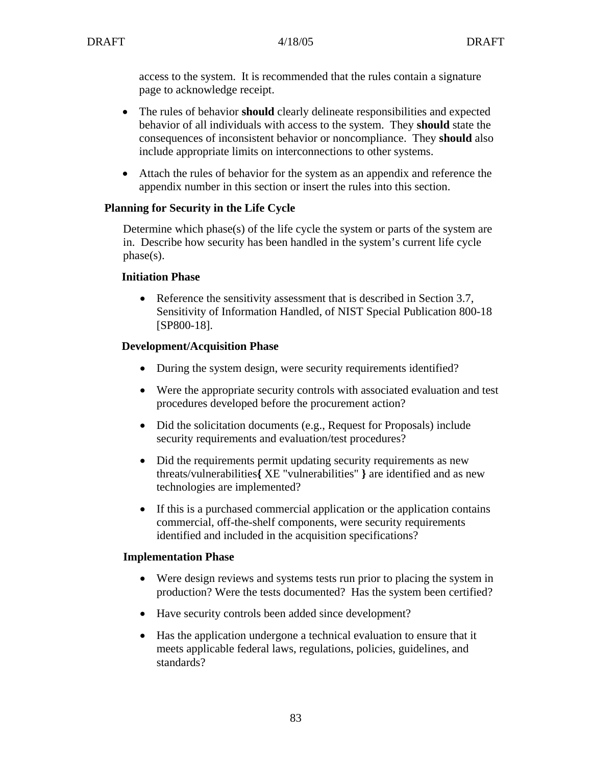access to the system. It is recommended that the rules contain a signature page to acknowledge receipt.

- The rules of behavior **should** clearly delineate responsibilities and expected behavior of all individuals with access to the system. They **should** state the consequences of inconsistent behavior or noncompliance. They **should** also include appropriate limits on interconnections to other systems.
- Attach the rules of behavior for the system as an appendix and reference the appendix number in this section or insert the rules into this section.

### **Planning for Security in the Life Cycle**

Determine which phase(s) of the life cycle the system or parts of the system are in. Describe how security has been handled in the system's current life cycle phase(s).

#### **Initiation Phase**

• Reference the sensitivity assessment that is described in Section 3.7, Sensitivity of Information Handled, of NIST Special Publication 800-18 [SP800-18].

#### **Development/Acquisition Phase**

- During the system design, were security requirements identified?
- Were the appropriate security controls with associated evaluation and test procedures developed before the procurement action?
- Did the solicitation documents (e.g., Request for Proposals) include security requirements and evaluation/test procedures?
- Did the requirements permit updating security requirements as new threats/vulnerabilities**{** XE "vulnerabilities" **}** are identified and as new technologies are implemented?
- If this is a purchased commercial application or the application contains commercial, off-the-shelf components, were security requirements identified and included in the acquisition specifications?

#### **Implementation Phase**

- Were design reviews and systems tests run prior to placing the system in production? Were the tests documented? Has the system been certified?
- Have security controls been added since development?
- Has the application undergone a technical evaluation to ensure that it meets applicable federal laws, regulations, policies, guidelines, and standards?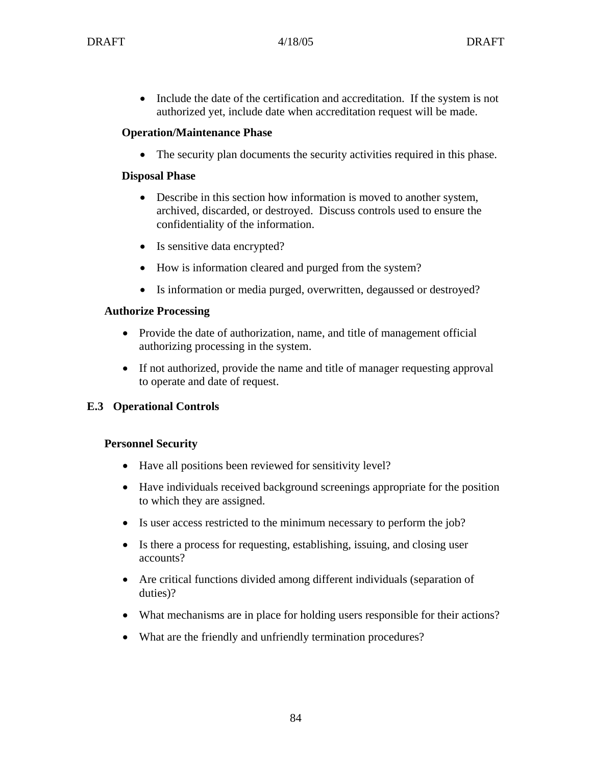• Include the date of the certification and accreditation. If the system is not authorized yet, include date when accreditation request will be made.

### **Operation/Maintenance Phase**

• The security plan documents the security activities required in this phase.

### **Disposal Phase**

- Describe in this section how information is moved to another system, archived, discarded, or destroyed. Discuss controls used to ensure the confidentiality of the information.
- Is sensitive data encrypted?
- How is information cleared and purged from the system?
- Is information or media purged, overwritten, degaussed or destroyed?

### **Authorize Processing**

- Provide the date of authorization, name, and title of management official authorizing processing in the system.
- If not authorized, provide the name and title of manager requesting approval to operate and date of request.

# **E.3 Operational Controls**

### **Personnel Security**

- Have all positions been reviewed for sensitivity level?
- Have individuals received background screenings appropriate for the position to which they are assigned.
- Is user access restricted to the minimum necessary to perform the job?
- Is there a process for requesting, establishing, issuing, and closing user accounts?
- Are critical functions divided among different individuals (separation of duties)?
- What mechanisms are in place for holding users responsible for their actions?
- What are the friendly and unfriendly termination procedures?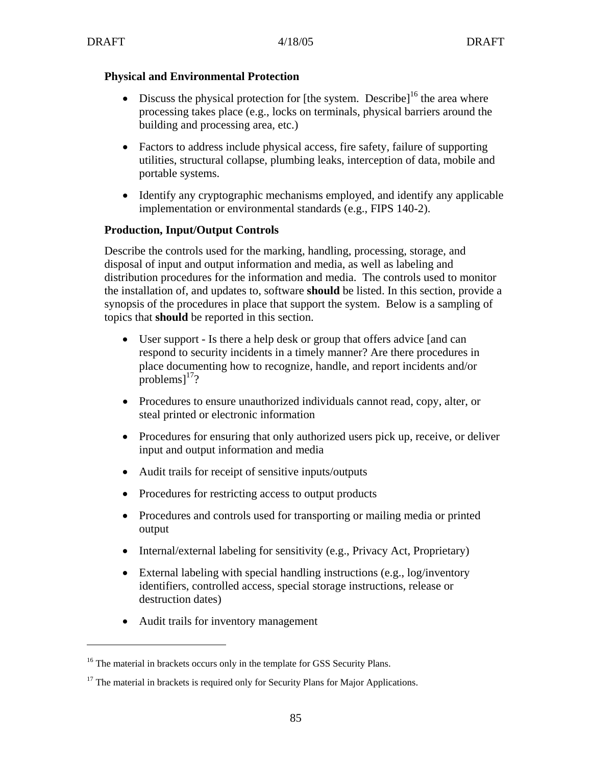### **Physical and Environmental Protection**

- Discuss the physical protection for [the system. Describe]<sup>16</sup> the area where processing takes place (e.g., locks on terminals, physical barriers around the building and processing area, etc.)
- Factors to address include physical access, fire safety, failure of supporting utilities, structural collapse, plumbing leaks, interception of data, mobile and portable systems.
- Identify any cryptographic mechanisms employed, and identify any applicable implementation or environmental standards (e.g., FIPS 140-2).

### **Production, Input/Output Controls**

Describe the controls used for the marking, handling, processing, storage, and disposal of input and output information and media, as well as labeling and distribution procedures for the information and media. The controls used to monitor the installation of, and updates to, software **should** be listed. In this section, provide a synopsis of the procedures in place that support the system. Below is a sampling of topics that **should** be reported in this section.

- User support Is there a help desk or group that offers advice [and can respond to security incidents in a timely manner? Are there procedures in place documenting how to recognize, handle, and report incidents and/or problems $l^{17}$ ?
- Procedures to ensure unauthorized individuals cannot read, copy, alter, or steal printed or electronic information
- Procedures for ensuring that only authorized users pick up, receive, or deliver input and output information and media
- Audit trails for receipt of sensitive inputs/outputs
- Procedures for restricting access to output products
- Procedures and controls used for transporting or mailing media or printed output
- Internal/external labeling for sensitivity (e.g., Privacy Act, Proprietary)
- External labeling with special handling instructions (e.g., log/inventory identifiers, controlled access, special storage instructions, release or destruction dates)
- Audit trails for inventory management

 $\overline{a}$ 

<sup>&</sup>lt;sup>16</sup> The material in brackets occurs only in the template for GSS Security Plans.

 $17$  The material in brackets is required only for Security Plans for Major Applications.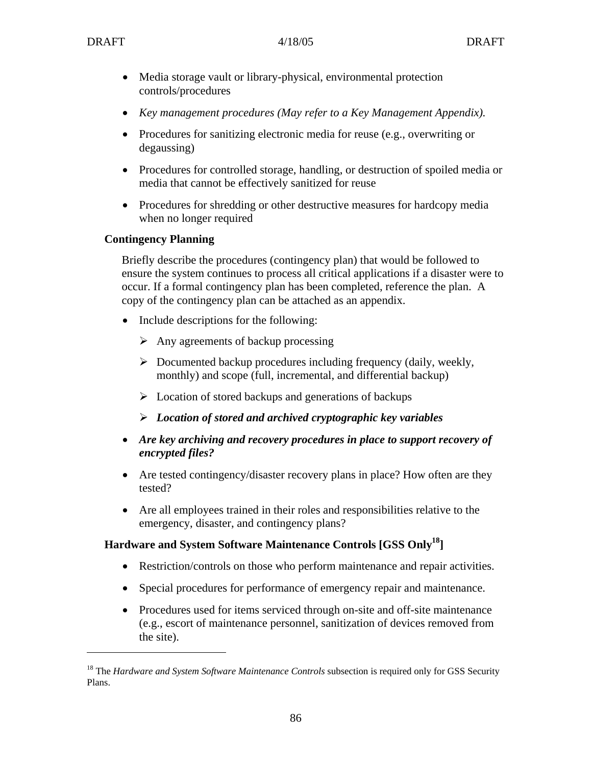$\overline{a}$ 

- Media storage vault or library-physical, environmental protection controls/procedures
- *Key management procedures (May refer to a Key Management Appendix).*
- Procedures for sanitizing electronic media for reuse (e.g., overwriting or degaussing)
- Procedures for controlled storage, handling, or destruction of spoiled media or media that cannot be effectively sanitized for reuse
- Procedures for shredding or other destructive measures for hardcopy media when no longer required

### **Contingency Planning**

Briefly describe the procedures (contingency plan) that would be followed to ensure the system continues to process all critical applications if a disaster were to occur. If a formal contingency plan has been completed, reference the plan. A copy of the contingency plan can be attached as an appendix.

- Include descriptions for the following:
	- $\triangleright$  Any agreements of backup processing
	- $\triangleright$  Documented backup procedures including frequency (daily, weekly, monthly) and scope (full, incremental, and differential backup)
	- $\triangleright$  Location of stored backups and generations of backups
	- ¾ *Location of stored and archived cryptographic key variables*
- *Are key archiving and recovery procedures in place to support recovery of encrypted files?*
- Are tested contingency/disaster recovery plans in place? How often are they tested?
- Are all employees trained in their roles and responsibilities relative to the emergency, disaster, and contingency plans?

### **Hardware and System Software Maintenance Controls [GSS Only18]**

- Restriction/controls on those who perform maintenance and repair activities.
- Special procedures for performance of emergency repair and maintenance.
- Procedures used for items serviced through on-site and off-site maintenance (e.g., escort of maintenance personnel, sanitization of devices removed from the site).

<sup>&</sup>lt;sup>18</sup> The *Hardware and System Software Maintenance Controls* subsection is required only for GSS Security Plans.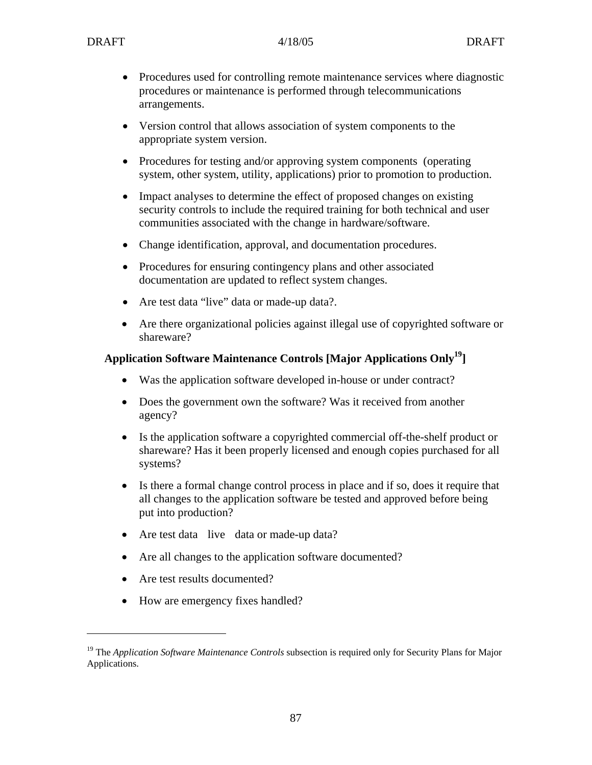- Procedures used for controlling remote maintenance services where diagnostic procedures or maintenance is performed through telecommunications arrangements.
- Version control that allows association of system components to the appropriate system version.
- Procedures for testing and/or approving system components (operating system, other system, utility, applications) prior to promotion to production.
- Impact analyses to determine the effect of proposed changes on existing security controls to include the required training for both technical and user communities associated with the change in hardware/software.
- Change identification, approval, and documentation procedures.
- Procedures for ensuring contingency plans and other associated documentation are updated to reflect system changes.
- Are test data "live" data or made-up data?.
- Are there organizational policies against illegal use of copyrighted software or shareware?

### **Application Software Maintenance Controls [Major Applications Only19]**

- Was the application software developed in-house or under contract?
- Does the government own the software? Was it received from another agency?
- Is the application software a copyrighted commercial off-the-shelf product or shareware? Has it been properly licensed and enough copies purchased for all systems?
- Is there a formal change control process in place and if so, does it require that all changes to the application software be tested and approved before being put into production?
- Are test data live data or made-up data?
- Are all changes to the application software documented?
- Are test results documented?

 $\overline{a}$ 

• How are emergency fixes handled?

<sup>&</sup>lt;sup>19</sup> The *Application Software Maintenance Controls* subsection is required only for Security Plans for Major Applications.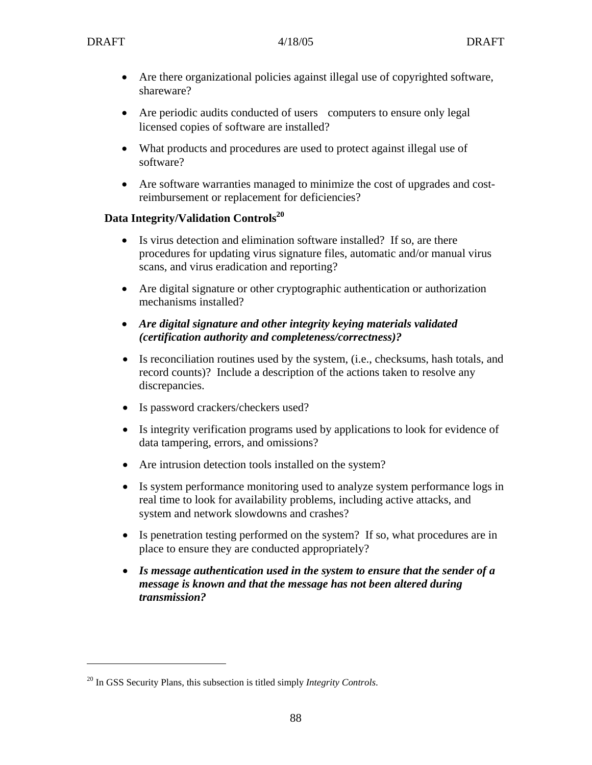1

- Are there organizational policies against illegal use of copyrighted software, shareware?
- Are periodic audits conducted of users computers to ensure only legal licensed copies of software are installed?
- What products and procedures are used to protect against illegal use of software?
- Are software warranties managed to minimize the cost of upgrades and costreimbursement or replacement for deficiencies?

#### Data Integrity/Validation Controls<sup>20</sup>

- Is virus detection and elimination software installed? If so, are there procedures for updating virus signature files, automatic and/or manual virus scans, and virus eradication and reporting?
- Are digital signature or other cryptographic authentication or authorization mechanisms installed?
- *Are digital signature and other integrity keying materials validated (certification authority and completeness/correctness)?*
- Is reconciliation routines used by the system, (i.e., checksums, hash totals, and record counts)? Include a description of the actions taken to resolve any discrepancies.
- Is password crackers/checkers used?
- Is integrity verification programs used by applications to look for evidence of data tampering, errors, and omissions?
- Are intrusion detection tools installed on the system?
- Is system performance monitoring used to analyze system performance logs in real time to look for availability problems, including active attacks, and system and network slowdowns and crashes?
- Is penetration testing performed on the system? If so, what procedures are in place to ensure they are conducted appropriately?
- *Is message authentication used in the system to ensure that the sender of a message is known and that the message has not been altered during transmission?*

<sup>20</sup> In GSS Security Plans, this subsection is titled simply *Integrity Controls*.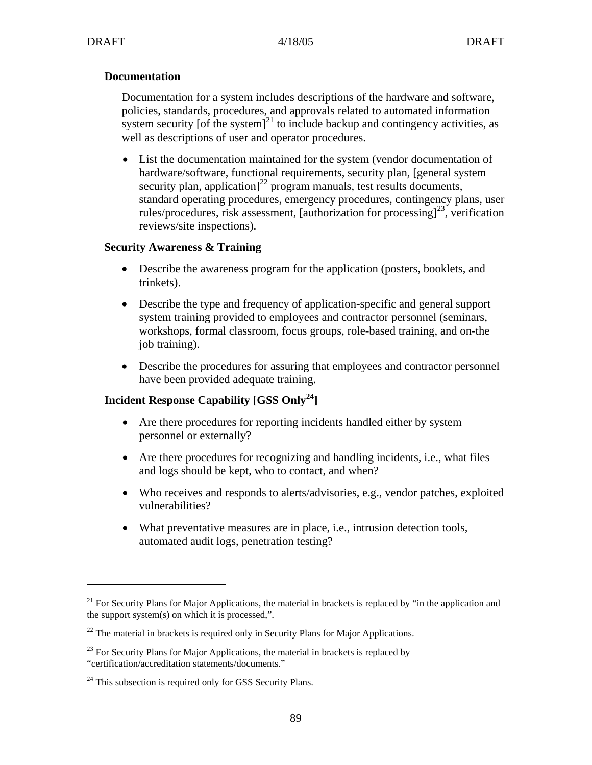1

#### **Documentation**

Documentation for a system includes descriptions of the hardware and software, policies, standards, procedures, and approvals related to automated information system security [of the system] $^{21}$  to include backup and contingency activities, as well as descriptions of user and operator procedures.

• List the documentation maintained for the system (vendor documentation of hardware/software, functional requirements, security plan, [general system security plan, application<sup> $]^{22}$ </sup> program manuals, test results documents, standard operating procedures, emergency procedures, contingency plans, user rules/procedures, risk assessment, [authorization for processing]<sup>23</sup>, verification reviews/site inspections).

#### **Security Awareness & Training**

- Describe the awareness program for the application (posters, booklets, and trinkets).
- Describe the type and frequency of application-specific and general support system training provided to employees and contractor personnel (seminars, workshops, formal classroom, focus groups, role-based training, and on-the job training).
- Describe the procedures for assuring that employees and contractor personnel have been provided adequate training.

### **Incident Response Capability [GSS Only24]**

- Are there procedures for reporting incidents handled either by system personnel or externally?
- Are there procedures for recognizing and handling incidents, i.e., what files and logs should be kept, who to contact, and when?
- Who receives and responds to alerts/advisories, e.g., vendor patches, exploited vulnerabilities?
- What preventative measures are in place, i.e., intrusion detection tools, automated audit logs, penetration testing?

 $21$  For Security Plans for Major Applications, the material in brackets is replaced by "in the application and the support system(s) on which it is processed,".

 $22$  The material in brackets is required only in Security Plans for Major Applications.

 $23$  For Security Plans for Major Applications, the material in brackets is replaced by "certification/accreditation statements/documents."

<sup>&</sup>lt;sup>24</sup> This subsection is required only for GSS Security Plans.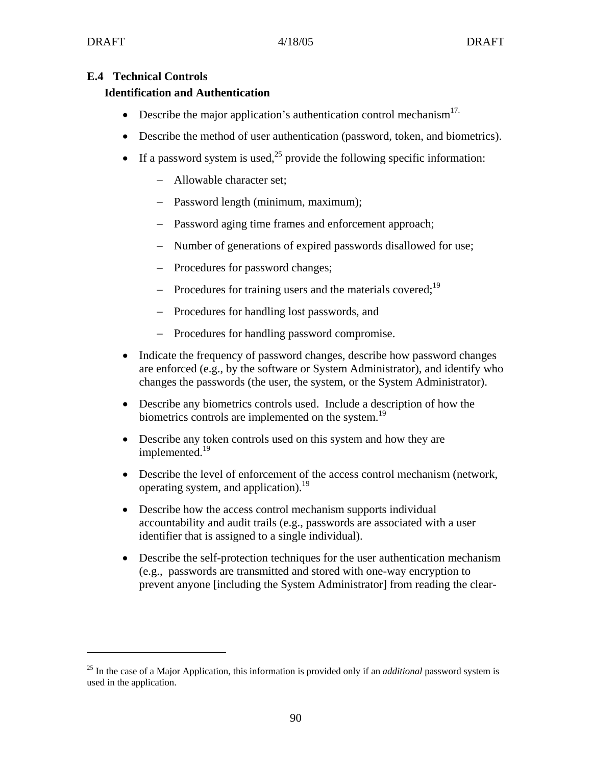<u>.</u>

### **E.4 Technical Controls**

### **Identification and Authentication**

- Describe the major application's authentication control mechanism $17$ .
- Describe the method of user authentication (password, token, and biometrics).
- If a password system is used,<sup>25</sup> provide the following specific information:
	- − Allowable character set;
	- − Password length (minimum, maximum);
	- − Password aging time frames and enforcement approach;
	- − Number of generations of expired passwords disallowed for use;
	- − Procedures for password changes;
	- − Procedures for training users and the materials covered;<sup>19</sup>
	- − Procedures for handling lost passwords, and
	- − Procedures for handling password compromise.
- Indicate the frequency of password changes, describe how password changes are enforced (e.g., by the software or System Administrator), and identify who changes the passwords (the user, the system, or the System Administrator).
- Describe any biometrics controls used. Include a description of how the biometrics controls are implemented on the system.<sup>19</sup>
- Describe any token controls used on this system and how they are implemented.<sup>19</sup>
- Describe the level of enforcement of the access control mechanism (network, operating system, and application).<sup>19</sup>
- Describe how the access control mechanism supports individual accountability and audit trails (e.g., passwords are associated with a user identifier that is assigned to a single individual).
- Describe the self-protection techniques for the user authentication mechanism (e.g., passwords are transmitted and stored with one-way encryption to prevent anyone [including the System Administrator] from reading the clear-

<sup>25</sup> In the case of a Major Application, this information is provided only if an *additional* password system is used in the application.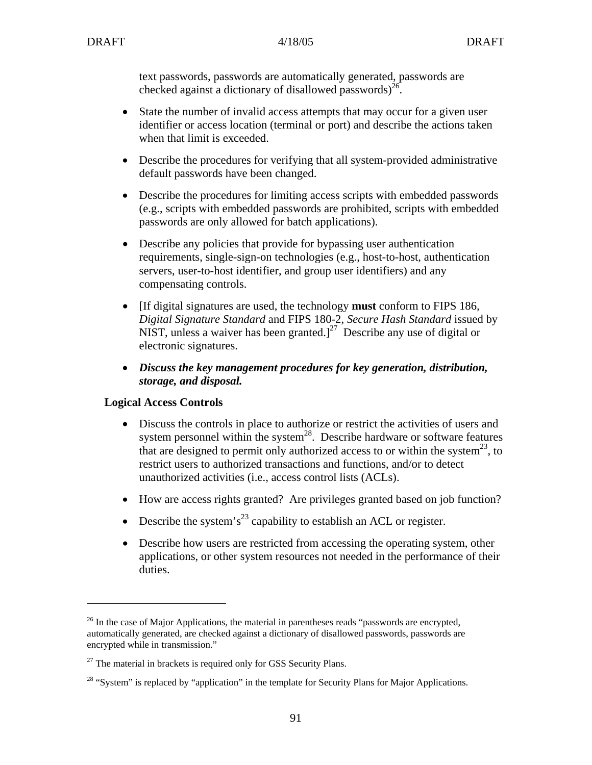text passwords, passwords are automatically generated, passwords are checked against a dictionary of disallowed passwords)<sup>26</sup>.

- State the number of invalid access attempts that may occur for a given user identifier or access location (terminal or port) and describe the actions taken when that limit is exceeded.
- Describe the procedures for verifying that all system-provided administrative default passwords have been changed.
- Describe the procedures for limiting access scripts with embedded passwords (e.g., scripts with embedded passwords are prohibited, scripts with embedded passwords are only allowed for batch applications).
- Describe any policies that provide for bypassing user authentication requirements, single-sign-on technologies (e.g., host-to-host, authentication servers, user-to-host identifier, and group user identifiers) and any compensating controls.
- [If digital signatures are used, the technology **must** conform to FIPS 186*, Digital Signature Standard* and FIPS 180-2, *Secure Hash Standard* issued by NIST, unless a waiver has been granted.<sup>[27]</sup> Describe any use of digital or electronic signatures.
- *Discuss the key management procedures for key generation, distribution, storage, and disposal.*

#### **Logical Access Controls**

 $\overline{a}$ 

- Discuss the controls in place to authorize or restrict the activities of users and system personnel within the system<sup>28</sup>. Describe hardware or software features that are designed to permit only authorized access to or within the system<sup>23</sup>, to restrict users to authorized transactions and functions, and/or to detect unauthorized activities (i.e., access control lists (ACLs).
- How are access rights granted? Are privileges granted based on job function?
- Describe the system's<sup>23</sup> capability to establish an ACL or register.
- Describe how users are restricted from accessing the operating system, other applications, or other system resources not needed in the performance of their duties.

 $26$  In the case of Major Applications, the material in parentheses reads "passwords are encrypted, automatically generated, are checked against a dictionary of disallowed passwords, passwords are encrypted while in transmission."

 $27$  The material in brackets is required only for GSS Security Plans.

<sup>&</sup>lt;sup>28</sup> "System" is replaced by "application" in the template for Security Plans for Major Applications.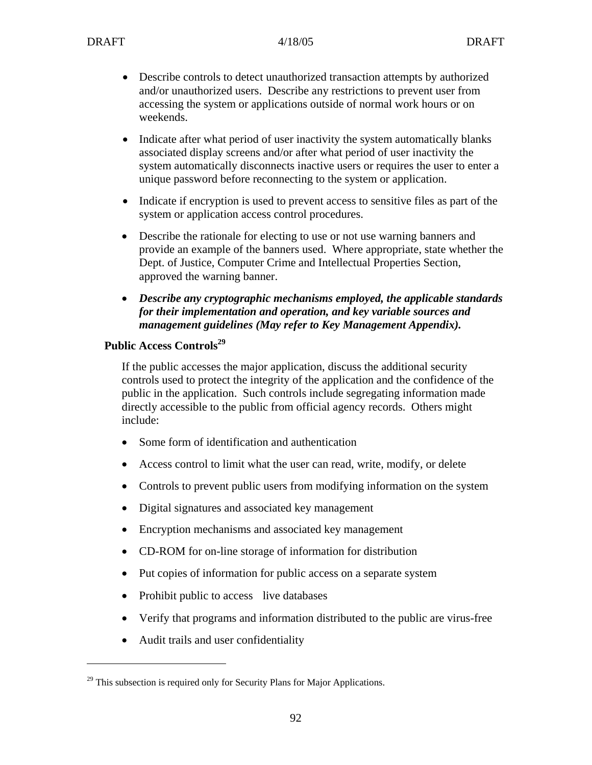- Describe controls to detect unauthorized transaction attempts by authorized and/or unauthorized users. Describe any restrictions to prevent user from accessing the system or applications outside of normal work hours or on weekends.
- Indicate after what period of user inactivity the system automatically blanks associated display screens and/or after what period of user inactivity the system automatically disconnects inactive users or requires the user to enter a unique password before reconnecting to the system or application.
- Indicate if encryption is used to prevent access to sensitive files as part of the system or application access control procedures.
- Describe the rationale for electing to use or not use warning banners and provide an example of the banners used. Where appropriate, state whether the Dept. of Justice, Computer Crime and Intellectual Properties Section, approved the warning banner.
- *Describe any cryptographic mechanisms employed, the applicable standards for their implementation and operation, and key variable sources and management guidelines (May refer to Key Management Appendix).*

### Public Access Controls<sup>29</sup>

If the public accesses the major application, discuss the additional security controls used to protect the integrity of the application and the confidence of the public in the application. Such controls include segregating information made directly accessible to the public from official agency records. Others might include:

- Some form of identification and authentication
- Access control to limit what the user can read, write, modify, or delete
- Controls to prevent public users from modifying information on the system
- Digital signatures and associated key management
- Encryption mechanisms and associated key management
- CD-ROM for on-line storage of information for distribution
- Put copies of information for public access on a separate system
- Prohibit public to access live databases
- Verify that programs and information distributed to the public are virus-free
- Audit trails and user confidentiality

 $\overline{a}$ 

 $^{29}$  This subsection is required only for Security Plans for Major Applications.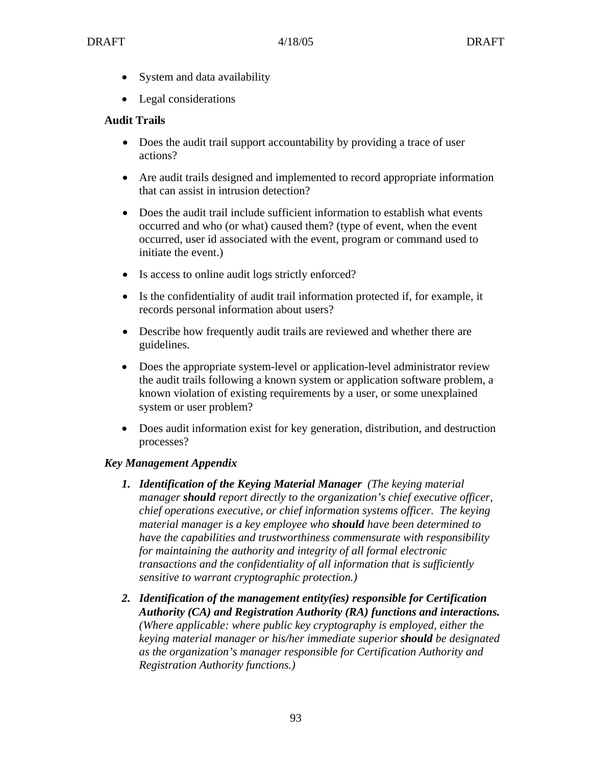- System and data availability
- Legal considerations

### **Audit Trails**

- Does the audit trail support accountability by providing a trace of user actions?
- Are audit trails designed and implemented to record appropriate information that can assist in intrusion detection?
- Does the audit trail include sufficient information to establish what events occurred and who (or what) caused them? (type of event, when the event occurred, user id associated with the event, program or command used to initiate the event.)
- Is access to online audit logs strictly enforced?
- Is the confidentiality of audit trail information protected if, for example, it records personal information about users?
- Describe how frequently audit trails are reviewed and whether there are guidelines.
- Does the appropriate system-level or application-level administrator review the audit trails following a known system or application software problem, a known violation of existing requirements by a user, or some unexplained system or user problem?
- Does audit information exist for key generation, distribution, and destruction processes?

#### *Key Management Appendix*

- *1. Identification of the Keying Material Manager (The keying material manager should report directly to the organization's chief executive officer, chief operations executive, or chief information systems officer. The keying material manager is a key employee who should have been determined to have the capabilities and trustworthiness commensurate with responsibility for maintaining the authority and integrity of all formal electronic transactions and the confidentiality of all information that is sufficiently sensitive to warrant cryptographic protection.)*
- *2. Identification of the management entity(ies) responsible for Certification Authority (CA) and Registration Authority (RA) functions and interactions. (Where applicable: where public key cryptography is employed, either the keying material manager or his/her immediate superior should be designated as the organization's manager responsible for Certification Authority and Registration Authority functions.)*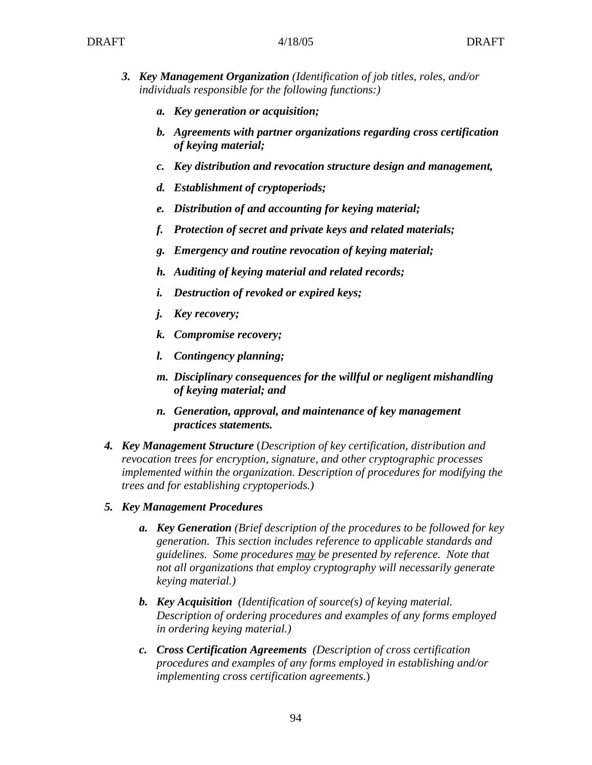- *3. Key Management Organization (Identification of job titles, roles, and/or individuals responsible for the following functions:)*
	- *a. Key generation or acquisition;*
	- *b. Agreements with partner organizations regarding cross certification of keying material;*
	- *c. Key distribution and revocation structure design and management,*
	- *d. Establishment of cryptoperiods;*
	- *e. Distribution of and accounting for keying material;*
	- *f. Protection of secret and private keys and related materials;*
	- *g. Emergency and routine revocation of keying material;*
	- *h. Auditing of keying material and related records;*
	- *i. Destruction of revoked or expired keys;*
	- *j. Key recovery;*
	- *k. Compromise recovery;*
	- *l. Contingency planning;*
	- *m. Disciplinary consequences for the willful or negligent mishandling of keying material; and*
	- *n. Generation, approval, and maintenance of key management practices statements.*
- *4. Key Management Structure* (*Description of key certification, distribution and revocation trees for encryption, signature, and other cryptographic processes implemented within the organization. Description of procedures for modifying the trees and for establishing cryptoperiods.)*
- *5. Key Management Procedures* 
	- *a. Key Generation (Brief description of the procedures to be followed for key generation. This section includes reference to applicable standards and guidelines. Some procedures may be presented by reference. Note that not all organizations that employ cryptography will necessarily generate keying material.)*
	- *b. Key Acquisition (Identification of source(s) of keying material. Description of ordering procedures and examples of any forms employed in ordering keying material.)*
	- *c. Cross Certification Agreements (Description of cross certification procedures and examples of any forms employed in establishing and/or implementing cross certification agreements*.)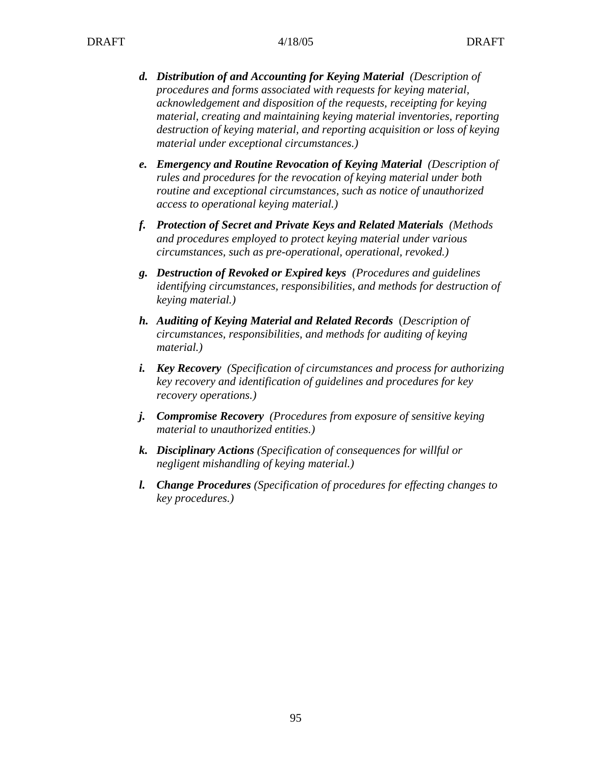- *d. Distribution of and Accounting for Keying Material (Description of procedures and forms associated with requests for keying material, acknowledgement and disposition of the requests, receipting for keying material, creating and maintaining keying material inventories, reporting destruction of keying material, and reporting acquisition or loss of keying material under exceptional circumstances.)*
- *e. Emergency and Routine Revocation of Keying Material (Description of rules and procedures for the revocation of keying material under both routine and exceptional circumstances, such as notice of unauthorized access to operational keying material.)*
- *f. Protection of Secret and Private Keys and Related Materials (Methods and procedures employed to protect keying material under various circumstances, such as pre-operational, operational, revoked.)*
- *g. Destruction of Revoked or Expired keys (Procedures and guidelines identifying circumstances, responsibilities, and methods for destruction of keying material.)*
- *h. Auditing of Keying Material and Related Records* (*Description of circumstances, responsibilities, and methods for auditing of keying material.)*
- *i. Key Recovery (Specification of circumstances and process for authorizing key recovery and identification of guidelines and procedures for key recovery operations.)*
- *j. Compromise Recovery (Procedures from exposure of sensitive keying material to unauthorized entities.)*
- *k. Disciplinary Actions (Specification of consequences for willful or negligent mishandling of keying material.)*
- *l. Change Procedures (Specification of procedures for effecting changes to key procedures.)*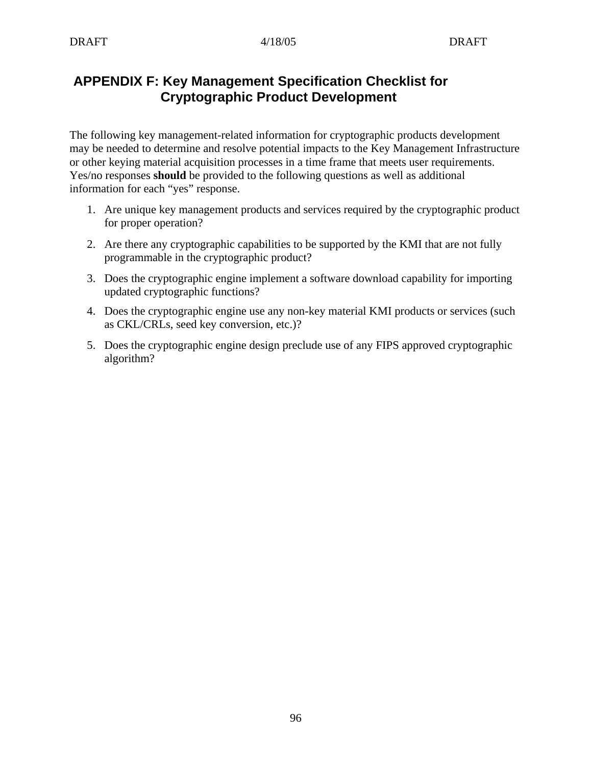# **APPENDIX F: Key Management Specification Checklist for Cryptographic Product Development**

The following key management-related information for cryptographic products development may be needed to determine and resolve potential impacts to the Key Management Infrastructure or other keying material acquisition processes in a time frame that meets user requirements. Yes/no responses **should** be provided to the following questions as well as additional information for each "yes" response.

- 1. Are unique key management products and services required by the cryptographic product for proper operation?
- 2. Are there any cryptographic capabilities to be supported by the KMI that are not fully programmable in the cryptographic product?
- 3. Does the cryptographic engine implement a software download capability for importing updated cryptographic functions?
- 4. Does the cryptographic engine use any non-key material KMI products or services (such as CKL/CRLs, seed key conversion, etc.)?
- 5. Does the cryptographic engine design preclude use of any FIPS approved cryptographic algorithm?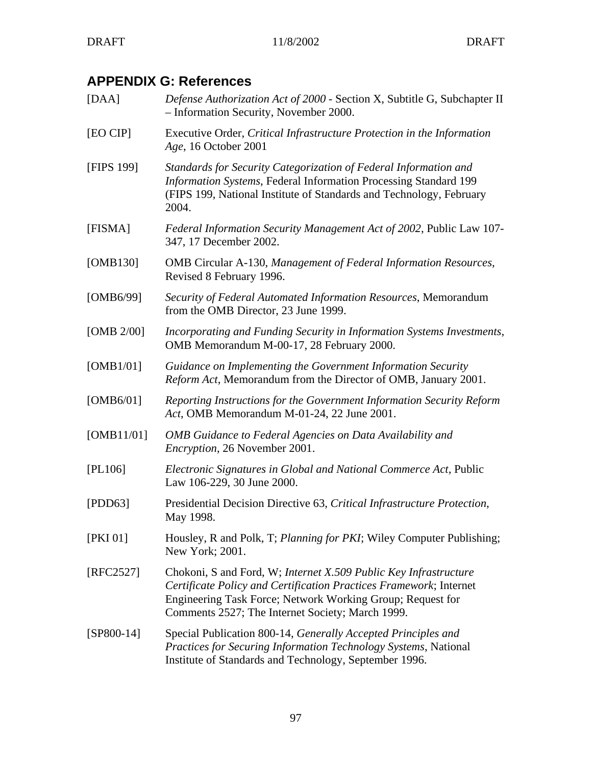# **APPENDIX G: References**

[DAA] *Defense Authorization Act of 2000* - Section X, Subtitle G, Subchapter II – Information Security, November 2000. [EO CIP] Executive Order, *Critical Infrastructure Protection in the Information Age*, 16 October 2001 [FIPS 199] *Standards for Security Categorization of Federal Information and Information Systems*, Federal Information Processing Standard 199 (FIPS 199, National Institute of Standards and Technology, February 2004. [FISMA] *Federal Information Security Management Act of 2002*, Public Law 107- 347, 17 December 2002. [OMB130] OMB Circular A-130, *Management of Federal Information Resources*, Revised 8 February 1996. [OMB6/99] *Security of Federal Automated Information Resources*, Memorandum from the OMB Director, 23 June 1999. [OMB 2/00] *Incorporating and Funding Security in Information Systems Investments*, OMB Memorandum M-00-17, 28 February 2000. [OMB1/01] *Guidance on Implementing the Government Information Security Reform Act*, Memorandum from the Director of OMB, January 2001. [OMB6/01] *Reporting Instructions for the Government Information Security Reform Act*, OMB Memorandum M-01-24, 22 June 2001. [OMB11/01] *OMB Guidance to Federal Agencies on Data Availability and Encryption*, 26 November 2001. [PL106] *Electronic Signatures in Global and National Commerce Act*, Public Law 106-229, 30 June 2000. [PDD63] Presidential Decision Directive 63, *Critical Infrastructure Protection*, May 1998. [PKI 01] Housley, R and Polk, T; *Planning for PKI*; Wiley Computer Publishing; New York; 2001. [RFC2527] Chokoni, S and Ford, W; *Internet X.509 Public Key Infrastructure Certificate Policy and Certification Practices Framework*; Internet Engineering Task Force; Network Working Group; Request for Comments 2527; The Internet Society; March 1999. [SP800-14] Special Publication 800-14, *Generally Accepted Principles and Practices for Securing Information Technology Systems*, National Institute of Standards and Technology, September 1996.